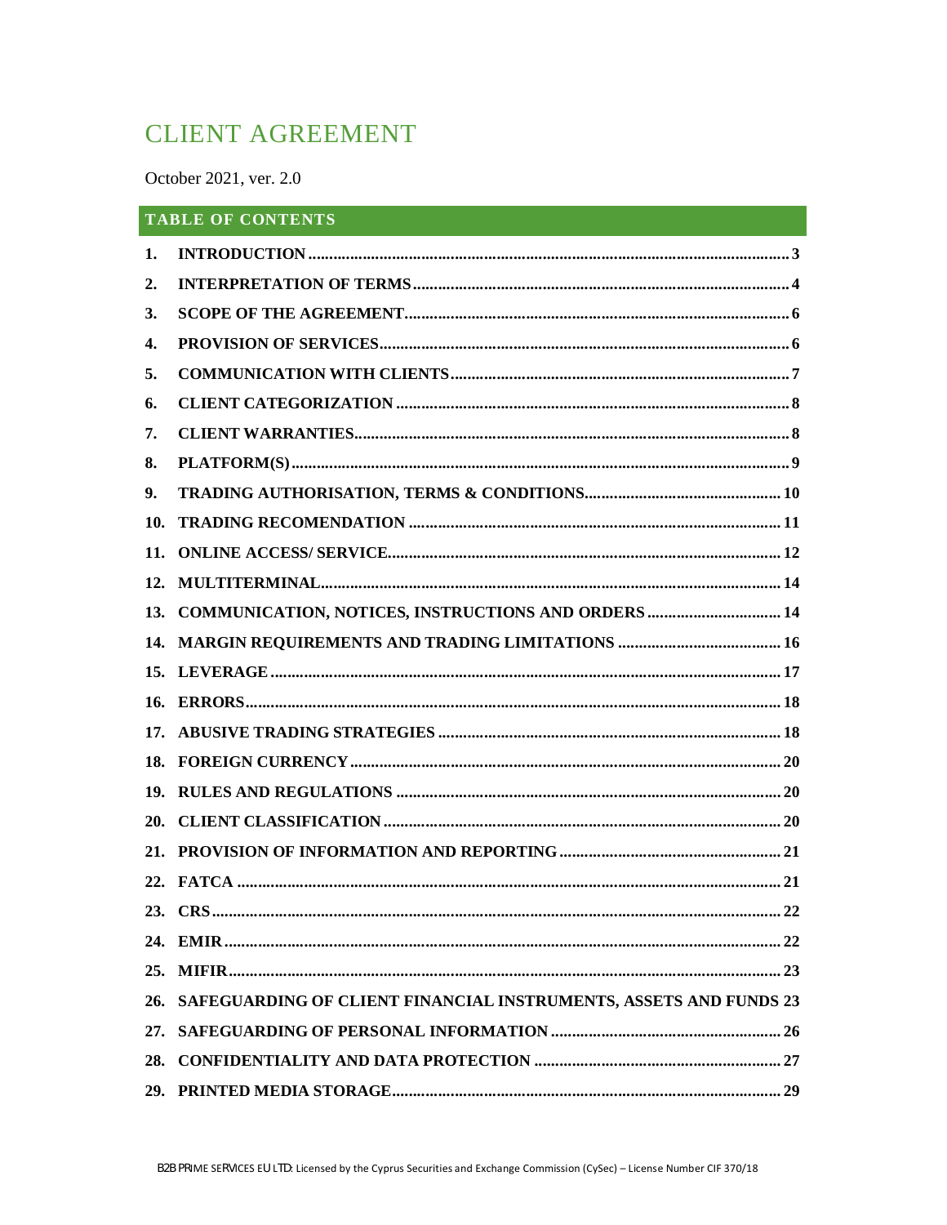# **CLIENT AGREEMENT**

October 2021, ver. 2.0

| <b>TABLE OF CONTENTS</b> |                                                                       |  |
|--------------------------|-----------------------------------------------------------------------|--|
| 1.                       |                                                                       |  |
| 2.                       |                                                                       |  |
| 3.                       |                                                                       |  |
| 4.                       |                                                                       |  |
| 5.                       |                                                                       |  |
| 6.                       |                                                                       |  |
| 7.                       |                                                                       |  |
| 8.                       |                                                                       |  |
| 9.                       |                                                                       |  |
| 10.                      |                                                                       |  |
| 11.                      |                                                                       |  |
| 12.                      |                                                                       |  |
|                          | 13. COMMUNICATION, NOTICES, INSTRUCTIONS AND ORDERS  14               |  |
|                          |                                                                       |  |
|                          |                                                                       |  |
|                          |                                                                       |  |
|                          |                                                                       |  |
|                          |                                                                       |  |
| 19.                      |                                                                       |  |
| 20.                      |                                                                       |  |
| 21.                      |                                                                       |  |
|                          |                                                                       |  |
|                          |                                                                       |  |
|                          |                                                                       |  |
|                          |                                                                       |  |
|                          | 26. SAFEGUARDING OF CLIENT FINANCIAL INSTRUMENTS, ASSETS AND FUNDS 23 |  |
|                          |                                                                       |  |
| 28.                      |                                                                       |  |
|                          |                                                                       |  |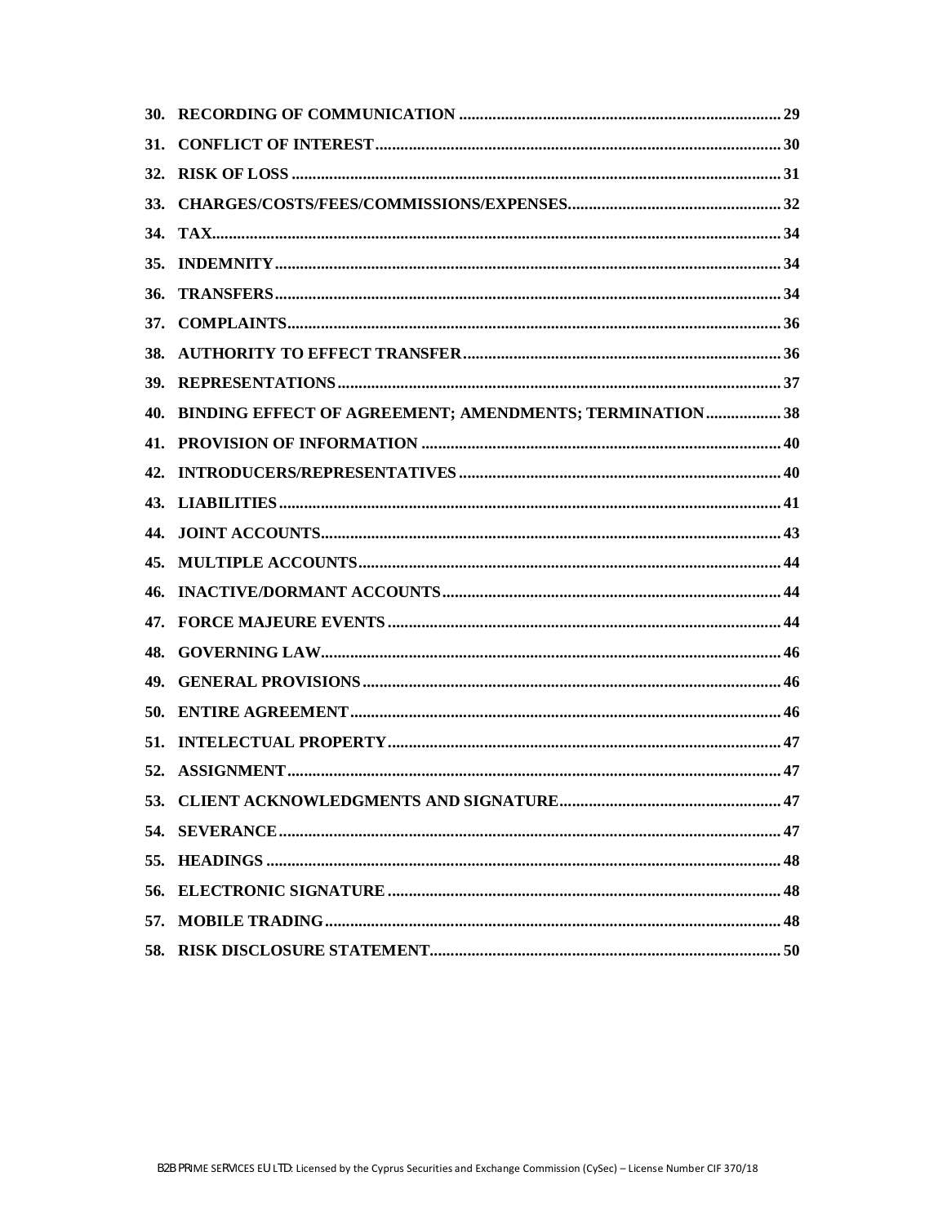| 36. |                                                             |  |
|-----|-------------------------------------------------------------|--|
|     |                                                             |  |
|     |                                                             |  |
|     |                                                             |  |
|     | 40. BINDING EFFECT OF AGREEMENT; AMENDMENTS; TERMINATION 38 |  |
|     |                                                             |  |
|     |                                                             |  |
|     |                                                             |  |
|     |                                                             |  |
|     |                                                             |  |
| 46. |                                                             |  |
|     |                                                             |  |
|     |                                                             |  |
|     |                                                             |  |
|     |                                                             |  |
|     |                                                             |  |
|     |                                                             |  |
|     |                                                             |  |
|     |                                                             |  |
|     |                                                             |  |
|     |                                                             |  |
| 57. |                                                             |  |
|     |                                                             |  |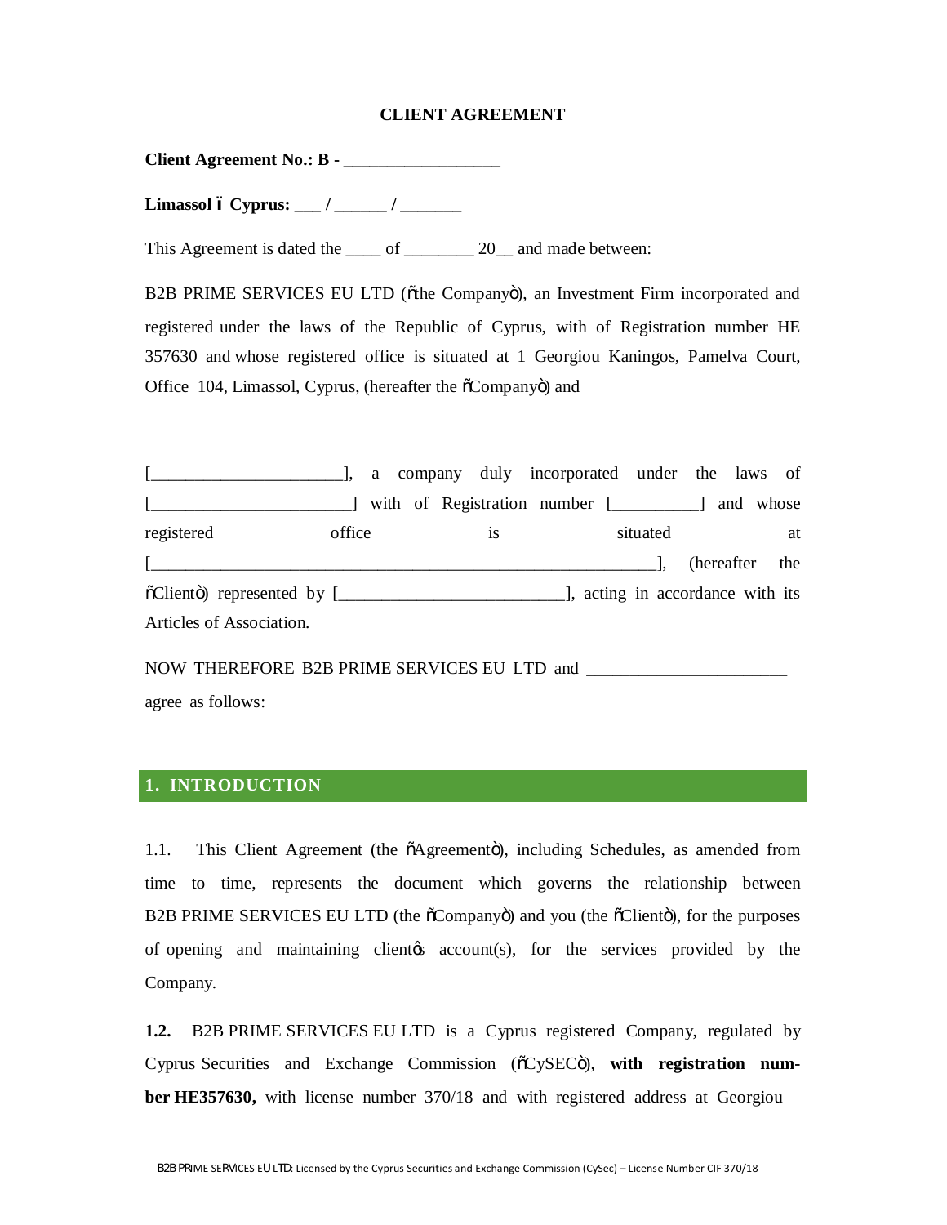#### **CLIENT AGREEMENT**

**Client Agreement No.: B - \_\_\_\_\_\_\_\_\_\_\_\_\_\_\_\_\_\_**

**Limassol – Cyprus: \_\_\_ / \_\_\_\_\_\_ / \_\_\_\_\_\_\_**

This Agreement is dated the \_\_\_\_ of \_\_\_\_\_\_\_ 20\_ and made between:

B2B PRIME SERVICES EU LTD (othe Companyo), an Investment Firm incorporated and registered under the laws of the Republic of Cyprus, with of Registration number HE 357630 and whose registered office is situated at 1 Georgiou Kaningos, Pamelva Court, Office 104, Limassol, Cyprus, (hereafter the  $\tilde{\alpha}$ Companyo) and

[\_\_\_\_\_\_\_\_\_\_\_\_\_\_\_\_\_\_\_\_\_\_], a company duly incorporated under the laws of  $[\underline{\hspace{1cm}}]$  with of Registration number  $[\underline{\hspace{1cm}}]$  and whose registered office is situated at  $\Box$ "Client") represented by [\_\_\_\_\_\_\_\_\_\_\_\_\_\_\_\_\_\_\_\_\_\_\_\_\_\_], acting in accordance with its Articles of Association.

NOW THEREFORE B2B PRIME SERVICES EU LTD and \_\_\_\_\_\_\_\_\_\_\_\_\_\_\_\_\_\_\_\_\_\_\_ agree as follows:

#### **1. INTRODUCTION**

1.1. This Client Agreement (the  $\tilde{o}$ Agreemento), including Schedules, as amended from time to time, represents the document which governs the relationship between B2B PRIME SERVICES EU LTD (the  $\tilde{c}$ Companyö) and you (the  $\tilde{c}$ Clientŏ), for the purposes of opening and maintaining client's account(s), for the services provided by the Company.

**1.2.** B2B PRIME SERVICES EU LTD is a Cyprus registered Company, regulated by Cyprus Securities and Exchange Commission ( $\tilde{C}$ CySEC $\tilde{C}$ ), with registration num**ber HE357630,** with license number 370/18 and with registered address at Georgiou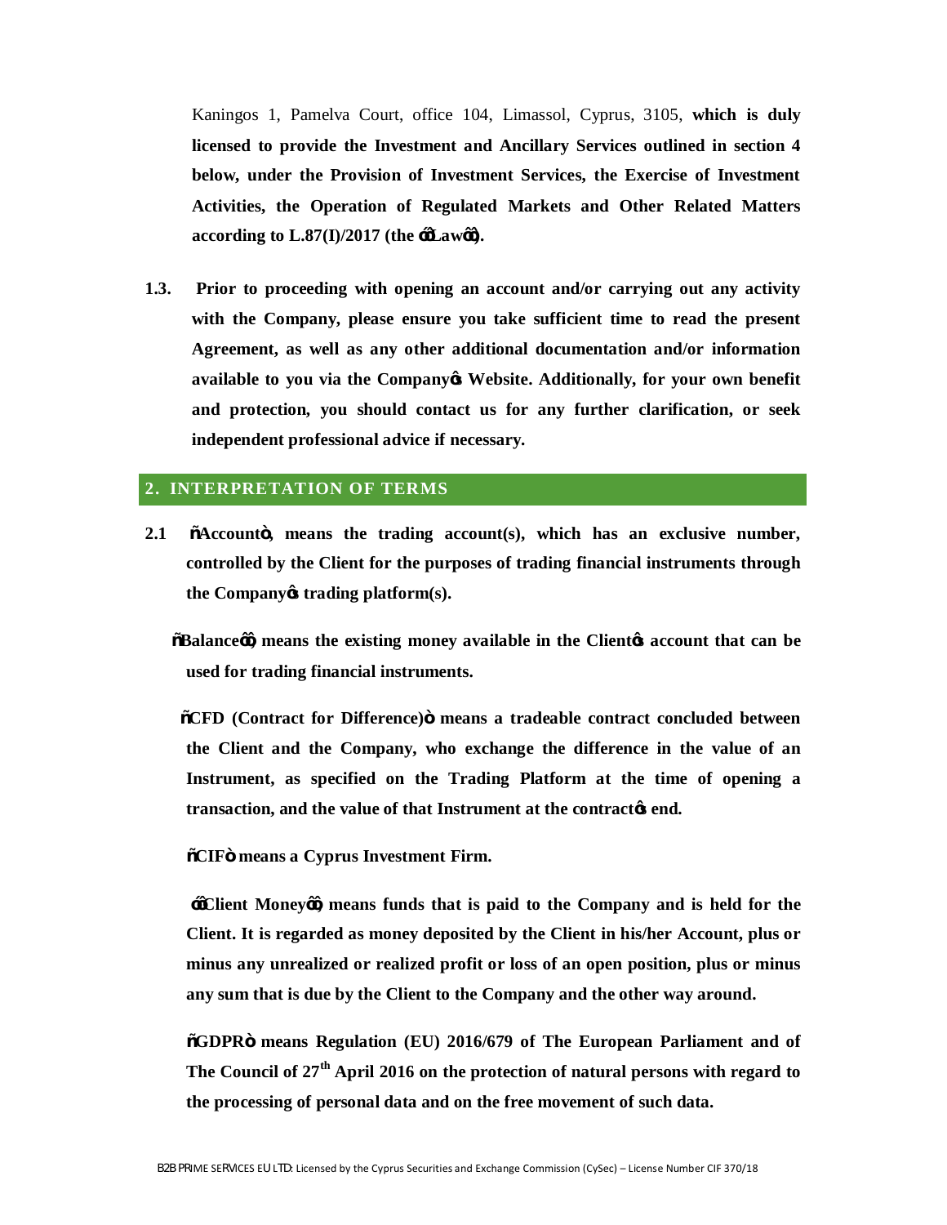Kaningos 1, Pamelva Court, office 104, Limassol, Cyprus, 3105, **which is duly licensed to provide the Investment and Ancillary Services outlined in section 4 below, under the Provision of Investment Services, the Exercise of Investment Activities, the Operation of Regulated Markets and Other Related Matters**  according to  $L.87(I)/2017$  (the  $\div d$ **Law** $\omega$ ).

**1.3. Prior to proceeding with opening an account and/or carrying out any activity with the Company, please ensure you take sufficient time to read the present Agreement, as well as any other additional documentation and/or information available to you via the Company's Website. Additionally, for your own benefit and protection, you should contact us for any further clarification, or seek independent professional advice if necessary.** 

## **2. INTERPRETATION OF TERMS**

**2.1 "Account", means the trading account(s), which has an exclusive number, controlled by the Client for the purposes of trading financial instruments through the Company's trading platform(s).** 

 **"Balance'', means the existing money available in the Client's account that can be used for trading financial instruments.** 

 **"CFD (Contract for Difference)" means a tradeable contract concluded between the Client and the Company, who exchange the difference in the value of an Instrument, as specified on the Trading Platform at the time of opening a transaction, and the value of that Instrument at the contract's end.** 

**"CIF" means a Cyprus Investment Firm.**

**''Client Money'', means funds that is paid to the Company and is held for the Client. It is regarded as money deposited by the Client in his/her Account, plus or minus any unrealized or realized profit or loss of an open position, plus or minus any sum that is due by the Client to the Company and the other way around.**

**"GDPR" means Regulation (EU) 2016/679 of The European Parliament and of The Council of 27th April 2016 on the protection of natural persons with regard to the processing of personal data and on the free movement of such data.**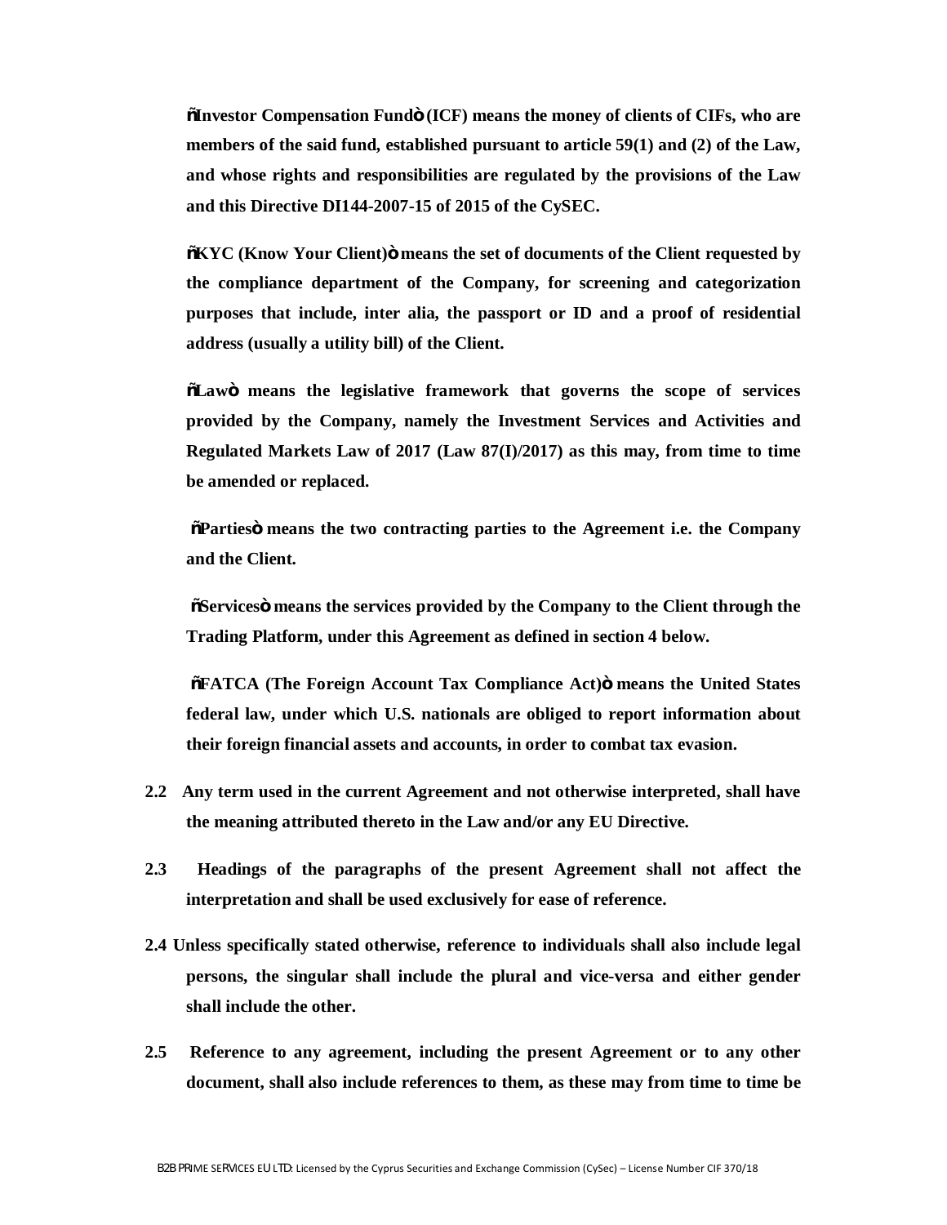**"Investor Compensation Fund" (ICF) means the money of clients of CIFs, who are members of the said fund, established pursuant to article 59(1) and (2) of the Law, and whose rights and responsibilities are regulated by the provisions of the Law and this Directive DI144-2007-15 of 2015 of the CySEC.**

**"KYC (Know Your Client)" means the set of documents of the Client requested by the compliance department of the Company, for screening and categorization purposes that include, inter alia, the passport or ID and a proof of residential address (usually a utility bill) of the Client.** 

**"Law" means the legislative framework that governs the scope of services provided by the Company, namely the Investment Services and Activities and Regulated Markets Law of 2017 (Law 87(I)/2017) as this may, from time to time be amended or replaced.** 

**"Parties" means the two contracting parties to the Agreement i.e. the Company and the Client.** 

**"Services" means the services provided by the Company to the Client through the Trading Platform, under this Agreement as defined in section 4 below.**

**"FATCA (The Foreign Account Tax Compliance Act)" means the United States federal law, under which U.S. nationals are obliged to report information about their foreign financial assets and accounts, in order to combat tax evasion.** 

- **2.2 Any term used in the current Agreement and not otherwise interpreted, shall have the meaning attributed thereto in the Law and/or any EU Directive.**
- **2.3 Headings of the paragraphs of the present Agreement shall not affect the interpretation and shall be used exclusively for ease of reference.**
- **2.4 Unless specifically stated otherwise, reference to individuals shall also include legal persons, the singular shall include the plural and vice-versa and either gender shall include the other.**
- **2.5 Reference to any agreement, including the present Agreement or to any other document, shall also include references to them, as these may from time to time be**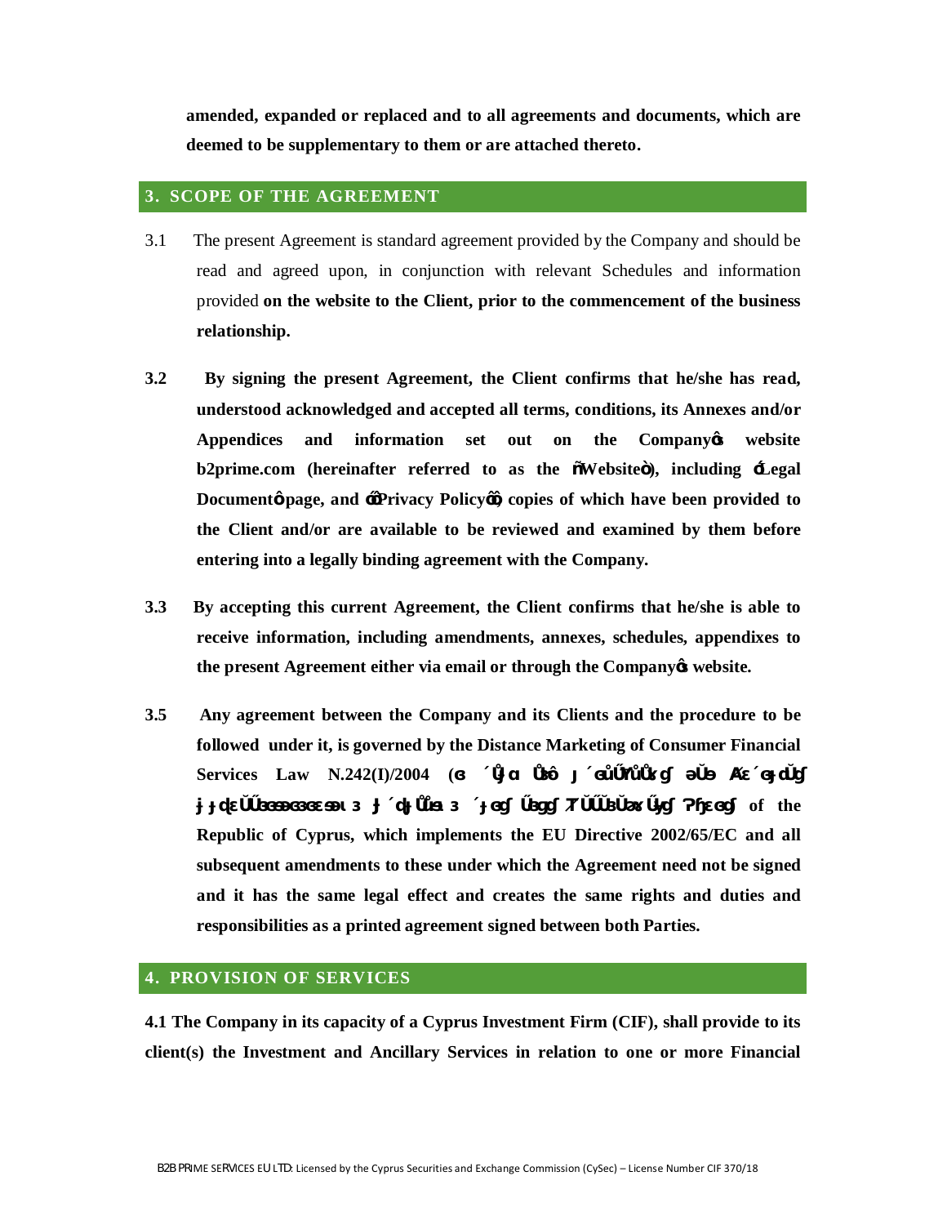**amended, expanded or replaced and to all agreements and documents, which are deemed to be supplementary to them or are attached thereto.**

# **3. SCOPE OF THE AGREEMENT**

- 3.1 The present Agreement is standard agreement provided by the Company and should be read and agreed upon, in conjunction with relevant Schedules and information provided **on the website to the Client, prior to the commencement of the business relationship.**
- **3.2 By signing the present Agreement, the Client confirms that he/she has read, understood acknowledged and accepted all terms, conditions, its Annexes and/or Appendices and information set out on the Company's website b2prime.com (hereinafter referred to as the "Website"), including 'Legal Documents** page, and  $\frac{1}{2}$ **Privacy Policy**  $\frac{1}{2}$  copies of which have been provided to **the Client and/or are available to be reviewed and examined by them before entering into a legally binding agreement with the Company.**
- **3.3 By accepting this current Agreement, the Client confirms that he/she is able to receive information, including amendments, annexes, schedules, appendixes to the present Agreement either via email or through the Company's website.**
- **3.5 Any agreement between the Company and its Clients and the procedure to be followed under it, is governed by the Distance Marketing of Consumer Financial Services Law N.242(I)/2004 (** *n*

**Χρηματοοικονομικών Υπηρεσιών προς τους Καταναλωτές Νόμος) of the** 

**Republic of Cyprus, which implements the EU Directive 2002/65/EC and all subsequent amendments to these under which the Agreement need not be signed and it has the same legal effect and creates the same rights and duties and responsibilities as a printed agreement signed between both Parties.**

## **4. PROVISION OF SERVICES**

**4.1 The Company in its capacity of a Cyprus Investment Firm (CIF), shall provide to its client(s) the Investment and Ancillary Services in relation to one or more Financial**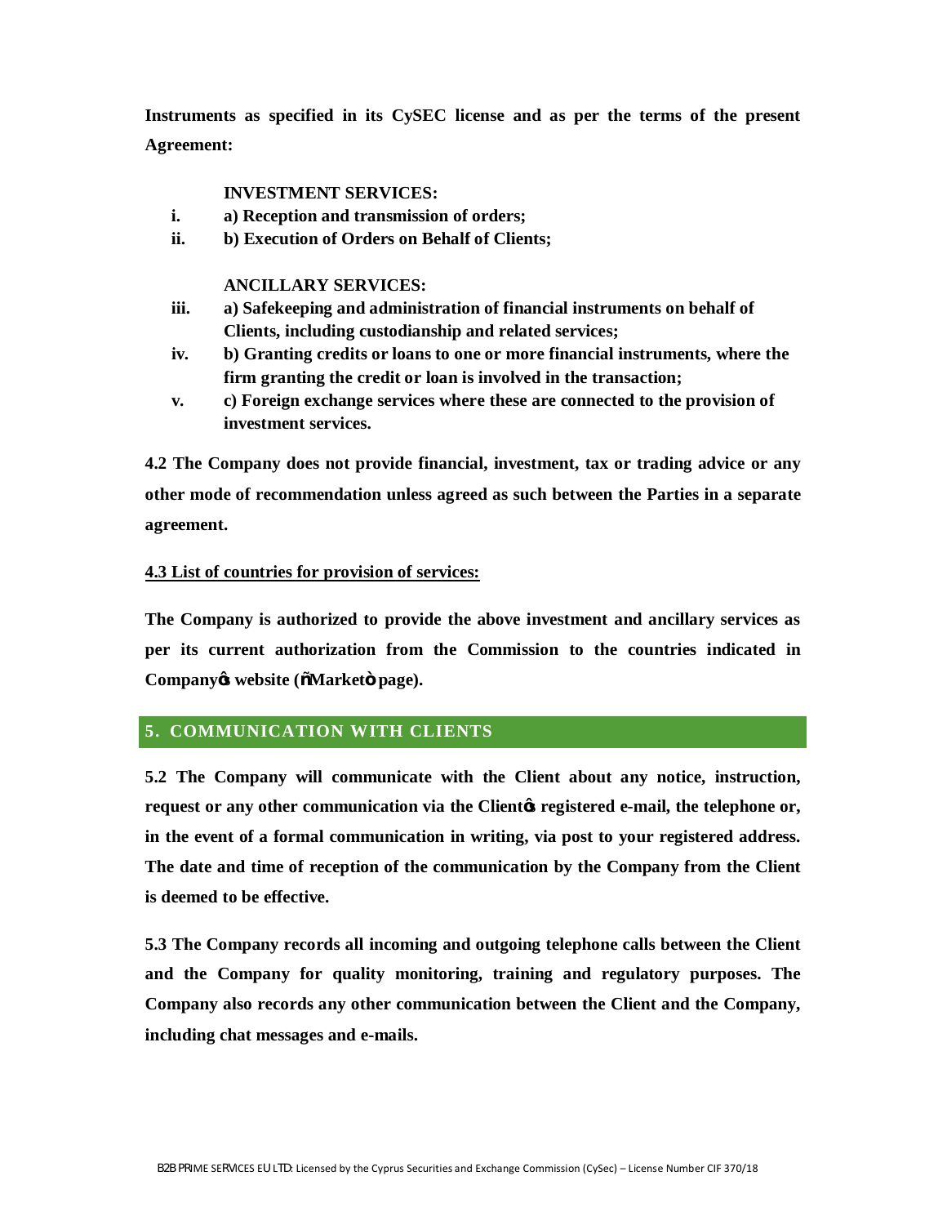**Instruments as specified in its CySEC license and as per the terms of the present Agreement:**

## **INVESTMENT SERVICES:**

- **i. a) Reception and transmission of orders;**
- **ii. b) Execution of Orders on Behalf of Clients;**

#### **ANCILLARY SERVICES:**

- **iii. a) Safekeeping and administration of financial instruments on behalf of Clients, including custodianship and related services;**
- **iv. b) Granting credits or loans to one or more financial instruments, where the firm granting the credit or loan is involved in the transaction;**
- **v. c) Foreign exchange services where these are connected to the provision of investment services.**

**4.2 The Company does not provide financial, investment, tax or trading advice or any other mode of recommendation unless agreed as such between the Parties in a separate agreement.** 

#### **4.3 List of countries for provision of services:**

**The Company is authorized to provide the above investment and ancillary services as per its current authorization from the Commission to the countries indicated in Company's website ("Market" page).**

# **5. COMMUNICATION WITH CLIENTS**

**5.2 The Company will communicate with the Client about any notice, instruction, request or any other communication via the Client's registered e-mail, the telephone or, in the event of a formal communication in writing, via post to your registered address. The date and time of reception of the communication by the Company from the Client is deemed to be effective.** 

**5.3 The Company records all incoming and outgoing telephone calls between the Client and the Company for quality monitoring, training and regulatory purposes. The Company also records any other communication between the Client and the Company, including chat messages and e-mails.**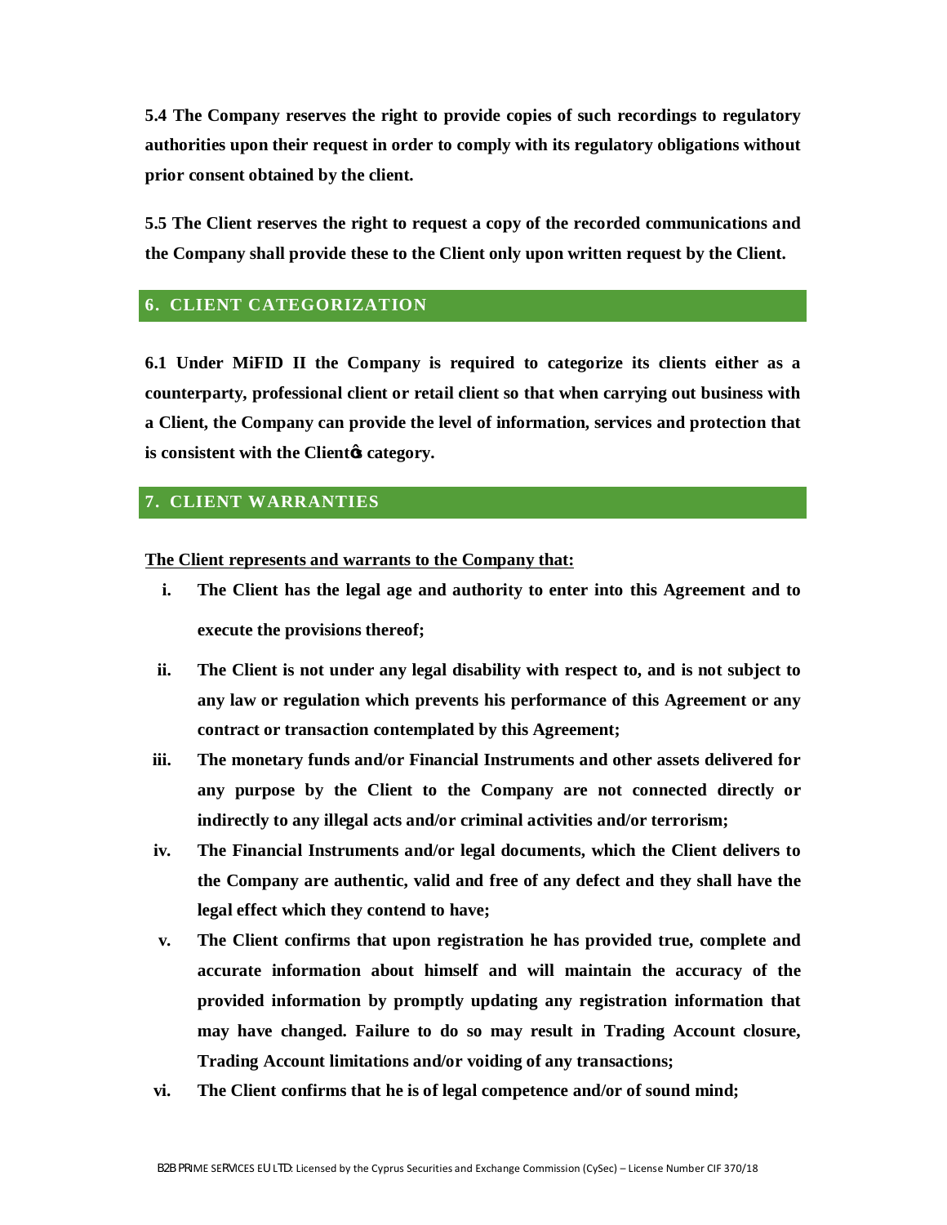**5.4 The Company reserves the right to provide copies of such recordings to regulatory authorities upon their request in order to comply with its regulatory obligations without prior consent obtained by the client.** 

**5.5 The Client reserves the right to request a copy of the recorded communications and the Company shall provide these to the Client only upon written request by the Client.** 

#### **6. CLIENT CATEGORIZATION**

**6.1 Under MiFID II the Company is required to categorize its clients either as a counterparty, professional client or retail client so that when carrying out business with a Client, the Company can provide the level of information, services and protection that is consistent with the Client's category.** 

## **7. CLIENT WARRANTIES**

**The Client represents and warrants to the Company that:**

- **i. The Client has the legal age and authority to enter into this Agreement and to execute the provisions thereof;**
- **ii. The Client is not under any legal disability with respect to, and is not subject to any law or regulation which prevents his performance of this Agreement or any contract or transaction contemplated by this Agreement;**
- **iii. The monetary funds and/or Financial Instruments and other assets delivered for any purpose by the Client to the Company are not connected directly or indirectly to any illegal acts and/or criminal activities and/or terrorism;**
- **iv. The Financial Instruments and/or legal documents, which the Client delivers to the Company are authentic, valid and free of any defect and they shall have the legal effect which they contend to have;**
- **v. The Client confirms that upon registration he has provided true, complete and accurate information about himself and will maintain the accuracy of the provided information by promptly updating any registration information that may have changed. Failure to do so may result in Trading Account closure, Trading Account limitations and/or voiding of any transactions;**
- **vi. The Client confirms that he is of legal competence and/or of sound mind;**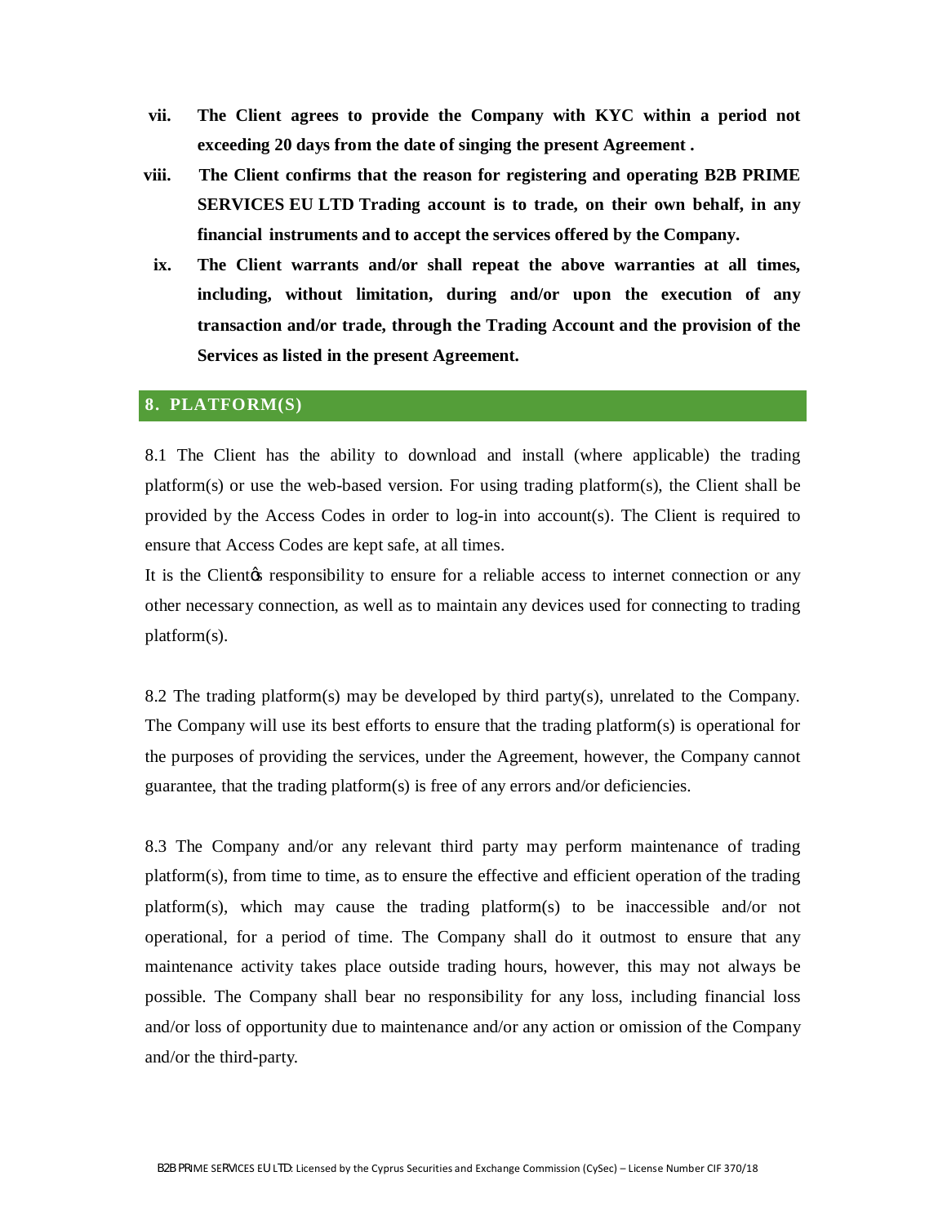- **vii. The Client agrees to provide the Company with KYC within a period not exceeding 20 days from the date of singing the present Agreement .**
- **viii. The Client confirms that the reason for registering and operating B2B PRIME SERVICES EU LTD Trading account is to trade, on their own behalf, in any financial instruments and to accept the services offered by the Company.**
- **ix. The Client warrants and/or shall repeat the above warranties at all times, including, without limitation, during and/or upon the execution of any transaction and/or trade, through the Trading Account and the provision of the Services as listed in the present Agreement.**

#### **8. PLATFORM(S)**

8.1 The Client has the ability to download and install (where applicable) the trading platform(s) or use the web-based version. For using trading platform(s), the Client shall be provided by the Access Codes in order to log-in into account(s). The Client is required to ensure that Access Codes are kept safe, at all times.

It is the Client the responsibility to ensure for a reliable access to internet connection or any other necessary connection, as well as to maintain any devices used for connecting to trading platform(s).

8.2 The trading platform(s) may be developed by third party(s), unrelated to the Company. The Company will use its best efforts to ensure that the trading platform(s) is operational for the purposes of providing the services, under the Agreement, however, the Company cannot guarantee, that the trading platform(s) is free of any errors and/or deficiencies.

8.3 The Company and/or any relevant third party may perform maintenance of trading platform(s), from time to time, as to ensure the effective and efficient operation of the trading platform(s), which may cause the trading platform(s) to be inaccessible and/or not operational, for a period of time. The Company shall do it outmost to ensure that any maintenance activity takes place outside trading hours, however, this may not always be possible. The Company shall bear no responsibility for any loss, including financial loss and/or loss of opportunity due to maintenance and/or any action or omission of the Company and/or the third-party.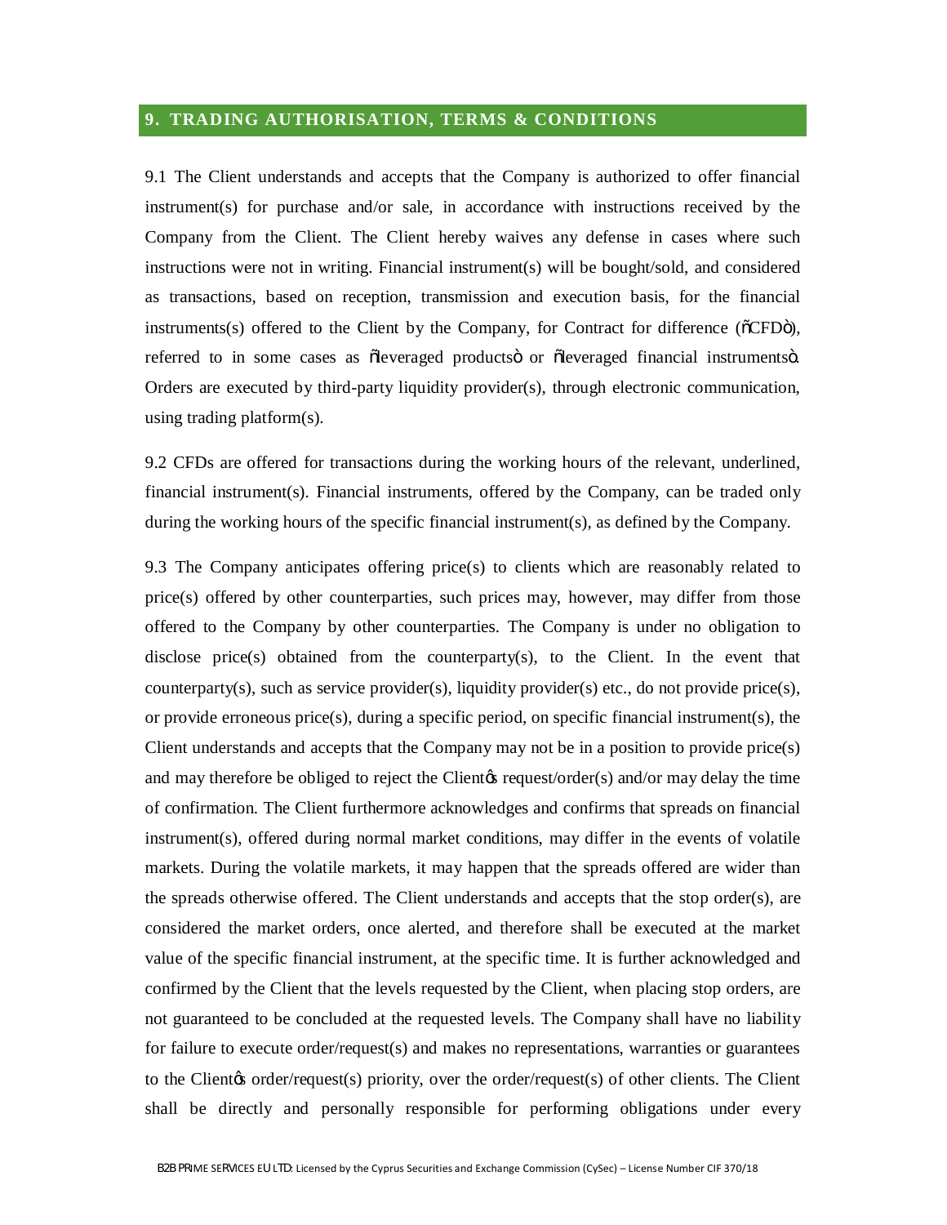# **9. TRADING AUTHORISATION, TERMS & CONDITIONS**

9.1 The Client understands and accepts that the Company is authorized to offer financial instrument(s) for purchase and/or sale, in accordance with instructions received by the Company from the Client. The Client hereby waives any defense in cases where such instructions were not in writing. Financial instrument(s) will be bought/sold, and considered as transactions, based on reception, transmission and execution basis, for the financial instruments(s) offered to the Client by the Company, for Contract for difference ( $\delta$ CFD $\delta$ ), referred to in some cases as oleveraged products or oleveraged financial instruments o. Orders are executed by third-party liquidity provider(s), through electronic communication, using trading platform(s).

9.2 CFDs are offered for transactions during the working hours of the relevant, underlined, financial instrument(s). Financial instruments, offered by the Company, can be traded only during the working hours of the specific financial instrument(s), as defined by the Company.

9.3 The Company anticipates offering price(s) to clients which are reasonably related to price(s) offered by other counterparties, such prices may, however, may differ from those offered to the Company by other counterparties. The Company is under no obligation to disclose price(s) obtained from the counterparty(s), to the Client. In the event that counterparty(s), such as service provider(s), liquidity provider(s) etc., do not provide price(s), or provide erroneous price(s), during a specific period, on specific financial instrument(s), the Client understands and accepts that the Company may not be in a position to provide price(s) and may therefore be obliged to reject the Client *g* request/order(s) and/or may delay the time of confirmation. The Client furthermore acknowledges and confirms that spreads on financial instrument(s), offered during normal market conditions, may differ in the events of volatile markets. During the volatile markets, it may happen that the spreads offered are wider than the spreads otherwise offered. The Client understands and accepts that the stop order(s), are considered the market orders, once alerted, and therefore shall be executed at the market value of the specific financial instrument, at the specific time. It is further acknowledged and confirmed by the Client that the levels requested by the Client, when placing stop orders, are not guaranteed to be concluded at the requested levels. The Company shall have no liability for failure to execute order/request(s) and makes no representations, warranties or guarantees to the Client $\alpha$  order/request(s) priority, over the order/request(s) of other clients. The Client shall be directly and personally responsible for performing obligations under every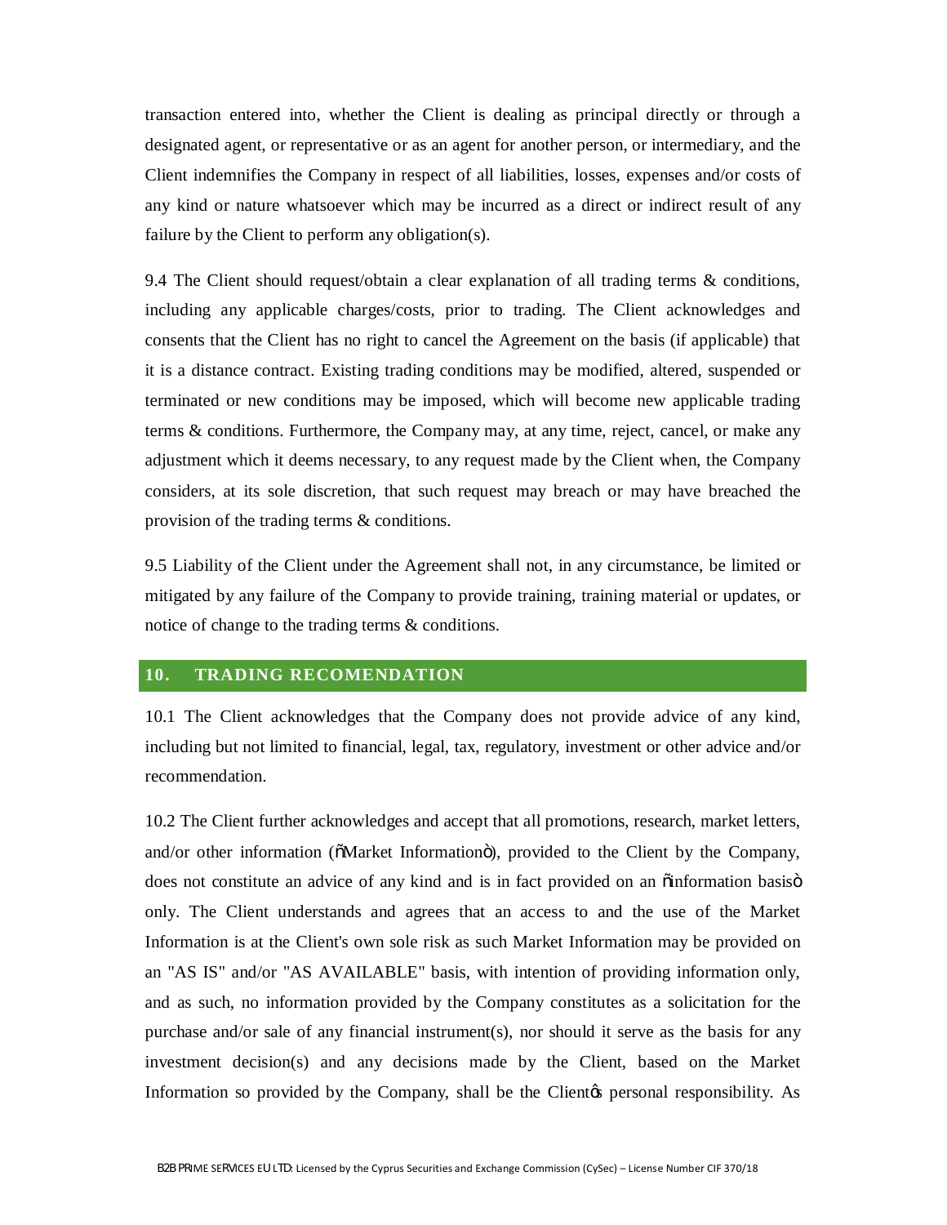transaction entered into, whether the Client is dealing as principal directly or through a designated agent, or representative or as an agent for another person, or intermediary, and the Client indemnifies the Company in respect of all liabilities, losses, expenses and/or costs of any kind or nature whatsoever which may be incurred as a direct or indirect result of any failure by the Client to perform any obligation(s).

9.4 The Client should request/obtain a clear explanation of all trading terms & conditions, including any applicable charges/costs, prior to trading. The Client acknowledges and consents that the Client has no right to cancel the Agreement on the basis (if applicable) that it is a distance contract. Existing trading conditions may be modified, altered, suspended or terminated or new conditions may be imposed, which will become new applicable trading terms & conditions. Furthermore, the Company may, at any time, reject, cancel, or make any adjustment which it deems necessary, to any request made by the Client when, the Company considers, at its sole discretion, that such request may breach or may have breached the provision of the trading terms & conditions.

9.5 Liability of the Client under the Agreement shall not, in any circumstance, be limited or mitigated by any failure of the Company to provide training, training material or updates, or notice of change to the trading terms & conditions.

#### **10. TRADING RECOMENDATION**

10.1 The Client acknowledges that the Company does not provide advice of any kind, including but not limited to financial, legal, tax, regulatory, investment or other advice and/or recommendation.

10.2 The Client further acknowledges and accept that all promotions, research, market letters, and/or other information ( $\delta$ Market Information $\delta$ ), provided to the Client by the Company, does not constitute an advice of any kind and is in fact provided on an  $\ddot{\text{o}}$  information basis  $\ddot{\text{o}}$ only. The Client understands and agrees that an access to and the use of the Market Information is at the Client's own sole risk as such Market Information may be provided on an "AS IS" and/or "AS AVAILABLE" basis, with intention of providing information only, and as such, no information provided by the Company constitutes as a solicitation for the purchase and/or sale of any financial instrument(s), nor should it serve as the basis for any investment decision(s) and any decisions made by the Client, based on the Market Information so provided by the Company, shall be the Client the personal responsibility. As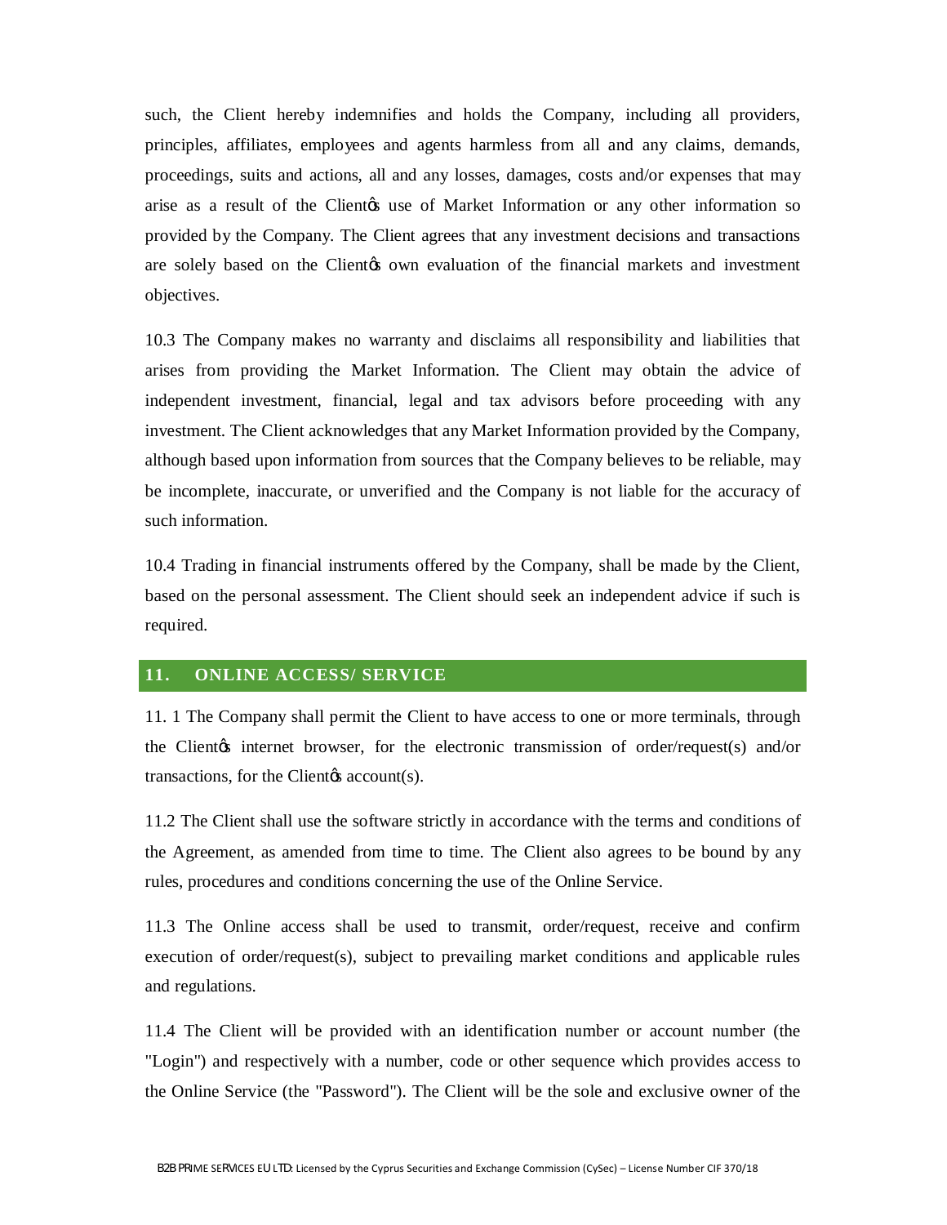such, the Client hereby indemnifies and holds the Company, including all providers, principles, affiliates, employees and agents harmless from all and any claims, demands, proceedings, suits and actions, all and any losses, damages, costs and/or expenses that may arise as a result of the Client to use of Market Information or any other information so provided by the Company. The Client agrees that any investment decisions and transactions are solely based on the Client to own evaluation of the financial markets and investment objectives.

10.3 The Company makes no warranty and disclaims all responsibility and liabilities that arises from providing the Market Information. The Client may obtain the advice of independent investment, financial, legal and tax advisors before proceeding with any investment. The Client acknowledges that any Market Information provided by the Company, although based upon information from sources that the Company believes to be reliable, may be incomplete, inaccurate, or unverified and the Company is not liable for the accuracy of such information.

10.4 Trading in financial instruments offered by the Company, shall be made by the Client, based on the personal assessment. The Client should seek an independent advice if such is required.

#### **11. ONLINE ACCESS/ SERVICE**

11. 1 The Company shall permit the Client to have access to one or more terminals, through the Client<sub>of</sub> internet browser, for the electronic transmission of order/request(s) and/or transactions, for the Client $\alpha$  account(s).

11.2 The Client shall use the software strictly in accordance with the terms and conditions of the Agreement, as amended from time to time. The Client also agrees to be bound by any rules, procedures and conditions concerning the use of the Online Service.

11.3 The Online access shall be used to transmit, order/request, receive and confirm execution of order/request(s), subject to prevailing market conditions and applicable rules and regulations.

11.4 The Client will be provided with an identification number or account number (the "Login") and respectively with a number, code or other sequence which provides access to the Online Service (the "Password"). The Client will be the sole and exclusive owner of the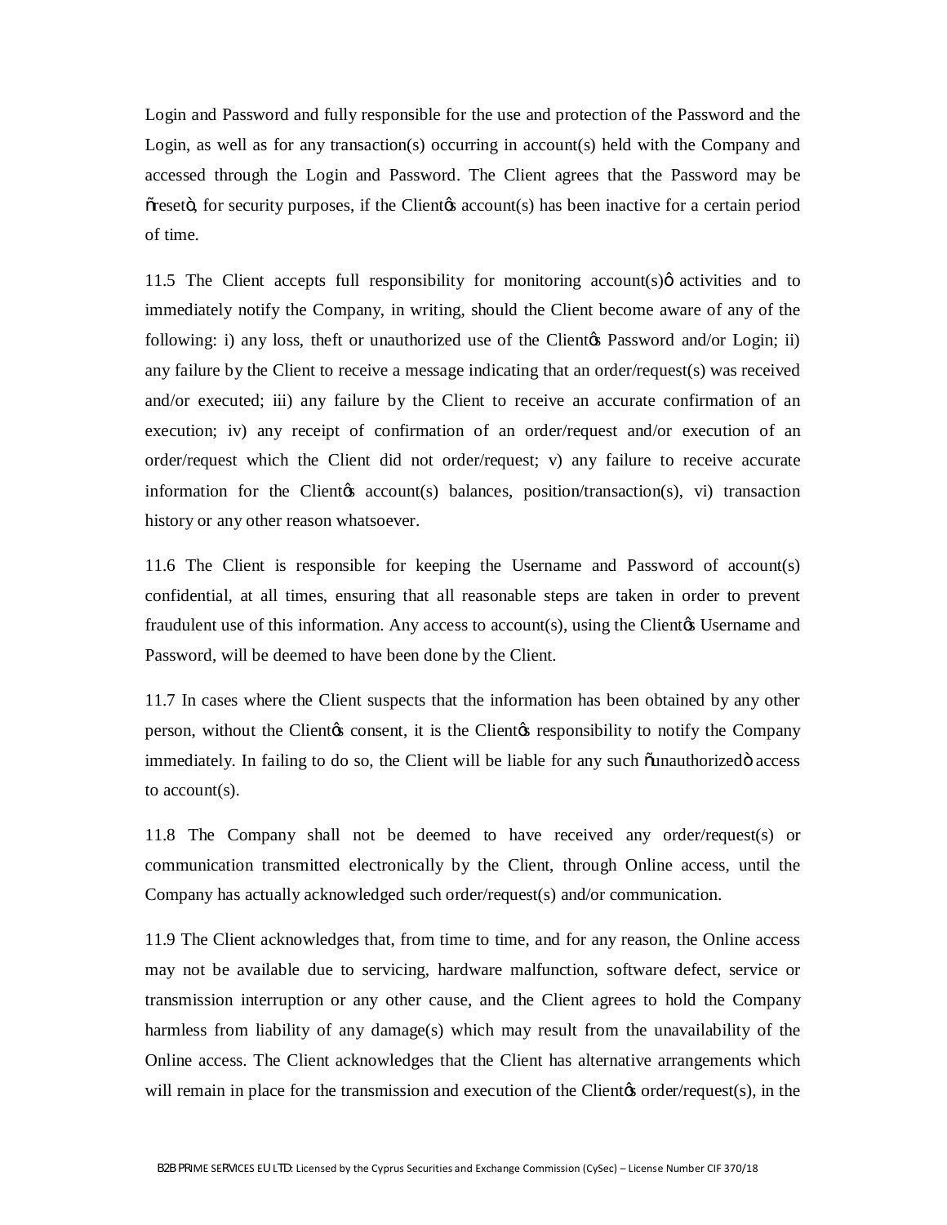Login and Password and fully responsible for the use and protection of the Password and the Login, as well as for any transaction(s) occurring in account(s) held with the Company and accessed through the Login and Password. The Client agrees that the Password may be  $\tilde{\sigma}$  reset  $\tilde{\sigma}$ , for security purposes, if the Client  $\alpha$  account(s) has been inactive for a certain period of time.

11.5 The Client accepts full responsibility for monitoring account(s) $\varphi$  activities and to immediately notify the Company, in writing, should the Client become aware of any of the following: i) any loss, theft or unauthorized use of the Client & Password and/or Login; ii) any failure by the Client to receive a message indicating that an order/request(s) was received and/or executed; iii) any failure by the Client to receive an accurate confirmation of an execution; iv) any receipt of confirmation of an order/request and/or execution of an order/request which the Client did not order/request; v) any failure to receive accurate information for the Client<sub>(s</sub> account(s) balances, position/transaction(s), vi) transaction history or any other reason whatsoever.

11.6 The Client is responsible for keeping the Username and Password of account(s) confidential, at all times, ensuring that all reasonable steps are taken in order to prevent fraudulent use of this information. Any access to account(s), using the Client $\alpha$  Username and Password, will be deemed to have been done by the Client.

11.7 In cases where the Client suspects that the information has been obtained by any other person, without the Client is consent, it is the Client is responsibility to notify the Company immediately. In failing to do so, the Client will be liable for any such  $\ddot{o}$  access access to account(s).

11.8 The Company shall not be deemed to have received any order/request(s) or communication transmitted electronically by the Client, through Online access, until the Company has actually acknowledged such order/request(s) and/or communication.

11.9 The Client acknowledges that, from time to time, and for any reason, the Online access may not be available due to servicing, hardware malfunction, software defect, service or transmission interruption or any other cause, and the Client agrees to hold the Company harmless from liability of any damage(s) which may result from the unavailability of the Online access. The Client acknowledges that the Client has alternative arrangements which will remain in place for the transmission and execution of the Clientos order/request(s), in the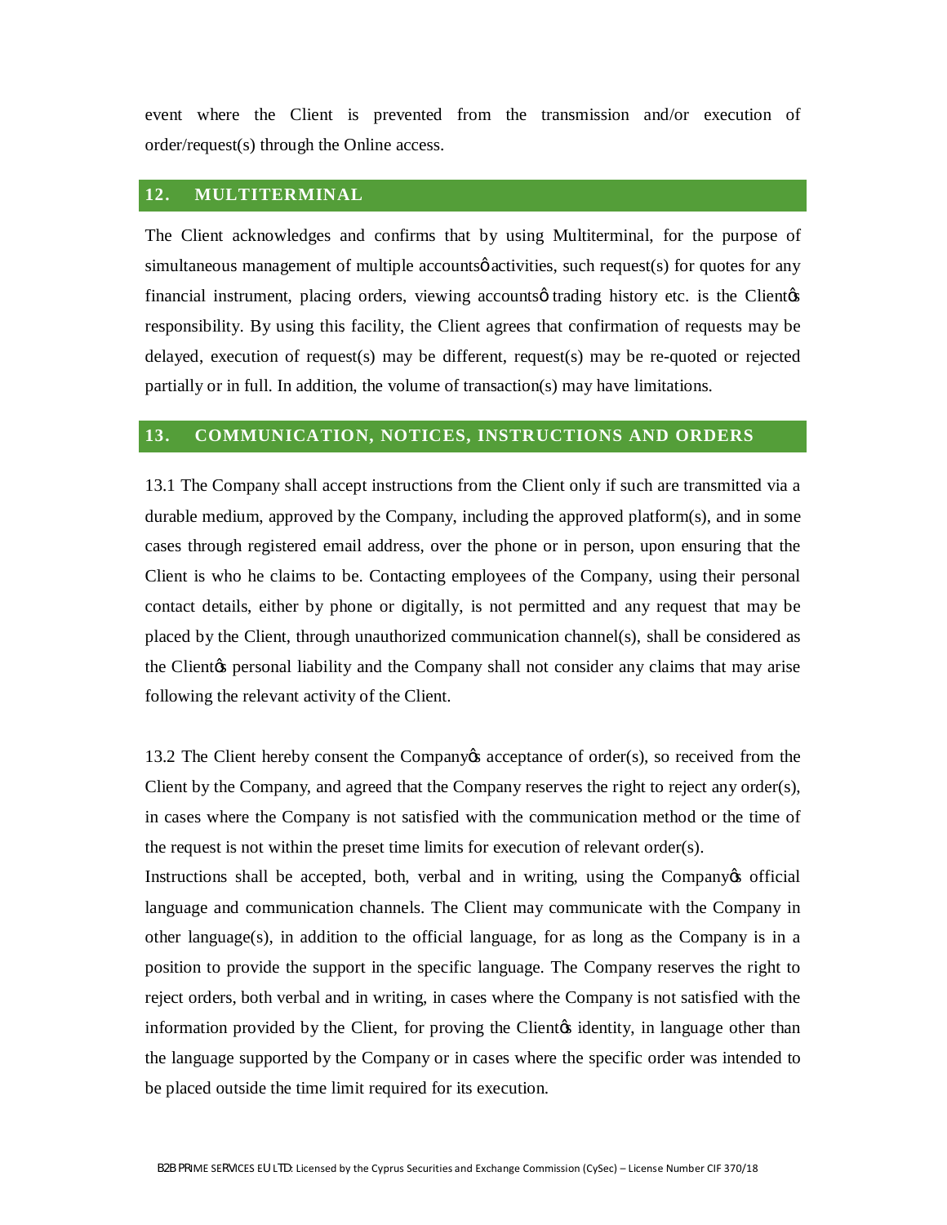event where the Client is prevented from the transmission and/or execution of order/request(s) through the Online access.

#### **12. MULTITERMINAL**

The Client acknowledges and confirms that by using Multiterminal, for the purpose of simultaneous management of multiple accounts activities, such request(s) for quotes for any financial instrument, placing orders, viewing accounts otrading history etc. is the Client  $\alpha$ responsibility. By using this facility, the Client agrees that confirmation of requests may be delayed, execution of request(s) may be different, request(s) may be re-quoted or rejected partially or in full. In addition, the volume of transaction(s) may have limitations.

#### **13. COMMUNICATION, NOTICES, INSTRUCTIONS AND ORDERS**

13.1 The Company shall accept instructions from the Client only if such are transmitted via a durable medium, approved by the Company, including the approved platform(s), and in some cases through registered email address, over the phone or in person, upon ensuring that the Client is who he claims to be. Contacting employees of the Company, using their personal contact details, either by phone or digitally, is not permitted and any request that may be placed by the Client, through unauthorized communication channel(s), shall be considered as the Client<sub>/S</sub> personal liability and the Company shall not consider any claims that may arise following the relevant activity of the Client.

13.2 The Client hereby consent the Company's acceptance of order(s), so received from the Client by the Company, and agreed that the Company reserves the right to reject any order(s), in cases where the Company is not satisfied with the communication method or the time of the request is not within the preset time limits for execution of relevant order(s).

Instructions shall be accepted, both, verbal and in writing, using the Company of ficial language and communication channels. The Client may communicate with the Company in other language(s), in addition to the official language, for as long as the Company is in a position to provide the support in the specific language. The Company reserves the right to reject orders, both verbal and in writing, in cases where the Company is not satisfied with the information provided by the Client, for proving the Client identity, in language other than the language supported by the Company or in cases where the specific order was intended to be placed outside the time limit required for its execution.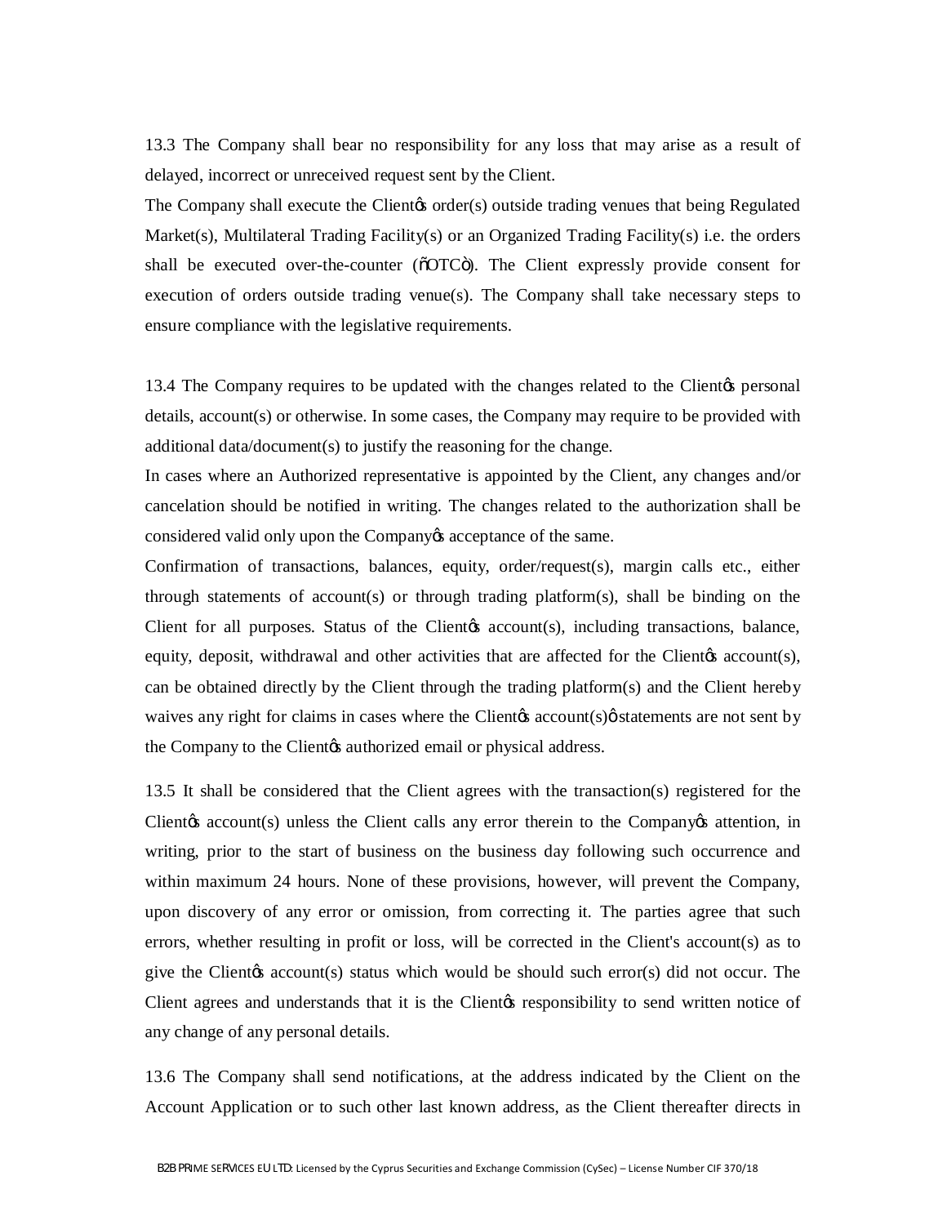13.3 The Company shall bear no responsibility for any loss that may arise as a result of delayed, incorrect or unreceived request sent by the Client.

The Company shall execute the Clientos order(s) outside trading venues that being Regulated Market(s), Multilateral Trading Facility(s) or an Organized Trading Facility(s) i.e. the orders shall be executed over-the-counter ( $\delta$ OTC $\ddot{\text{o}}$ ). The Client expressly provide consent for execution of orders outside trading venue(s). The Company shall take necessary steps to ensure compliance with the legislative requirements.

13.4 The Company requires to be updated with the changes related to the Client<sub>'s</sub> personal details, account(s) or otherwise. In some cases, the Company may require to be provided with additional data/document(s) to justify the reasoning for the change.

In cases where an Authorized representative is appointed by the Client, any changes and/or cancelation should be notified in writing. The changes related to the authorization shall be considered valid only upon the Company  $\alpha$  acceptance of the same.

Confirmation of transactions, balances, equity, order/request(s), margin calls etc., either through statements of account(s) or through trading platform(s), shall be binding on the Client for all purposes. Status of the Client of account (s), including transactions, balance, equity, deposit, withdrawal and other activities that are affected for the Client  $\alpha$  account(s), can be obtained directly by the Client through the trading platform(s) and the Client hereby waives any right for claims in cases where the Client  $\alpha$  account  $(s)\beta$  statements are not sent by the Company to the Client the authorized email or physical address.

13.5 It shall be considered that the Client agrees with the transaction(s) registered for the Client $\alpha$  account(s) unless the Client calls any error therein to the Company $\alpha$  attention, in writing, prior to the start of business on the business day following such occurrence and within maximum 24 hours. None of these provisions, however, will prevent the Company, upon discovery of any error or omission, from correcting it. The parties agree that such errors, whether resulting in profit or loss, will be corrected in the Client's account(s) as to give the Client $\alpha$  account(s) status which would be should such error(s) did not occur. The Client agrees and understands that it is the Client the responsibility to send written notice of any change of any personal details.

13.6 The Company shall send notifications, at the address indicated by the Client on the Account Application or to such other last known address, as the Client thereafter directs in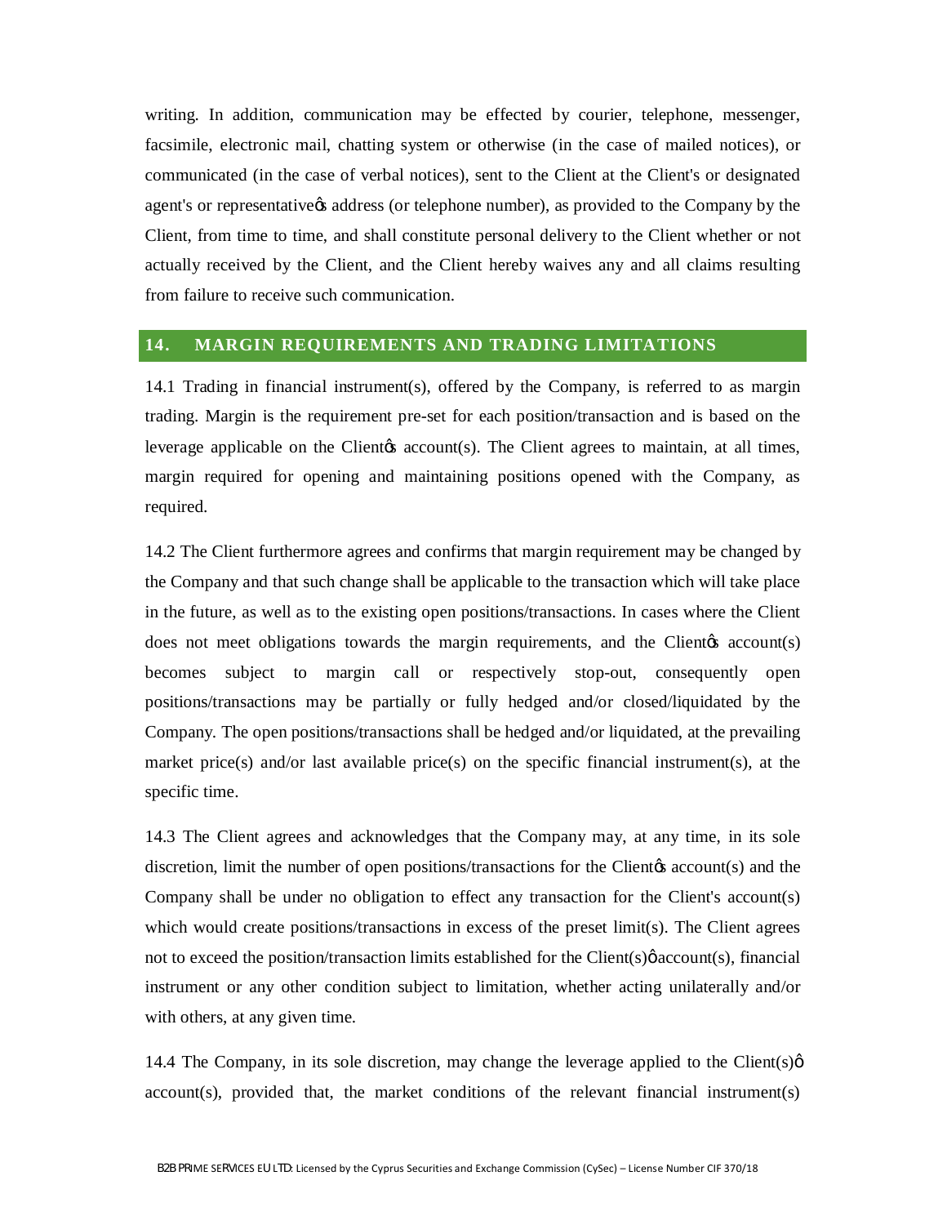writing. In addition, communication may be effected by courier, telephone, messenger, facsimile, electronic mail, chatting system or otherwise (in the case of mailed notices), or communicated (in the case of verbal notices), sent to the Client at the Client's or designated agent's or representative ts address (or telephone number), as provided to the Company by the Client, from time to time, and shall constitute personal delivery to the Client whether or not actually received by the Client, and the Client hereby waives any and all claims resulting from failure to receive such communication.

#### **14. MARGIN REQUIREMENTS AND TRADING LIMITATIONS**

14.1 Trading in financial instrument(s), offered by the Company, is referred to as margin trading. Margin is the requirement pre-set for each position/transaction and is based on the leverage applicable on the Client account (s). The Client agrees to maintain, at all times, margin required for opening and maintaining positions opened with the Company, as required.

14.2 The Client furthermore agrees and confirms that margin requirement may be changed by the Company and that such change shall be applicable to the transaction which will take place in the future, as well as to the existing open positions/transactions. In cases where the Client does not meet obligations towards the margin requirements, and the Client (s) account (s) becomes subject to margin call or respectively stop-out, consequently open positions/transactions may be partially or fully hedged and/or closed/liquidated by the Company. The open positions/transactions shall be hedged and/or liquidated, at the prevailing market price(s) and/or last available price(s) on the specific financial instrument(s), at the specific time.

14.3 The Client agrees and acknowledges that the Company may, at any time, in its sole discretion, limit the number of open positions/transactions for the Client<sub>( $\&$ </sub> account( $\&$ ) and the Company shall be under no obligation to effect any transaction for the Client's account(s) which would create positions/transactions in excess of the preset  $\lim_{s \to s} f(s)$ . The Client agrees not to exceed the position/transaction limits established for the Client(s) $\phi$  account(s), financial instrument or any other condition subject to limitation, whether acting unilaterally and/or with others, at any given time.

14.4 The Company, in its sole discretion, may change the leverage applied to the Client(s) $\varphi$ account(s), provided that, the market conditions of the relevant financial instrument(s)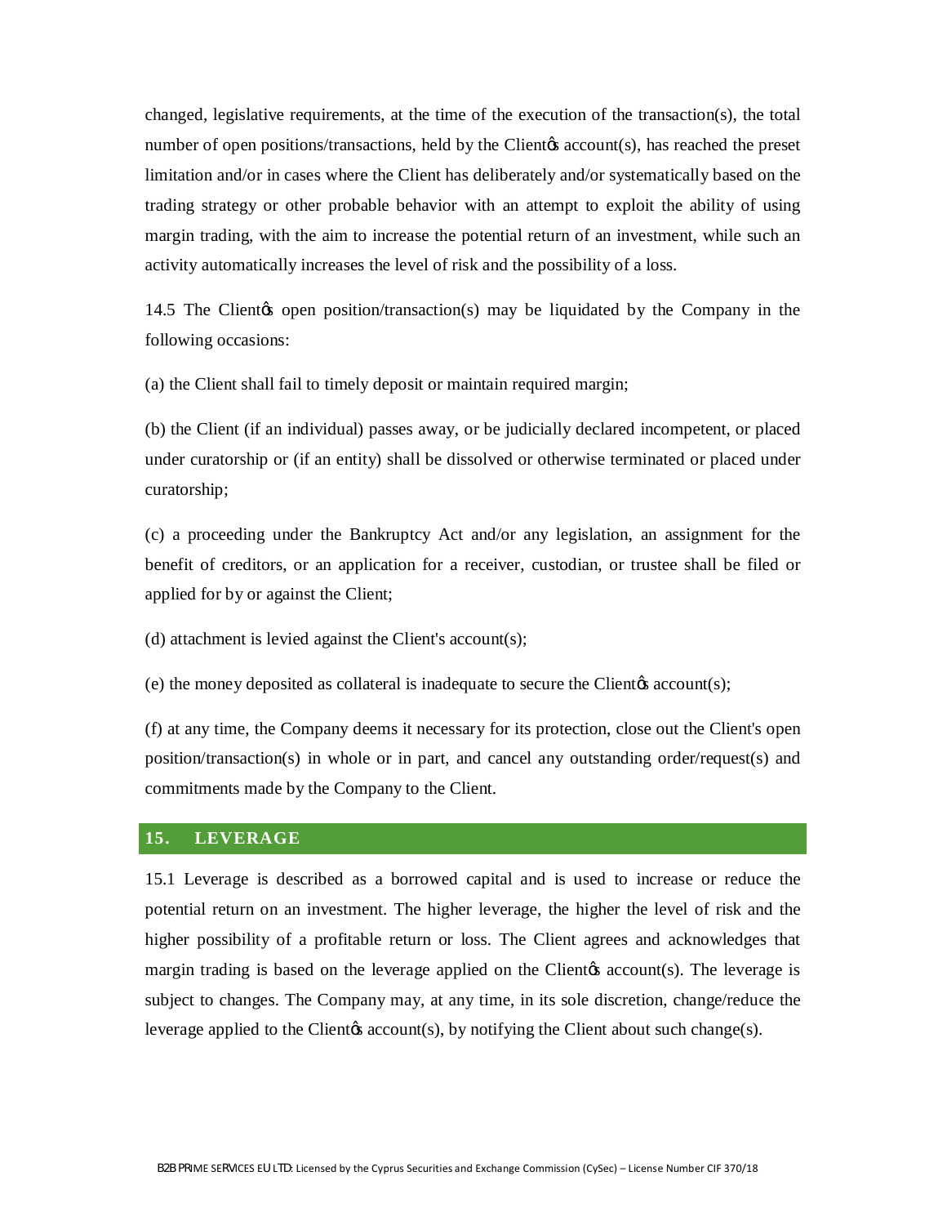changed, legislative requirements, at the time of the execution of the transaction(s), the total number of open positions/transactions, held by the Client  $\alpha$  account(s), has reached the preset limitation and/or in cases where the Client has deliberately and/or systematically based on the trading strategy or other probable behavior with an attempt to exploit the ability of using margin trading, with the aim to increase the potential return of an investment, while such an activity automatically increases the level of risk and the possibility of a loss.

14.5 The Clientos open position/transaction(s) may be liquidated by the Company in the following occasions:

(a) the Client shall fail to timely deposit or maintain required margin;

(b) the Client (if an individual) passes away, or be judicially declared incompetent, or placed under curatorship or (if an entity) shall be dissolved or otherwise terminated or placed under curatorship;

(c) a proceeding under the Bankruptcy Act and/or any legislation, an assignment for the benefit of creditors, or an application for a receiver, custodian, or trustee shall be filed or applied for by or against the Client;

(d) attachment is levied against the Client's account(s);

(e) the money deposited as collateral is inadequate to secure the Client $\alpha$  account(s);

(f) at any time, the Company deems it necessary for its protection, close out the Client's open position/transaction(s) in whole or in part, and cancel any outstanding order/request(s) and commitments made by the Company to the Client.

## **15. LEVERAGE**

15.1 Leverage is described as a borrowed capital and is used to increase or reduce the potential return on an investment. The higher leverage, the higher the level of risk and the higher possibility of a profitable return or loss. The Client agrees and acknowledges that margin trading is based on the leverage applied on the Client  $\alpha$  account(s). The leverage is subject to changes. The Company may, at any time, in its sole discretion, change/reduce the leverage applied to the Client  $\alpha$  account  $(s)$ , by notifying the Client about such change $(s)$ .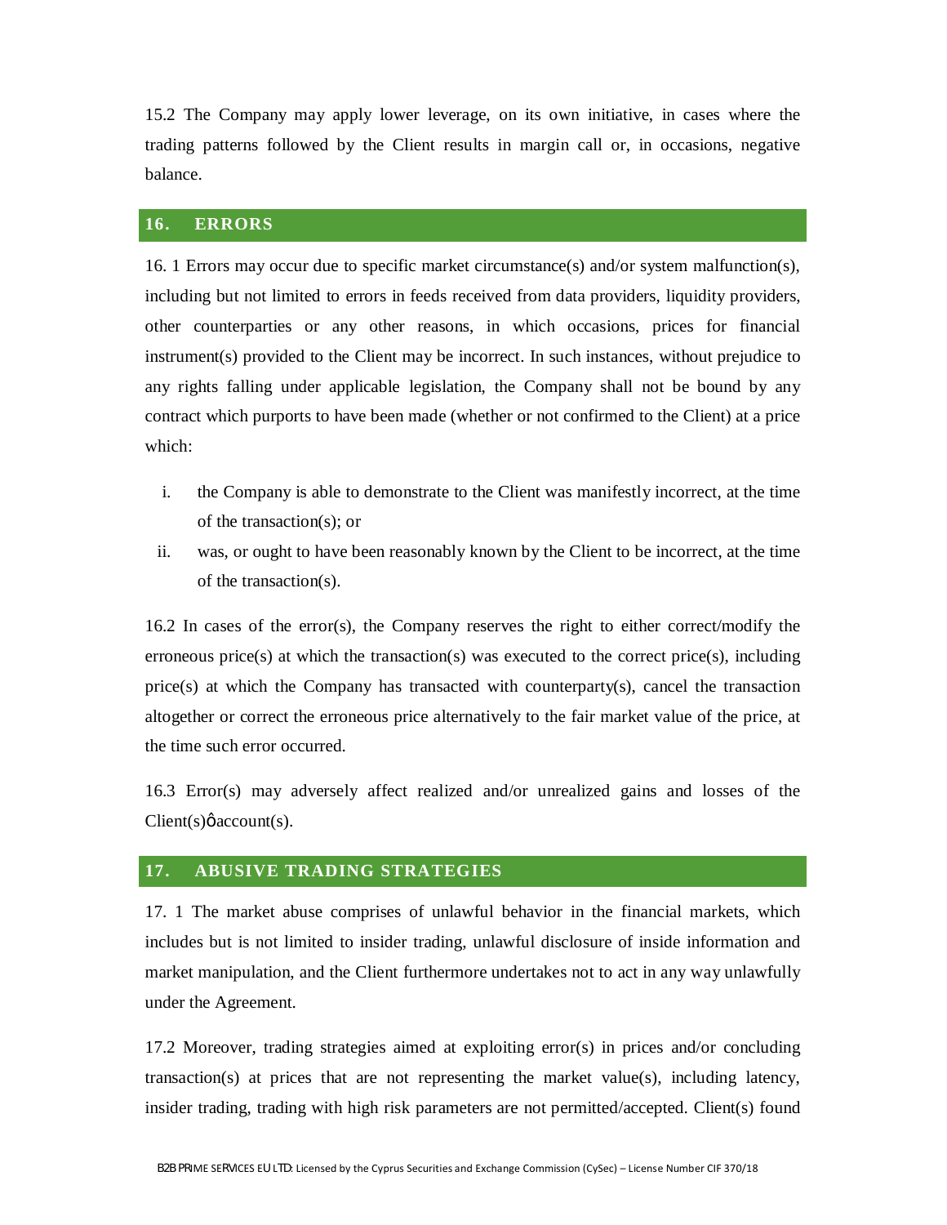15.2 The Company may apply lower leverage, on its own initiative, in cases where the trading patterns followed by the Client results in margin call or, in occasions, negative balance.

#### **16. ERRORS**

16. 1 Errors may occur due to specific market circumstance(s) and/or system malfunction(s), including but not limited to errors in feeds received from data providers, liquidity providers, other counterparties or any other reasons, in which occasions, prices for financial instrument(s) provided to the Client may be incorrect. In such instances, without prejudice to any rights falling under applicable legislation, the Company shall not be bound by any contract which purports to have been made (whether or not confirmed to the Client) at a price which:

- i. the Company is able to demonstrate to the Client was manifestly incorrect, at the time of the transaction(s); or
- ii. was, or ought to have been reasonably known by the Client to be incorrect, at the time of the transaction(s).

16.2 In cases of the error(s), the Company reserves the right to either correct/modify the erroneous price(s) at which the transaction(s) was executed to the correct price(s), including price(s) at which the Company has transacted with counterparty(s), cancel the transaction altogether or correct the erroneous price alternatively to the fair market value of the price, at the time such error occurred.

16.3 Error(s) may adversely affect realized and/or unrealized gains and losses of the  $Client(s) \phi$  account(s).

#### **17. ABUSIVE TRADING STRATEGIES**

17. 1 The market abuse comprises of unlawful behavior in the financial markets, which includes but is not limited to insider trading, unlawful disclosure of inside information and market manipulation, and the Client furthermore undertakes not to act in any way unlawfully under the Agreement.

17.2 Moreover, trading strategies aimed at exploiting error(s) in prices and/or concluding transaction(s) at prices that are not representing the market value(s), including latency, insider trading, trading with high risk parameters are not permitted/accepted. Client(s) found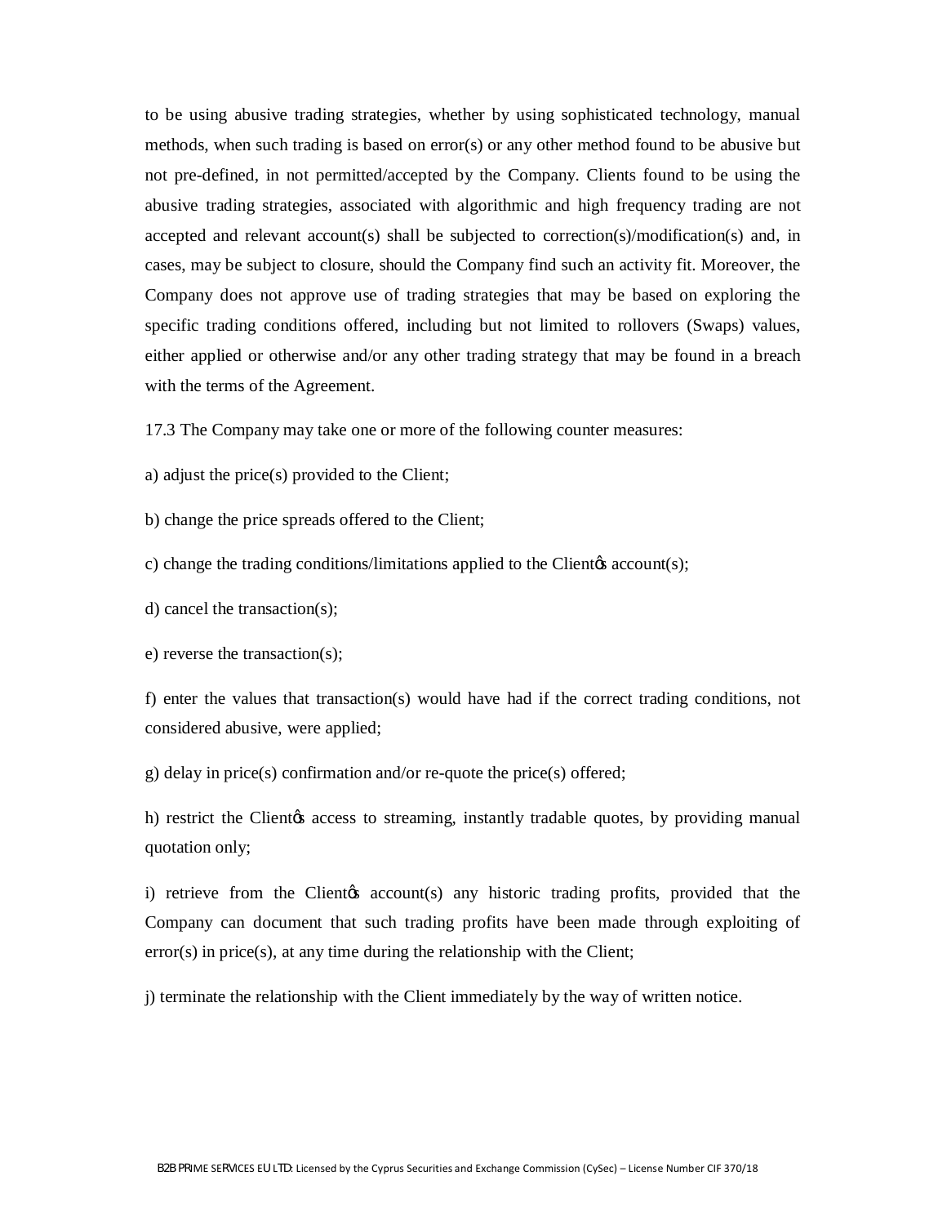to be using abusive trading strategies, whether by using sophisticated technology, manual methods, when such trading is based on error(s) or any other method found to be abusive but not pre-defined, in not permitted/accepted by the Company. Clients found to be using the abusive trading strategies, associated with algorithmic and high frequency trading are not accepted and relevant account(s) shall be subjected to correction(s)/modification(s) and, in cases, may be subject to closure, should the Company find such an activity fit. Moreover, the Company does not approve use of trading strategies that may be based on exploring the specific trading conditions offered, including but not limited to rollovers (Swaps) values, either applied or otherwise and/or any other trading strategy that may be found in a breach with the terms of the Agreement.

17.3 The Company may take one or more of the following counter measures:

a) adjust the price(s) provided to the Client;

b) change the price spreads offered to the Client;

c) change the trading conditions/limitations applied to the Client  $\alpha$ s account(s);

d) cancel the transaction(s);

e) reverse the transaction(s);

f) enter the values that transaction(s) would have had if the correct trading conditions, not considered abusive, were applied;

g) delay in price(s) confirmation and/or re-quote the price(s) offered;

h) restrict the Clientos access to streaming, instantly tradable quotes, by providing manual quotation only;

i) retrieve from the Clientos account(s) any historic trading profits, provided that the Company can document that such trading profits have been made through exploiting of error(s) in price(s), at any time during the relationship with the Client;

j) terminate the relationship with the Client immediately by the way of written notice.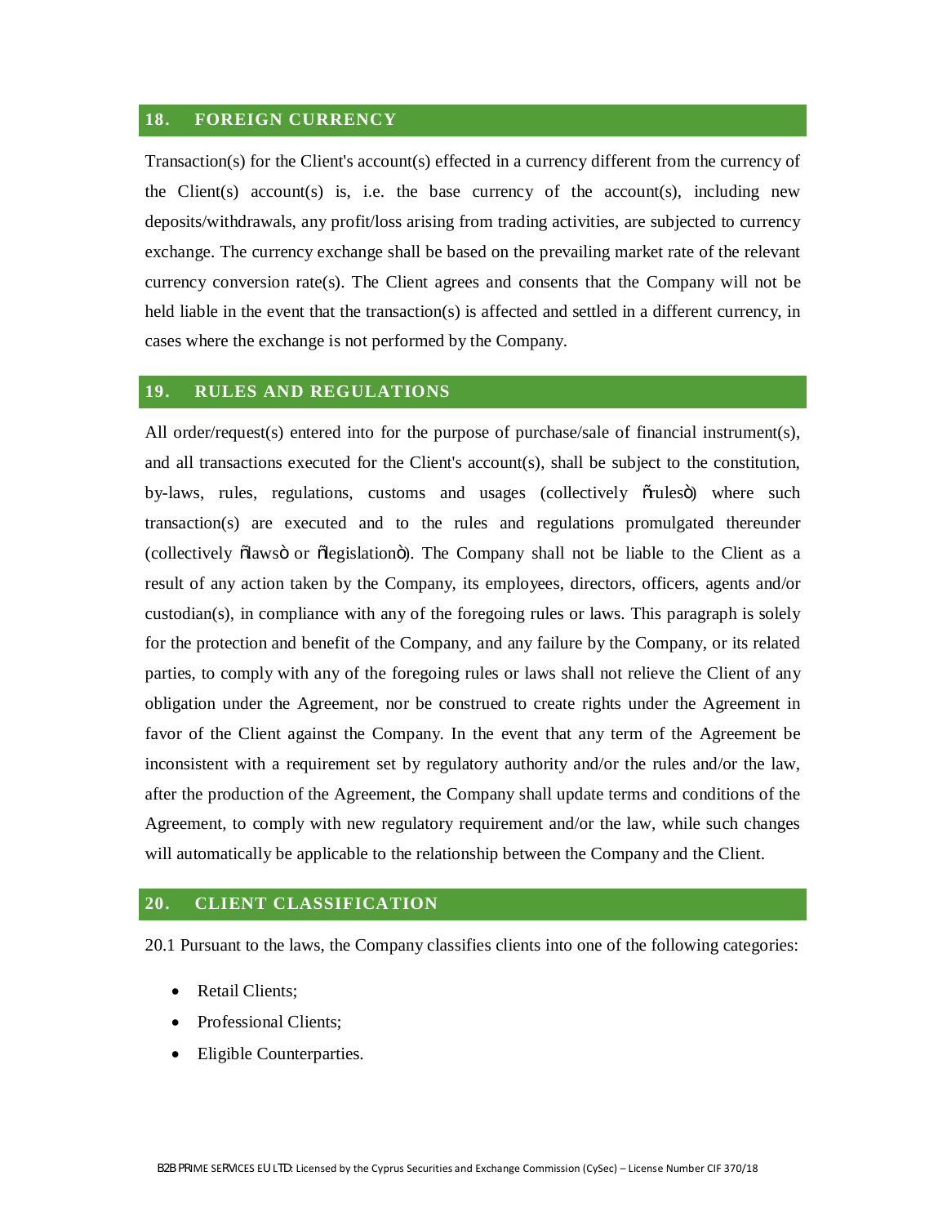#### **18. FOREIGN CURRENCY**

Transaction(s) for the Client's account(s) effected in a currency different from the currency of the Client(s) account(s) is, i.e. the base currency of the account(s), including new deposits/withdrawals, any profit/loss arising from trading activities, are subjected to currency exchange. The currency exchange shall be based on the prevailing market rate of the relevant currency conversion rate(s). The Client agrees and consents that the Company will not be held liable in the event that the transaction(s) is affected and settled in a different currency, in cases where the exchange is not performed by the Company.

## **19. RULES AND REGULATIONS**

All order/request(s) entered into for the purpose of purchase/sale of financial instrument(s), and all transactions executed for the Client's account(s), shall be subject to the constitution, by-laws, rules, regulations, customs and usages (collectively oruleso) where such transaction(s) are executed and to the rules and regulations promulgated thereunder (collectively olaws oor olegislation o). The Company shall not be liable to the Client as a result of any action taken by the Company, its employees, directors, officers, agents and/or  $\alpha$  custodian(s), in compliance with any of the foregoing rules or laws. This paragraph is solely for the protection and benefit of the Company, and any failure by the Company, or its related parties, to comply with any of the foregoing rules or laws shall not relieve the Client of any obligation under the Agreement, nor be construed to create rights under the Agreement in favor of the Client against the Company. In the event that any term of the Agreement be inconsistent with a requirement set by regulatory authority and/or the rules and/or the law, after the production of the Agreement, the Company shall update terms and conditions of the Agreement, to comply with new regulatory requirement and/or the law, while such changes will automatically be applicable to the relationship between the Company and the Client.

#### **20. CLIENT CLASSIFICATION**

20.1 Pursuant to the laws, the Company classifies clients into one of the following categories:

- Retail Clients;
- Professional Clients;
- Eligible Counterparties.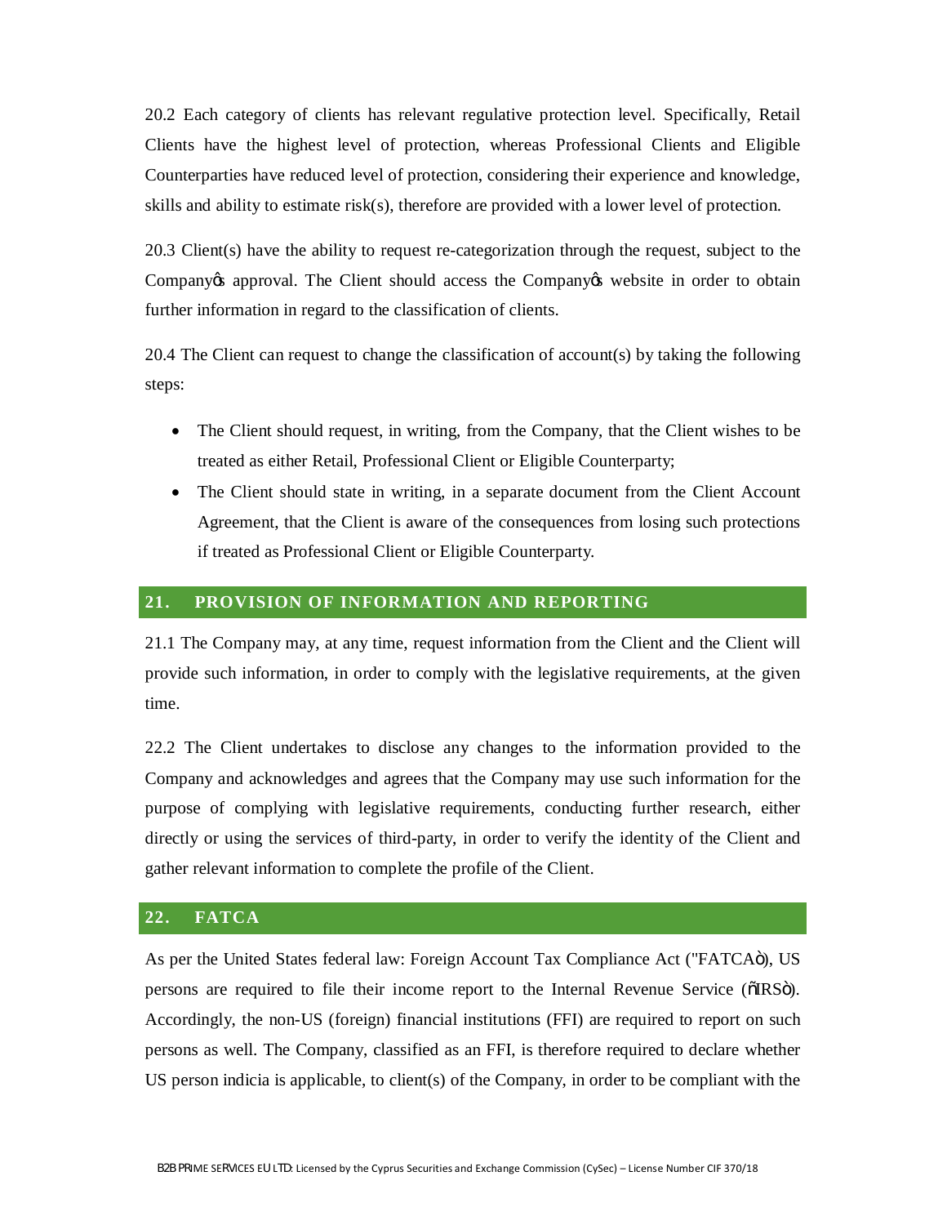20.2 Each category of clients has relevant regulative protection level. Specifically, Retail Clients have the highest level of protection, whereas Professional Clients and Eligible Counterparties have reduced level of protection, considering their experience and knowledge, skills and ability to estimate risk(s), therefore are provided with a lower level of protection.

20.3 Client(s) have the ability to request re-categorization through the request, subject to the Company to approval. The Client should access the Company to website in order to obtain further information in regard to the classification of clients.

20.4 The Client can request to change the classification of account(s) by taking the following steps:

- The Client should request, in writing, from the Company, that the Client wishes to be treated as either Retail, Professional Client or Eligible Counterparty;
- The Client should state in writing, in a separate document from the Client Account Agreement, that the Client is aware of the consequences from losing such protections if treated as Professional Client or Eligible Counterparty.

#### **21. PROVISION OF INFORMATION AND REPORTING**

21.1 The Company may, at any time, request information from the Client and the Client will provide such information, in order to comply with the legislative requirements, at the given time.

22.2 The Client undertakes to disclose any changes to the information provided to the Company and acknowledges and agrees that the Company may use such information for the purpose of complying with legislative requirements, conducting further research, either directly or using the services of third-party, in order to verify the identity of the Client and gather relevant information to complete the profile of the Client.

## **22. FATCA**

As per the United States federal law: Foreign Account Tax Compliance Act ("FATCAö), US persons are required to file their income report to the Internal Revenue Service ( $\delta$ IRS $\delta$ ). Accordingly, the non-US (foreign) financial institutions (FFI) are required to report on such persons as well. The Company, classified as an FFI, is therefore required to declare whether US person indicia is applicable, to client(s) of the Company, in order to be compliant with the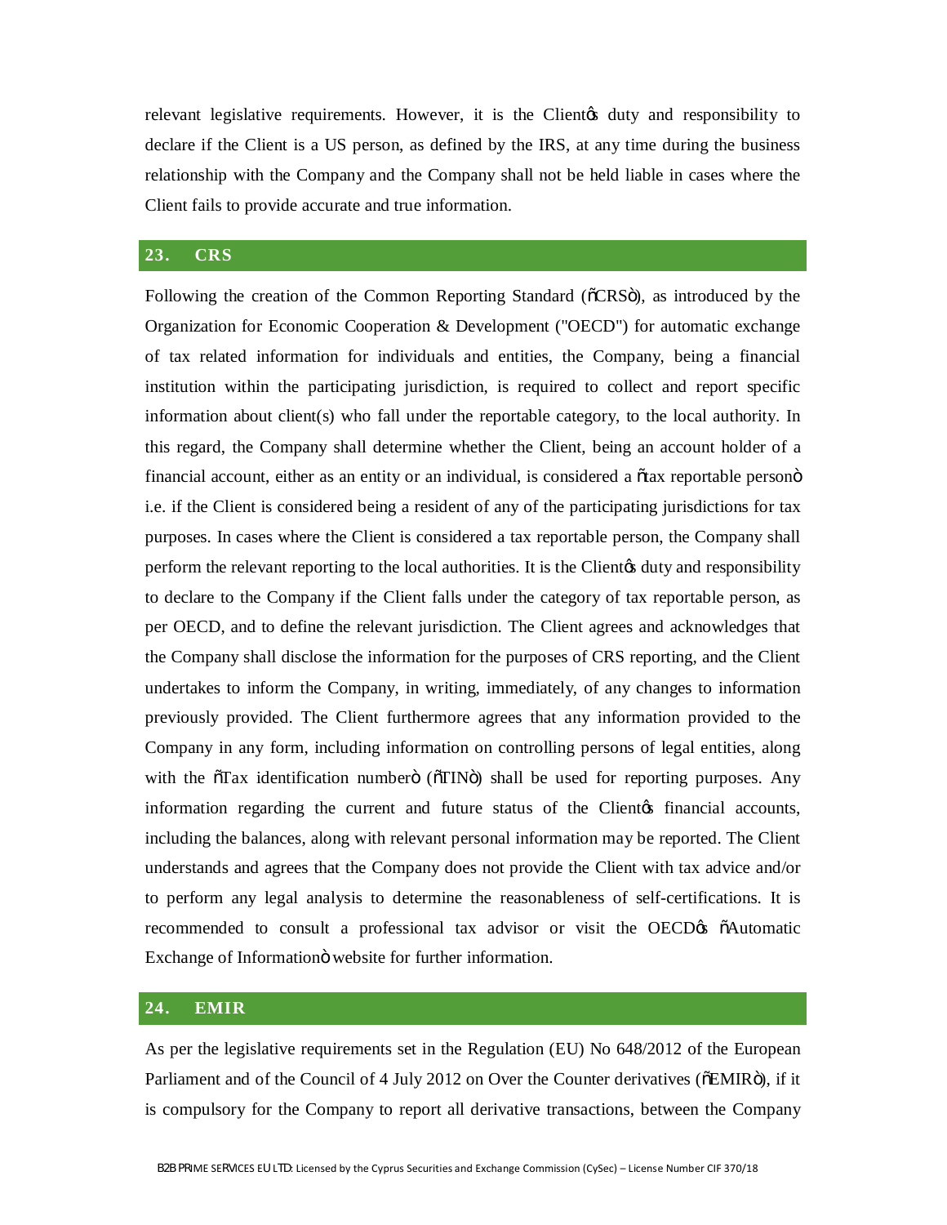relevant legislative requirements. However, it is the Client of duty and responsibility to declare if the Client is a US person, as defined by the IRS, at any time during the business relationship with the Company and the Company shall not be held liable in cases where the Client fails to provide accurate and true information.

#### **23. CRS**

Following the creation of the Common Reporting Standard ( $\tilde{C}CRS\tilde{O}$ ), as introduced by the Organization for Economic Cooperation & Development ("OECD") for automatic exchange of tax related information for individuals and entities, the Company, being a financial institution within the participating jurisdiction, is required to collect and report specific information about client(s) who fall under the reportable category, to the local authority. In this regard, the Company shall determine whether the Client, being an account holder of a financial account, either as an entity or an individual, is considered a  $\tilde{\alpha}$  atax reportable person $\tilde{\alpha}$ i.e. if the Client is considered being a resident of any of the participating jurisdictions for tax purposes. In cases where the Client is considered a tax reportable person, the Company shall perform the relevant reporting to the local authorities. It is the Client of duty and responsibility to declare to the Company if the Client falls under the category of tax reportable person, as per OECD, and to define the relevant jurisdiction. The Client agrees and acknowledges that the Company shall disclose the information for the purposes of CRS reporting, and the Client undertakes to inform the Company, in writing, immediately, of any changes to information previously provided. The Client furthermore agrees that any information provided to the Company in any form, including information on controlling persons of legal entities, along with the  $\delta$ Tax identification number  $\delta$  ( $\delta$ TIN $\delta$ ) shall be used for reporting purposes. Any information regarding the current and future status of the Client the financial accounts, including the balances, along with relevant personal information may be reported. The Client understands and agrees that the Company does not provide the Client with tax advice and/or to perform any legal analysis to determine the reasonableness of self-certifications. It is recommended to consult a professional tax advisor or visit the OECD of  $\delta$ Automatic Exchange of Information website for further information.

#### **24. EMIR**

As per the legislative requirements set in the Regulation (EU) No 648/2012 of the European Parliament and of the Council of 4 July 2012 on Over the Counter derivatives ( $\delta$ EMIR $\ddot{\rm o}$ ), if it is compulsory for the Company to report all derivative transactions, between the Company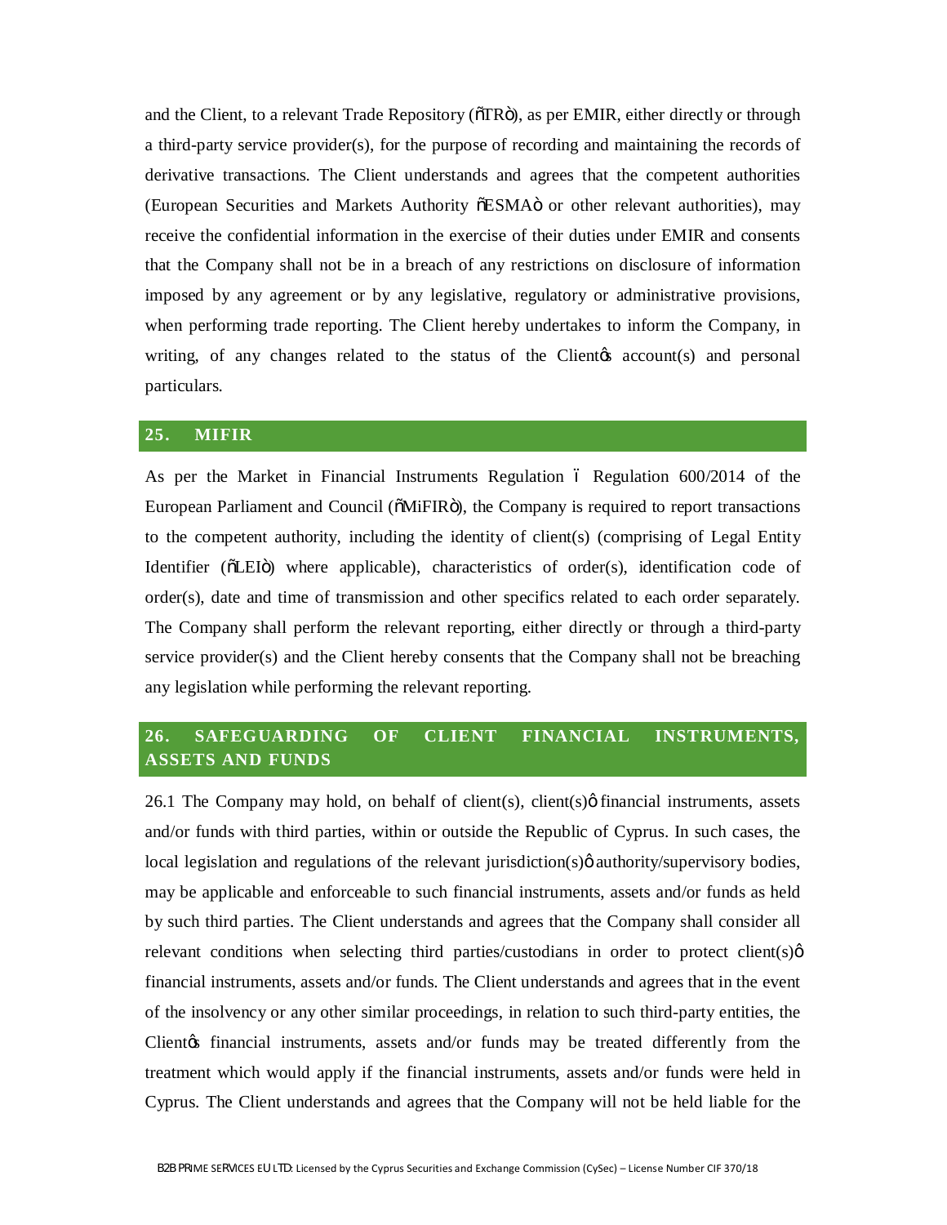and the Client, to a relevant Trade Repository ( $\delta$ TR $\ddot{o}$ ), as per EMIR, either directly or through a third-party service provider(s), for the purpose of recording and maintaining the records of derivative transactions. The Client understands and agrees that the competent authorities (European Securities and Markets Authority  $\delta$ ESMA $\ddot{o}$  or other relevant authorities), may receive the confidential information in the exercise of their duties under EMIR and consents that the Company shall not be in a breach of any restrictions on disclosure of information imposed by any agreement or by any legislative, regulatory or administrative provisions, when performing trade reporting. The Client hereby undertakes to inform the Company, in writing, of any changes related to the status of the Client $\alpha$  account(s) and personal particulars.

#### **25. MIFIR**

As per the Market in Financial Instruments Regulation  $\ddot{\text{o}}$  Regulation 600/2014 of the European Parliament and Council ( $\delta$ MiFIR $\ddot{\theta}$ ), the Company is required to report transactions to the competent authority, including the identity of client(s) (comprising of Legal Entity Identifier ( $\delta$ LEI $\delta$ ) where applicable), characteristics of order(s), identification code of order(s), date and time of transmission and other specifics related to each order separately. The Company shall perform the relevant reporting, either directly or through a third-party service provider(s) and the Client hereby consents that the Company shall not be breaching any legislation while performing the relevant reporting.

# **26. SAFEGUARDING OF CLIENT FINANCIAL INSTRUMENTS, ASSETS AND FUNDS**

26.1 The Company may hold, on behalf of client(s), client(s) $\phi$  financial instruments, assets and/or funds with third parties, within or outside the Republic of Cyprus. In such cases, the local legislation and regulations of the relevant jurisdiction( $s$ ) $\varnothing$  authority/supervisory bodies, may be applicable and enforceable to such financial instruments, assets and/or funds as held by such third parties. The Client understands and agrees that the Company shall consider all relevant conditions when selecting third parties/custodians in order to protect client(s) $\varphi$ financial instruments, assets and/or funds. The Client understands and agrees that in the event of the insolvency or any other similar proceedings, in relation to such third-party entities, the Client of financial instruments, assets and/or funds may be treated differently from the treatment which would apply if the financial instruments, assets and/or funds were held in Cyprus. The Client understands and agrees that the Company will not be held liable for the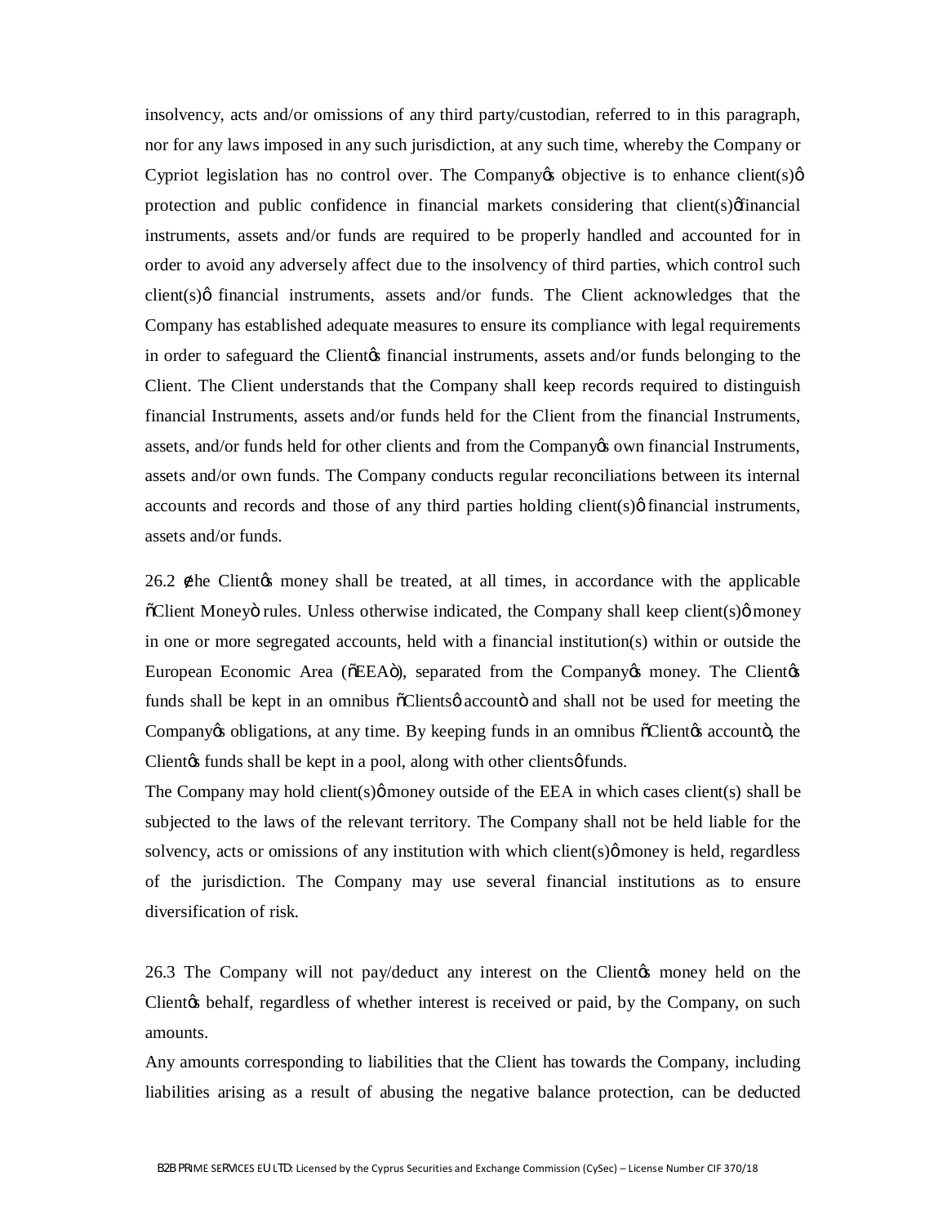insolvency, acts and/or omissions of any third party/custodian, referred to in this paragraph, nor for any laws imposed in any such jurisdiction, at any such time, whereby the Company or Cypriot legislation has no control over. The Company to objective is to enhance client(s) $\varphi$ protection and public confidence in financial markets considering that client(s) of inancial instruments, assets and/or funds are required to be properly handled and accounted for in order to avoid any adversely affect due to the insolvency of third parties, which control such  $client(s)$  $\emptyset$  financial instruments, assets and/or funds. The Client acknowledges that the Company has established adequate measures to ensure its compliance with legal requirements in order to safeguard the Client is financial instruments, assets and/or funds belonging to the Client. The Client understands that the Company shall keep records required to distinguish financial Instruments, assets and/or funds held for the Client from the financial Instruments, assets, and/or funds held for other clients and from the Company to wow financial Instruments, assets and/or own funds. The Company conducts regular reconciliations between its internal accounts and records and those of any third parties holding client( $s$ ) $\phi$  financial instruments, assets and/or funds.

26.2 he Client the money shall be treated, at all times, in accordance with the applicable  $\delta$ Client Moneyö rules. Unless otherwise indicated, the Company shall keep client(s) $\phi$  money in one or more segregated accounts, held with a financial institution(s) within or outside the European Economic Area ( $\delta$ EEA $\ddot{\sigma}$ ), separated from the Company os money. The Client of funds shall be kept in an omnibus  $\delta$ Clients accounto and shall not be used for meeting the Company obligations, at any time. By keeping funds in an omnibus  $\delta$ Client accounto, the Client is funds shall be kept in a pool, along with other clients of funds.

The Company may hold client(s) $\phi$  money outside of the EEA in which cases client(s) shall be subjected to the laws of the relevant territory. The Company shall not be held liable for the solvency, acts or omissions of any institution with which client(s) $\phi$  money is held, regardless of the jurisdiction. The Company may use several financial institutions as to ensure diversification of risk.

26.3 The Company will not pay/deduct any interest on the Client the money held on the Client the behalf, regardless of whether interest is received or paid, by the Company, on such amounts.

Any amounts corresponding to liabilities that the Client has towards the Company, including liabilities arising as a result of abusing the negative balance protection, can be deducted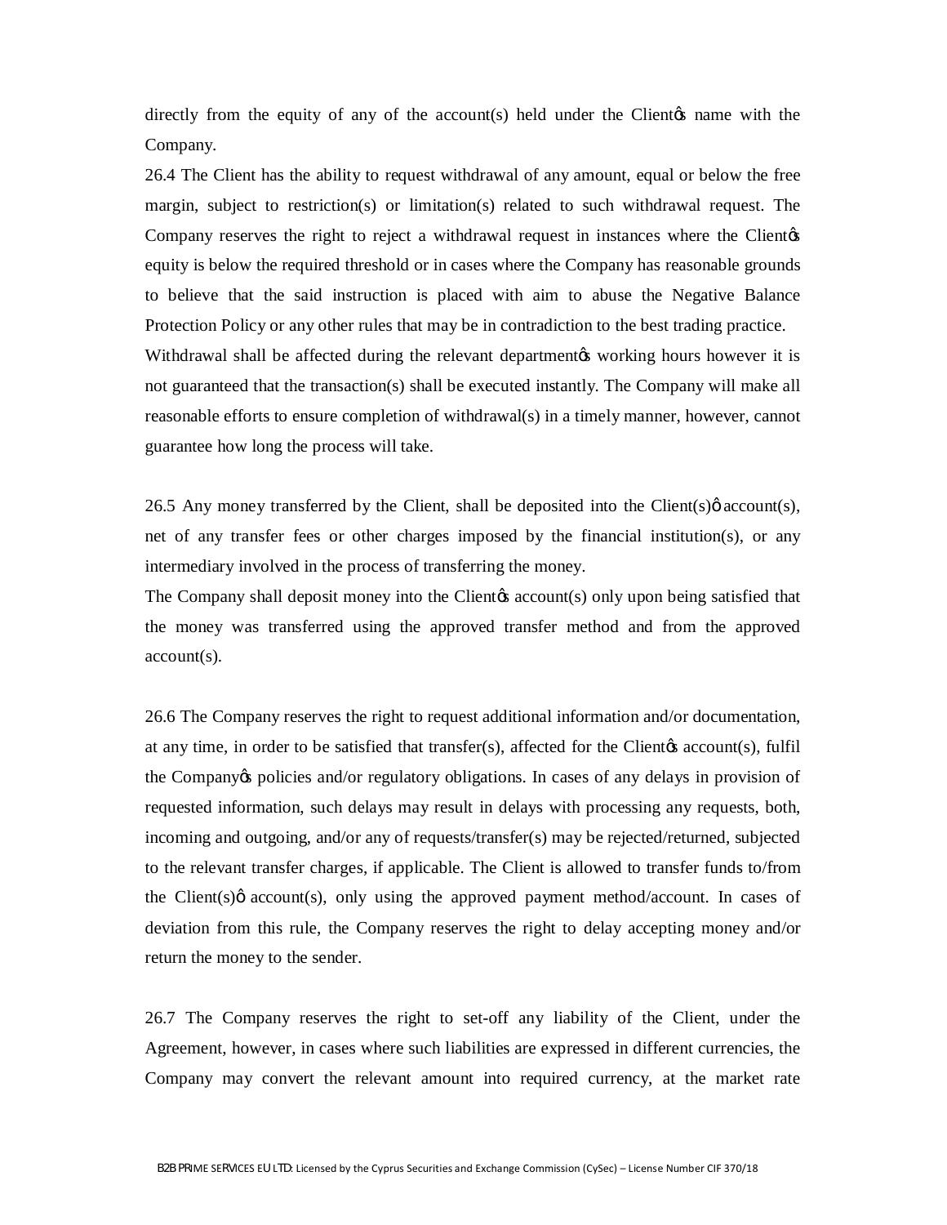directly from the equity of any of the  $account(s)$  held under the Client $\alpha$  name with the Company.

26.4 The Client has the ability to request withdrawal of any amount, equal or below the free margin, subject to restriction(s) or limitation(s) related to such withdrawal request. The Company reserves the right to reject a withdrawal request in instances where the Client of equity is below the required threshold or in cases where the Company has reasonable grounds to believe that the said instruction is placed with aim to abuse the Negative Balance Protection Policy or any other rules that may be in contradiction to the best trading practice. Withdrawal shall be affected during the relevant department to working hours however it is not guaranteed that the transaction(s) shall be executed instantly. The Company will make all reasonable efforts to ensure completion of withdrawal(s) in a timely manner, however, cannot

guarantee how long the process will take.

26.5 Any money transferred by the Client, shall be deposited into the Client(s) $\varphi$  account(s), net of any transfer fees or other charges imposed by the financial institution(s), or any intermediary involved in the process of transferring the money.

The Company shall deposit money into the Client  $\alpha$  account  $(s)$  only upon being satisfied that the money was transferred using the approved transfer method and from the approved account(s).

26.6 The Company reserves the right to request additional information and/or documentation, at any time, in order to be satisfied that transfer(s), affected for the Client  $\alpha$  account(s), fulfil the Company's policies and/or regulatory obligations. In cases of any delays in provision of requested information, such delays may result in delays with processing any requests, both, incoming and outgoing, and/or any of requests/transfer(s) may be rejected/returned, subjected to the relevant transfer charges, if applicable. The Client is allowed to transfer funds to/from the Client(s) $\phi$  account(s), only using the approved payment method/account. In cases of deviation from this rule, the Company reserves the right to delay accepting money and/or return the money to the sender.

26.7 The Company reserves the right to set-off any liability of the Client, under the Agreement, however, in cases where such liabilities are expressed in different currencies, the Company may convert the relevant amount into required currency, at the market rate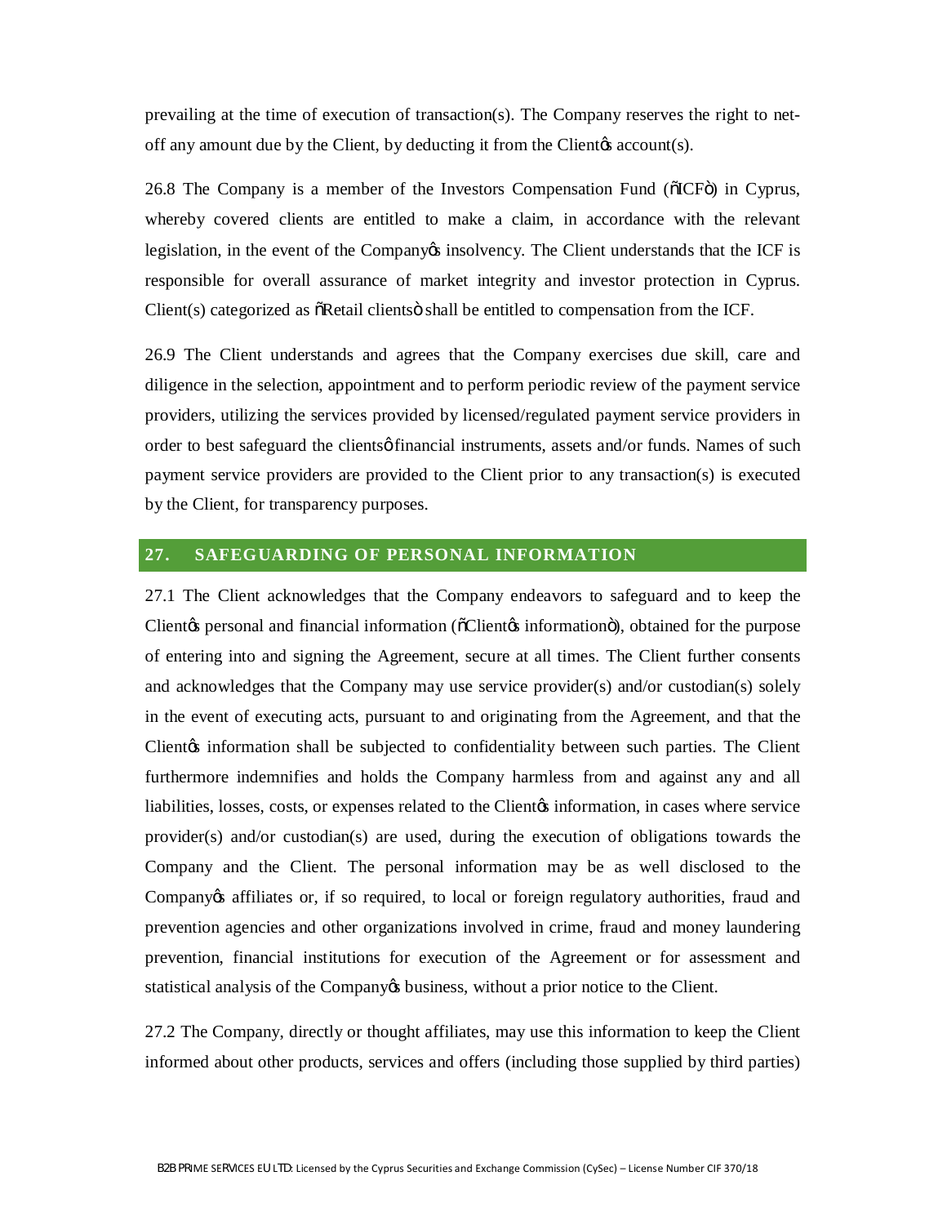prevailing at the time of execution of transaction(s). The Company reserves the right to netoff any amount due by the Client, by deducting it from the Client $\alpha$  account(s).

26.8 The Company is a member of the Investors Compensation Fund ( $\delta$ ICF $\ddot{\text{o}}$ ) in Cyprus, whereby covered clients are entitled to make a claim, in accordance with the relevant legislation, in the event of the Company insolvency. The Client understands that the ICF is responsible for overall assurance of market integrity and investor protection in Cyprus. Client(s) categorized as  $\delta$ Retail clients is shall be entitled to compensation from the ICF.

26.9 The Client understands and agrees that the Company exercises due skill, care and diligence in the selection, appointment and to perform periodic review of the payment service providers, utilizing the services provided by licensed/regulated payment service providers in order to best safeguard the clients of financial instruments, assets and/or funds. Names of such payment service providers are provided to the Client prior to any transaction(s) is executed by the Client, for transparency purposes.

# **27. SAFEGUARDING OF PERSONAL INFORMATION**

27.1 The Client acknowledges that the Company endeavors to safeguard and to keep the Client<sub>/S</sub> personal and financial information ( $\delta$ Client<sub>/S</sub> information<sup>o</sup>), obtained for the purpose of entering into and signing the Agreement, secure at all times. The Client further consents and acknowledges that the Company may use service provider(s) and/or custodian(s) solely in the event of executing acts, pursuant to and originating from the Agreement, and that the Client<sub>/8</sub> information shall be subjected to confidentiality between such parties. The Client furthermore indemnifies and holds the Company harmless from and against any and all liabilities, losses, costs, or expenses related to the Client<sub>hes</sub> information, in cases where service provider(s) and/or custodian(s) are used, during the execution of obligations towards the Company and the Client. The personal information may be as well disclosed to the Company os affiliates or, if so required, to local or foreign regulatory authorities, fraud and prevention agencies and other organizations involved in crime, fraud and money laundering prevention, financial institutions for execution of the Agreement or for assessment and statistical analysis of the Company t business, without a prior notice to the Client.

27.2 The Company, directly or thought affiliates, may use this information to keep the Client informed about other products, services and offers (including those supplied by third parties)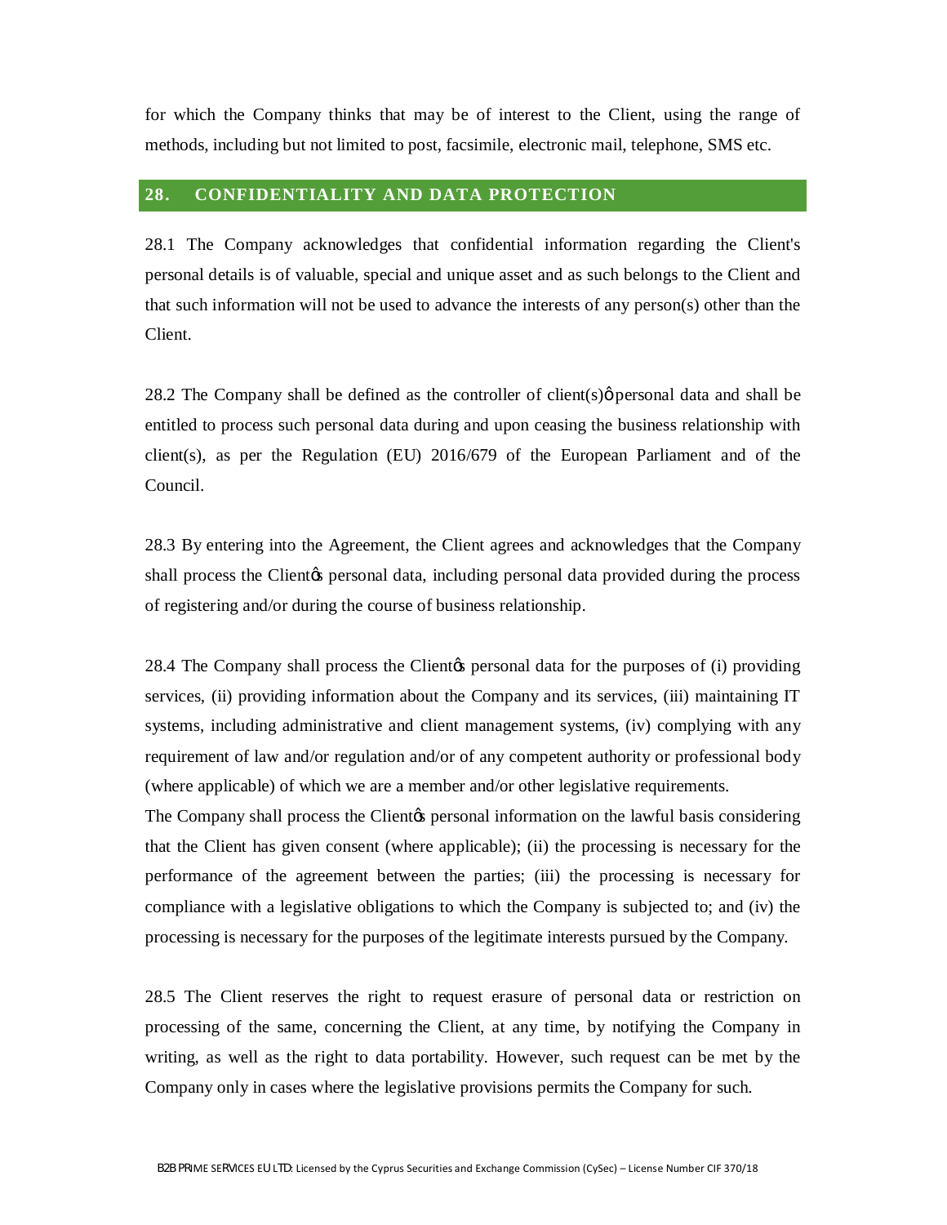for which the Company thinks that may be of interest to the Client, using the range of methods, including but not limited to post, facsimile, electronic mail, telephone, SMS etc.

# **28. CONFIDENTIALITY AND DATA PROTECTION**

28.1 The Company acknowledges that confidential information regarding the Client's personal details is of valuable, special and unique asset and as such belongs to the Client and that such information will not be used to advance the interests of any person(s) other than the Client.

28.2 The Company shall be defined as the controller of client(s) $\phi$  personal data and shall be entitled to process such personal data during and upon ceasing the business relationship with client(s), as per the Regulation (EU) 2016/679 of the European Parliament and of the Council.

28.3 By entering into the Agreement, the Client agrees and acknowledges that the Company shall process the Client<sub>/S</sub> personal data, including personal data provided during the process of registering and/or during the course of business relationship.

28.4 The Company shall process the Client the personal data for the purposes of (i) providing services, (ii) providing information about the Company and its services, (iii) maintaining IT systems, including administrative and client management systems, (iv) complying with any requirement of law and/or regulation and/or of any competent authority or professional body (where applicable) of which we are a member and/or other legislative requirements.

The Company shall process the Client the personal information on the lawful basis considering that the Client has given consent (where applicable); (ii) the processing is necessary for the performance of the agreement between the parties; (iii) the processing is necessary for compliance with a legislative obligations to which the Company is subjected to; and (iv) the processing is necessary for the purposes of the legitimate interests pursued by the Company.

28.5 The Client reserves the right to request erasure of personal data or restriction on processing of the same, concerning the Client, at any time, by notifying the Company in writing, as well as the right to data portability. However, such request can be met by the Company only in cases where the legislative provisions permits the Company for such.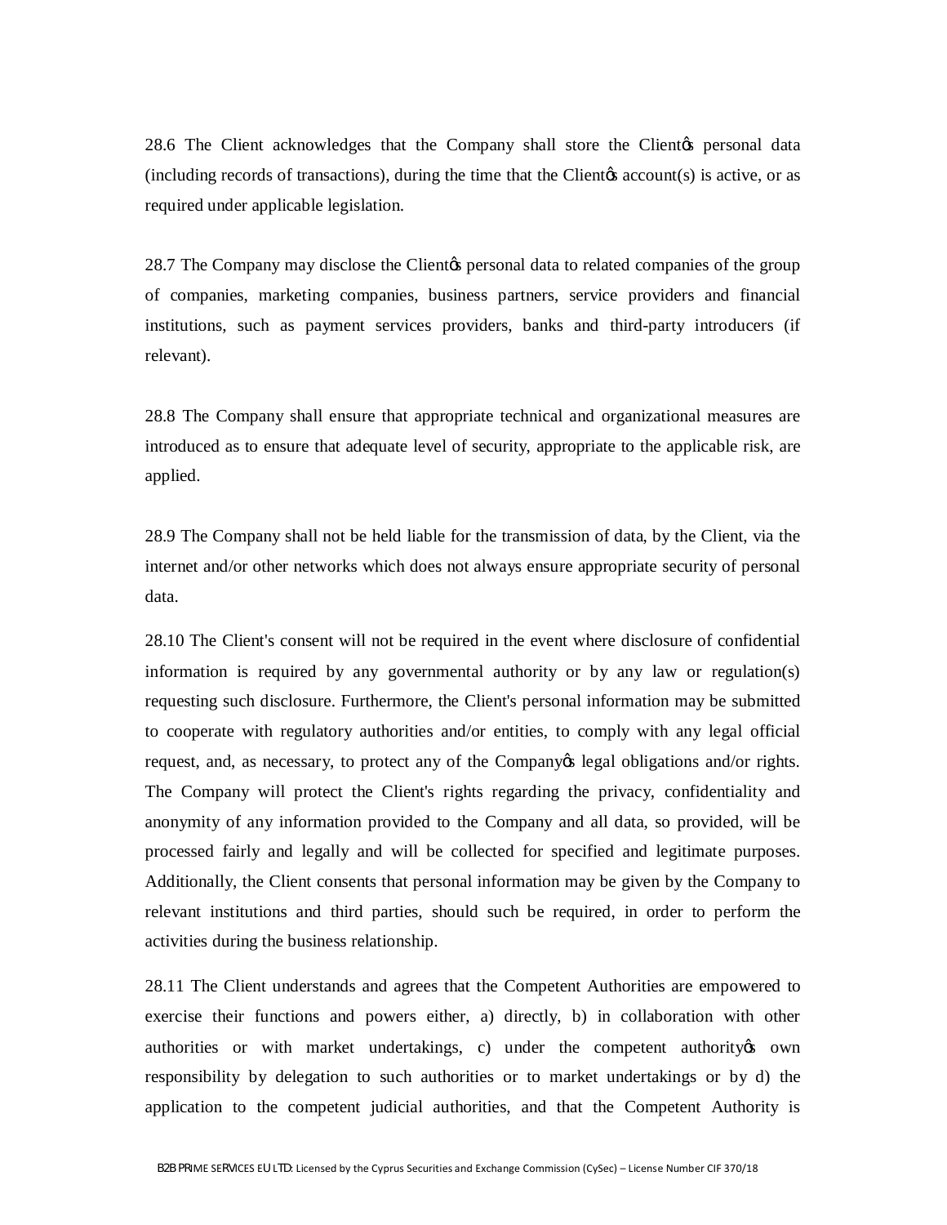28.6 The Client acknowledges that the Company shall store the Client the personal data (including records of transactions), during the time that the Clientos account(s) is active, or as required under applicable legislation.

28.7 The Company may disclose the Client the personal data to related companies of the group of companies, marketing companies, business partners, service providers and financial institutions, such as payment services providers, banks and third-party introducers (if relevant).

28.8 The Company shall ensure that appropriate technical and organizational measures are introduced as to ensure that adequate level of security, appropriate to the applicable risk, are applied.

28.9 The Company shall not be held liable for the transmission of data, by the Client, via the internet and/or other networks which does not always ensure appropriate security of personal data.

28.10 The Client's consent will not be required in the event where disclosure of confidential information is required by any governmental authority or by any law or regulation(s) requesting such disclosure. Furthermore, the Client's personal information may be submitted to cooperate with regulatory authorities and/or entities, to comply with any legal official request, and, as necessary, to protect any of the Company os legal obligations and/or rights. The Company will protect the Client's rights regarding the privacy, confidentiality and anonymity of any information provided to the Company and all data, so provided, will be processed fairly and legally and will be collected for specified and legitimate purposes. Additionally, the Client consents that personal information may be given by the Company to relevant institutions and third parties, should such be required, in order to perform the activities during the business relationship.

28.11 The Client understands and agrees that the Competent Authorities are empowered to exercise their functions and powers either, a) directly, b) in collaboration with other authorities or with market undertakings, c) under the competent authority own responsibility by delegation to such authorities or to market undertakings or by d) the application to the competent judicial authorities, and that the Competent Authority is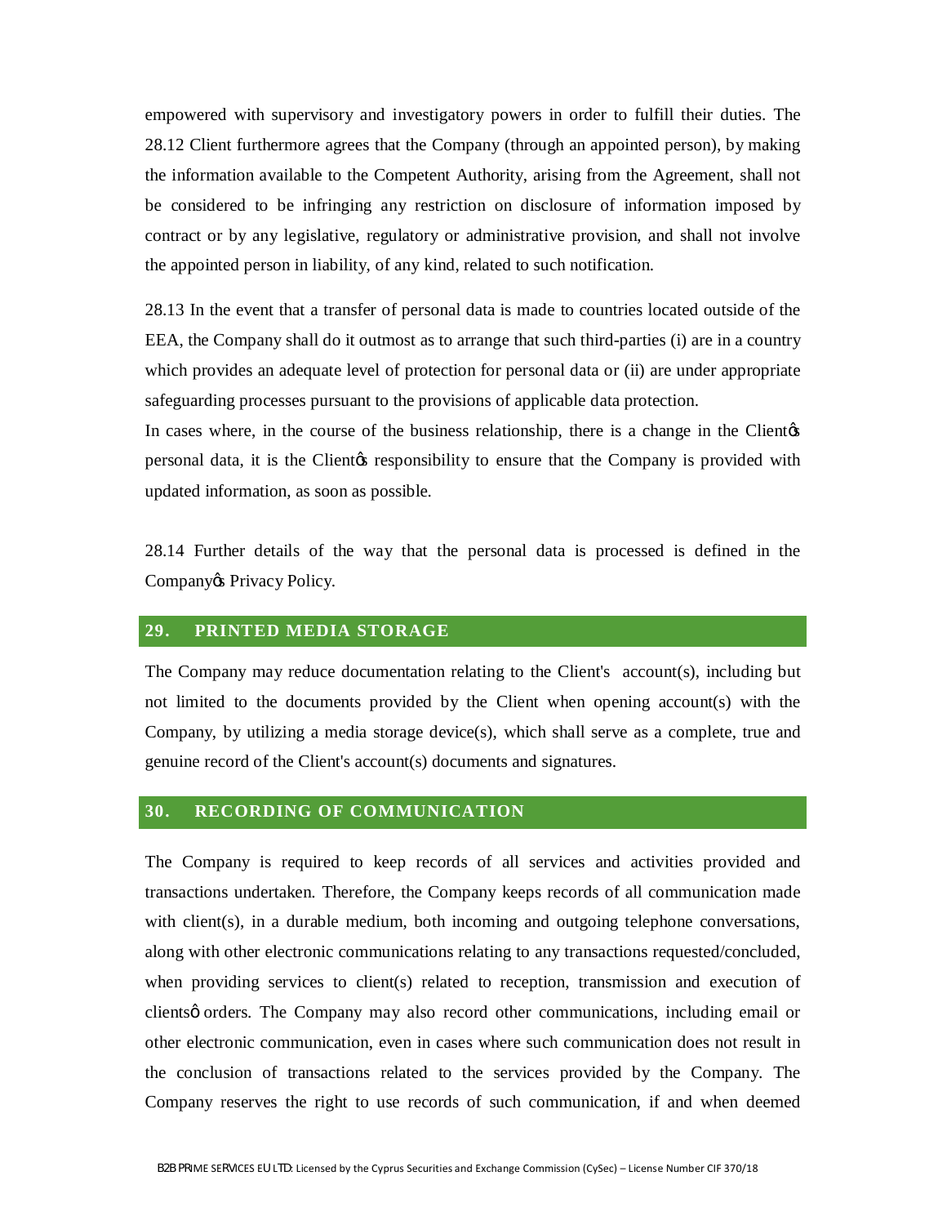empowered with supervisory and investigatory powers in order to fulfill their duties. The 28.12 Client furthermore agrees that the Company (through an appointed person), by making the information available to the Competent Authority, arising from the Agreement, shall not be considered to be infringing any restriction on disclosure of information imposed by contract or by any legislative, regulatory or administrative provision, and shall not involve the appointed person in liability, of any kind, related to such notification.

28.13 In the event that a transfer of personal data is made to countries located outside of the EEA, the Company shall do it outmost as to arrange that such third-parties (i) are in a country which provides an adequate level of protection for personal data or (ii) are under appropriate safeguarding processes pursuant to the provisions of applicable data protection.

In cases where, in the course of the business relationship, there is a change in the Clientos personal data, it is the Client ts responsibility to ensure that the Company is provided with updated information, as soon as possible.

28.14 Further details of the way that the personal data is processed is defined in the Company<sub>&</sub> Privacy Policy.

#### **29. PRINTED MEDIA STORAGE**

The Company may reduce documentation relating to the Client's account(s), including but not limited to the documents provided by the Client when opening account(s) with the Company, by utilizing a media storage device(s), which shall serve as a complete, true and genuine record of the Client's account(s) documents and signatures.

#### **30. RECORDING OF COMMUNICATION**

The Company is required to keep records of all services and activities provided and transactions undertaken. Therefore, the Company keeps records of all communication made with client(s), in a durable medium, both incoming and outgoing telephone conversations, along with other electronic communications relating to any transactions requested/concluded, when providing services to client(s) related to reception, transmission and execution of clients orders. The Company may also record other communications, including email or other electronic communication, even in cases where such communication does not result in the conclusion of transactions related to the services provided by the Company. The Company reserves the right to use records of such communication, if and when deemed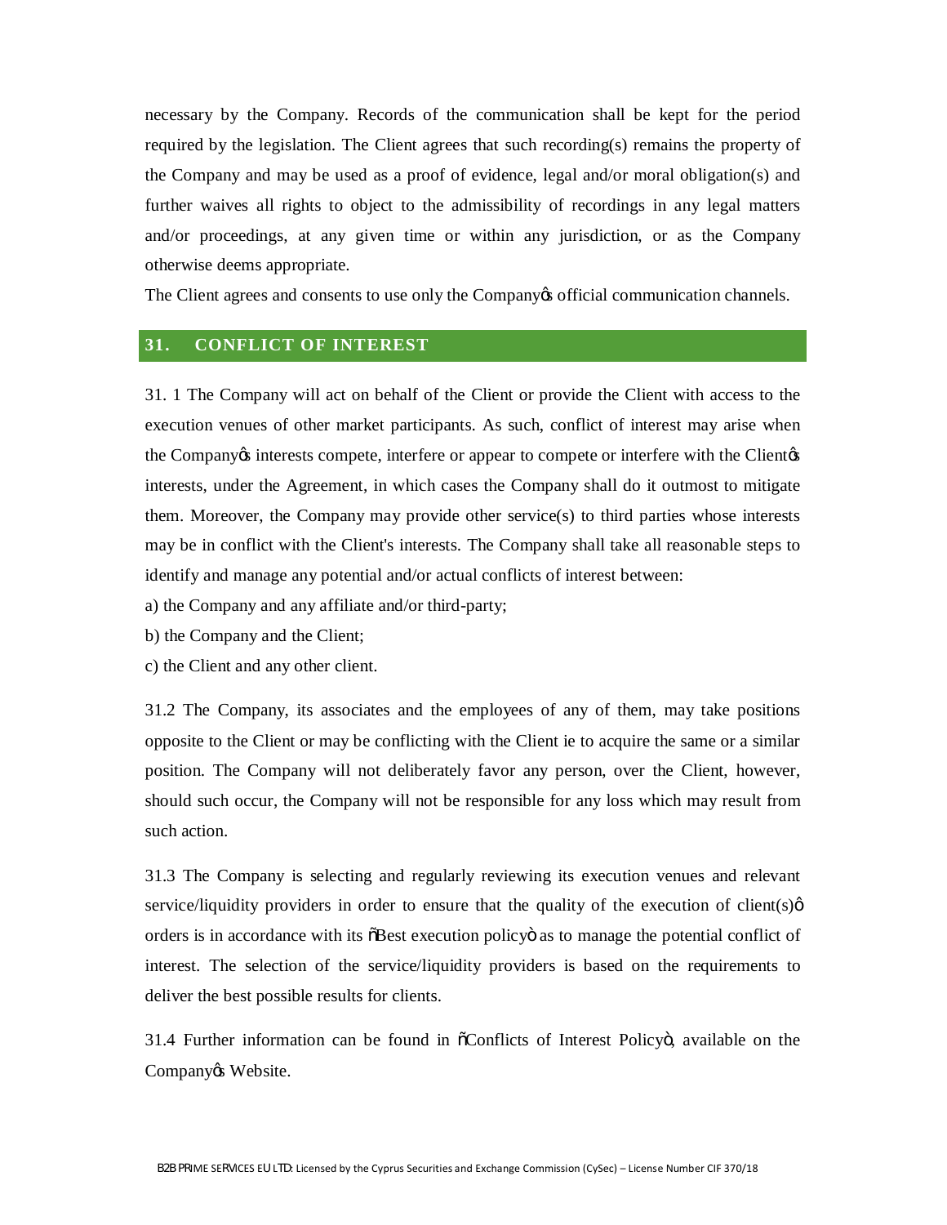necessary by the Company. Records of the communication shall be kept for the period required by the legislation. The Client agrees that such recording(s) remains the property of the Company and may be used as a proof of evidence, legal and/or moral obligation(s) and further waives all rights to object to the admissibility of recordings in any legal matters and/or proceedings, at any given time or within any jurisdiction, or as the Company otherwise deems appropriate.

The Client agrees and consents to use only the Company of ficial communication channels.

## **31. CONFLICT OF INTEREST**

31. 1 The Company will act on behalf of the Client or provide the Client with access to the execution venues of other market participants. As such, conflict of interest may arise when the Company's interests compete, interfere or appear to compete or interfere with the Client's interests, under the Agreement, in which cases the Company shall do it outmost to mitigate them. Moreover, the Company may provide other service(s) to third parties whose interests may be in conflict with the Client's interests. The Company shall take all reasonable steps to identify and manage any potential and/or actual conflicts of interest between:

a) the Company and any affiliate and/or third-party;

b) the Company and the Client;

c) the Client and any other client.

31.2 The Company, its associates and the employees of any of them, may take positions opposite to the Client or may be conflicting with the Client ie to acquire the same or a similar position. The Company will not deliberately favor any person, over the Client, however, should such occur, the Company will not be responsible for any loss which may result from such action.

31.3 The Company is selecting and regularly reviewing its execution venues and relevant service/liquidity providers in order to ensure that the quality of the execution of client(s) $\varphi$ orders is in accordance with its  $\delta$ Best execution policy as to manage the potential conflict of interest. The selection of the service/liquidity providers is based on the requirements to deliver the best possible results for clients.

31.4 Further information can be found in  $\tilde{\text{o}}$ Conflicts of Interest Policyo, available on the Company & Website.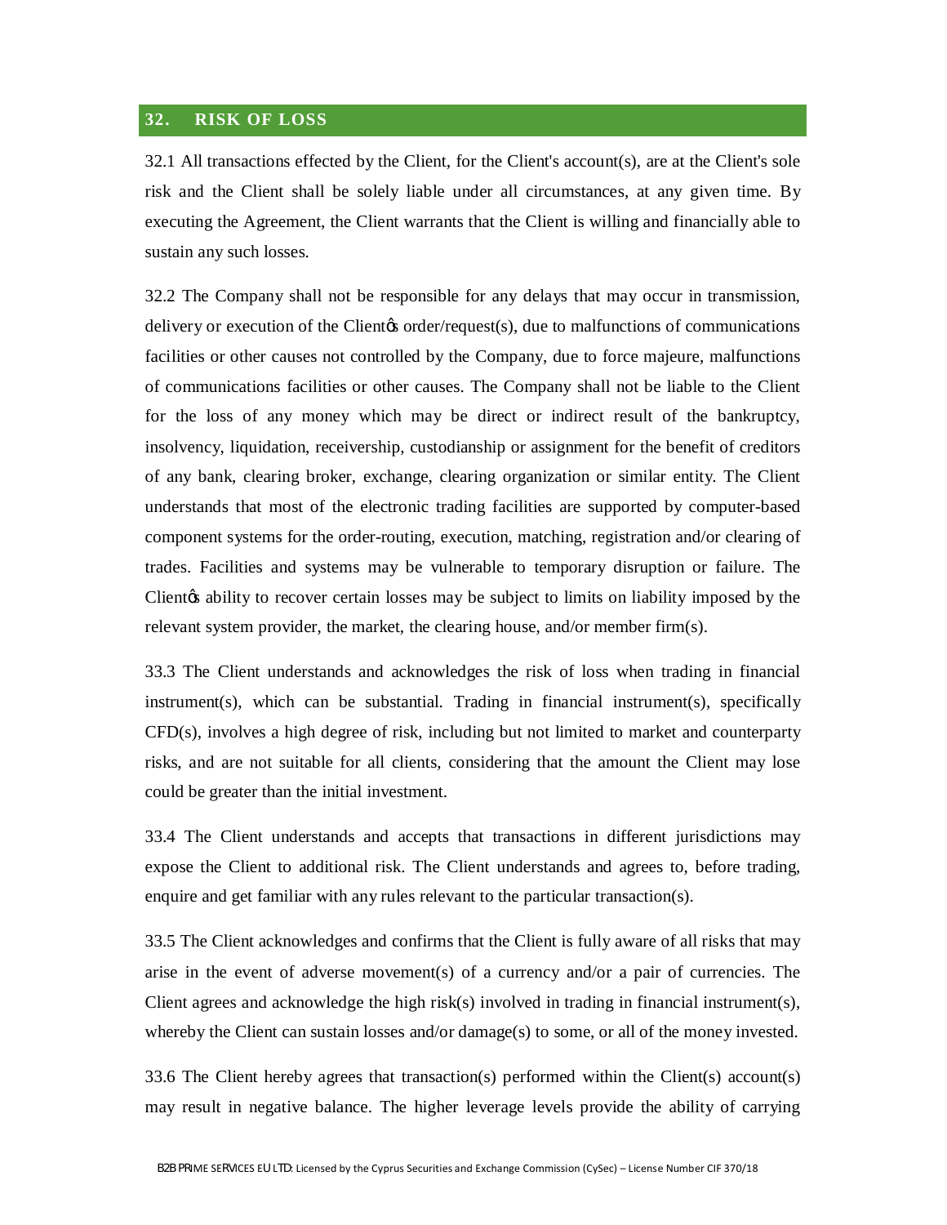## **32. RISK OF LOSS**

32.1 All transactions effected by the Client, for the Client's account(s), are at the Client's sole risk and the Client shall be solely liable under all circumstances, at any given time. By executing the Agreement, the Client warrants that the Client is willing and financially able to sustain any such losses.

32.2 The Company shall not be responsible for any delays that may occur in transmission, delivery or execution of the Clientos order/request(s), due to malfunctions of communications facilities or other causes not controlled by the Company, due to force majeure, malfunctions of communications facilities or other causes. The Company shall not be liable to the Client for the loss of any money which may be direct or indirect result of the bankruptcy, insolvency, liquidation, receivership, custodianship or assignment for the benefit of creditors of any bank, clearing broker, exchange, clearing organization or similar entity. The Client understands that most of the electronic trading facilities are supported by computer-based component systems for the order-routing, execution, matching, registration and/or clearing of trades. Facilities and systems may be vulnerable to temporary disruption or failure. The Client the ability to recover certain losses may be subject to limits on liability imposed by the relevant system provider, the market, the clearing house, and/or member firm(s).

33.3 The Client understands and acknowledges the risk of loss when trading in financial instrument(s), which can be substantial. Trading in financial instrument(s), specifically CFD(s), involves a high degree of risk, including but not limited to market and counterparty risks, and are not suitable for all clients, considering that the amount the Client may lose could be greater than the initial investment.

33.4 The Client understands and accepts that transactions in different jurisdictions may expose the Client to additional risk. The Client understands and agrees to, before trading, enquire and get familiar with any rules relevant to the particular transaction(s).

33.5 The Client acknowledges and confirms that the Client is fully aware of all risks that may arise in the event of adverse movement(s) of a currency and/or a pair of currencies. The Client agrees and acknowledge the high risk(s) involved in trading in financial instrument(s), whereby the Client can sustain losses and/or damage(s) to some, or all of the money invested.

33.6 The Client hereby agrees that transaction(s) performed within the Client(s) account(s) may result in negative balance. The higher leverage levels provide the ability of carrying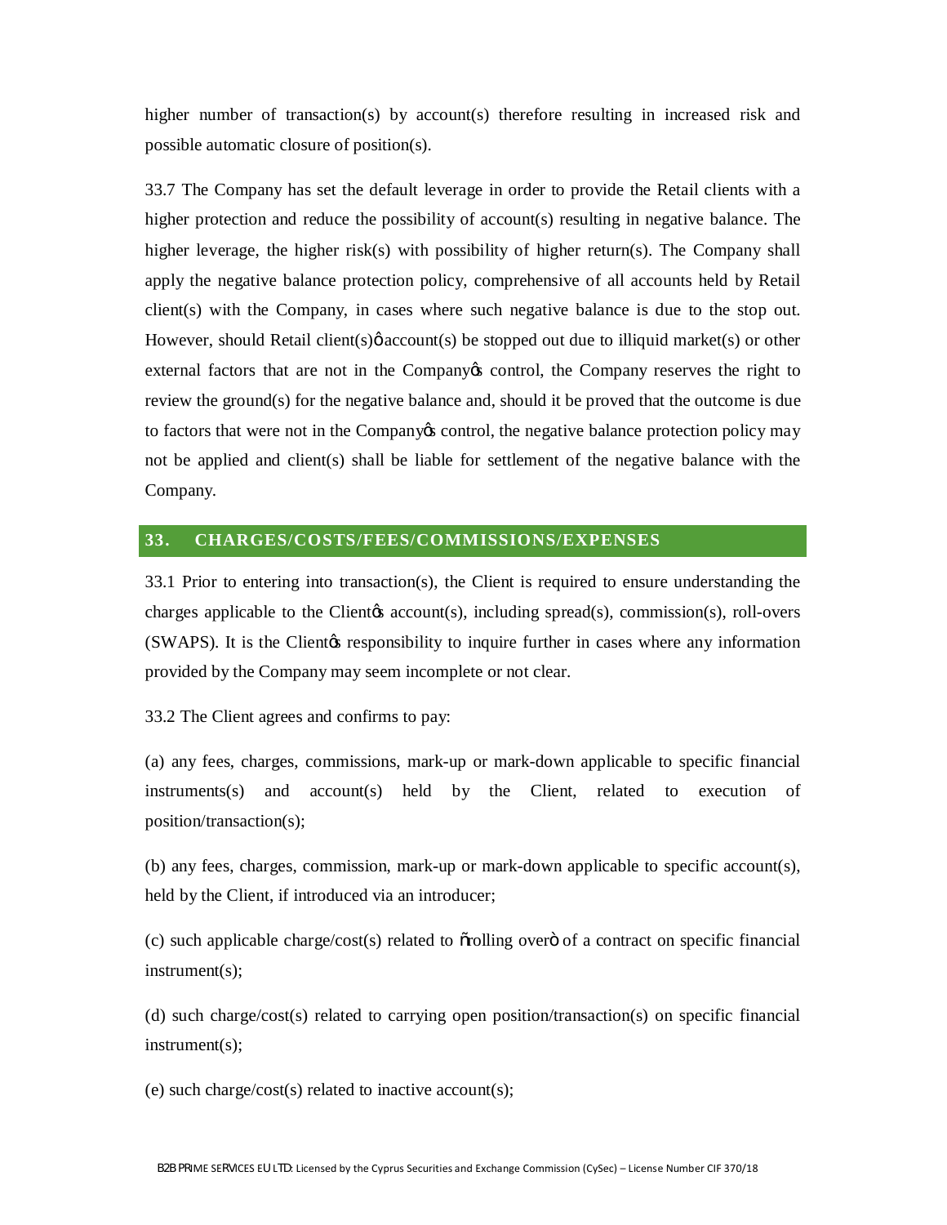higher number of transaction(s) by account(s) therefore resulting in increased risk and possible automatic closure of position(s).

33.7 The Company has set the default leverage in order to provide the Retail clients with a higher protection and reduce the possibility of account(s) resulting in negative balance. The higher leverage, the higher risk(s) with possibility of higher return(s). The Company shall apply the negative balance protection policy, comprehensive of all accounts held by Retail client(s) with the Company, in cases where such negative balance is due to the stop out. However, should Retail client(s) $\phi$  account(s) be stopped out due to illiquid market(s) or other external factors that are not in the Company os control, the Company reserves the right to review the ground(s) for the negative balance and, should it be proved that the outcome is due to factors that were not in the Company's control, the negative balance protection policy may not be applied and client(s) shall be liable for settlement of the negative balance with the Company.

## **33. CHARGES/COSTS/FEES/COMMISSIONS/EXPENSES**

33.1 Prior to entering into transaction(s), the Client is required to ensure understanding the charges applicable to the Client<sub>(s</sub> account(s), including spread(s), commission(s), roll-overs (SWAPS). It is the Client is responsibility to inquire further in cases where any information provided by the Company may seem incomplete or not clear.

33.2 The Client agrees and confirms to pay:

(a) any fees, charges, commissions, mark-up or mark-down applicable to specific financial instruments(s) and account(s) held by the Client, related to execution of position/transaction(s);

(b) any fees, charges, commission, mark-up or mark-down applicable to specific account(s), held by the Client, if introduced via an introducer;

 $(c)$  such applicable charge/cost(s) related to  $\tilde{\text{or}}$  orolling over  $\tilde{\text{o}}$  of a contract on specific financial instrument(s);

(d) such charge/cost(s) related to carrying open position/transaction(s) on specific financial instrument(s);

(e) such charge/cost(s) related to inactive account(s);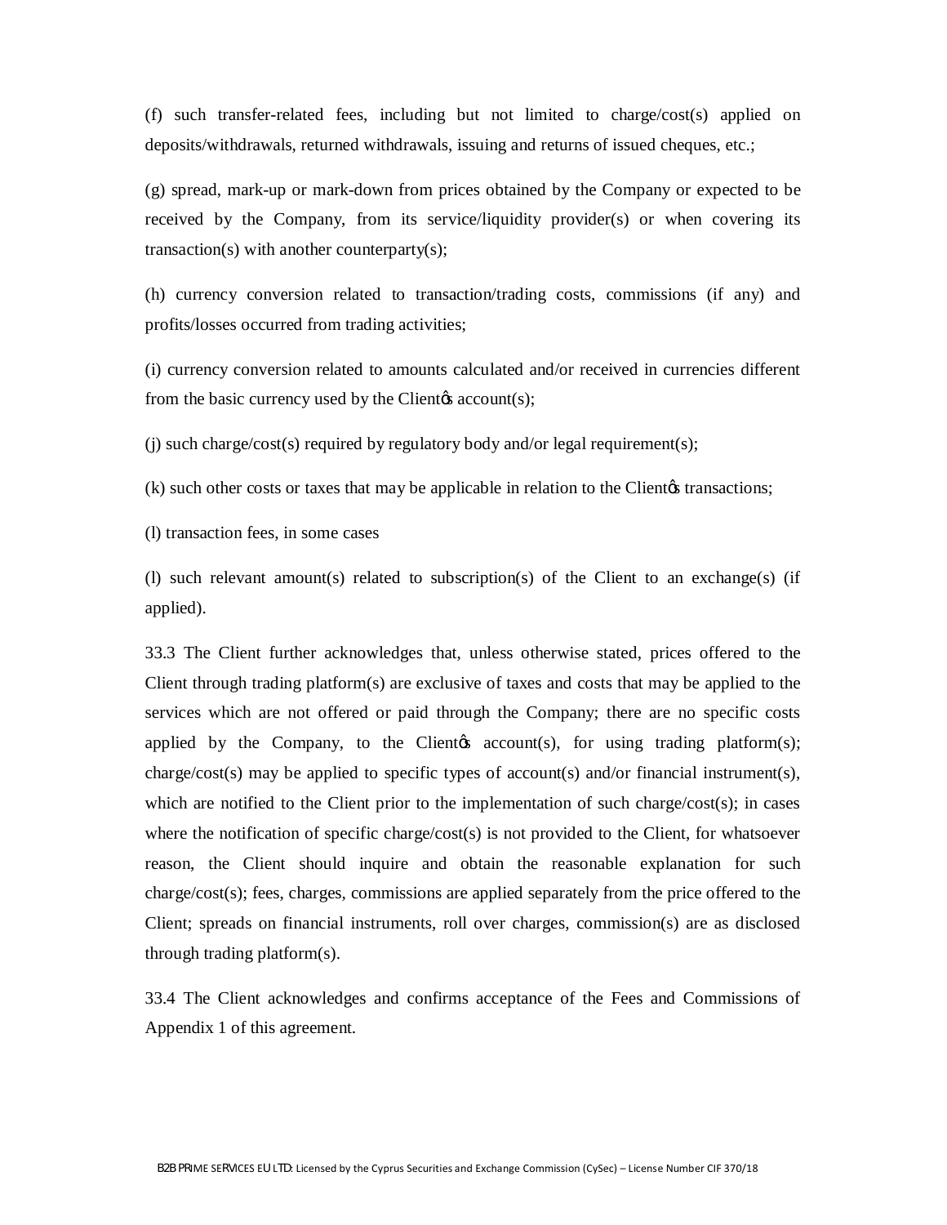(f) such transfer-related fees, including but not limited to charge/cost(s) applied on deposits/withdrawals, returned withdrawals, issuing and returns of issued cheques, etc.;

(g) spread, mark-up or mark-down from prices obtained by the Company or expected to be received by the Company, from its service/liquidity provider(s) or when covering its transaction(s) with another counterparty(s);

(h) currency conversion related to transaction/trading costs, commissions (if any) and profits/losses occurred from trading activities;

(i) currency conversion related to amounts calculated and/or received in currencies different from the basic currency used by the Client $\alpha$  account(s);

(j) such charge/cost(s) required by regulatory body and/or legal requirement(s);

 $(k)$  such other costs or taxes that may be applicable in relation to the Client $\alpha$  transactions;

(l) transaction fees, in some cases

(l) such relevant amount(s) related to subscription(s) of the Client to an exchange(s) (if applied).

33.3 The Client further acknowledges that, unless otherwise stated, prices offered to the Client through trading platform(s) are exclusive of taxes and costs that may be applied to the services which are not offered or paid through the Company; there are no specific costs applied by the Company, to the Client  $\alpha$  account(s), for using trading platform(s); charge/cost(s) may be applied to specific types of account(s) and/or financial instrument(s), which are notified to the Client prior to the implementation of such charge/cost(s); in cases where the notification of specific charge/cost(s) is not provided to the Client, for whatsoever reason, the Client should inquire and obtain the reasonable explanation for such charge/cost(s); fees, charges, commissions are applied separately from the price offered to the Client; spreads on financial instruments, roll over charges, commission(s) are as disclosed through trading platform(s).

33.4 The Client acknowledges and confirms acceptance of the Fees and Commissions of Appendix 1 of this agreement.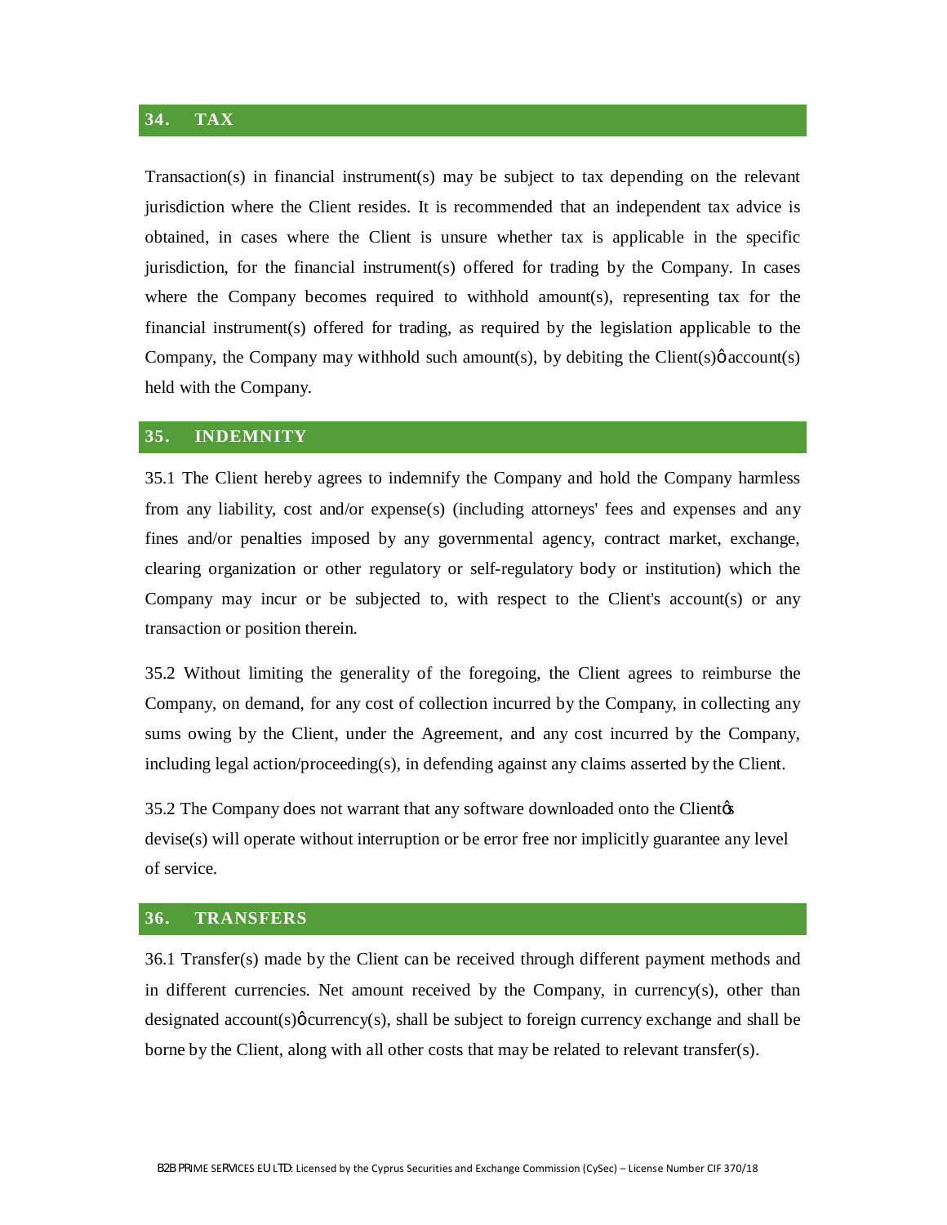## **34. TAX**

Transaction(s) in financial instrument(s) may be subject to tax depending on the relevant jurisdiction where the Client resides. It is recommended that an independent tax advice is obtained, in cases where the Client is unsure whether tax is applicable in the specific jurisdiction, for the financial instrument(s) offered for trading by the Company. In cases where the Company becomes required to withhold amount(s), representing tax for the financial instrument(s) offered for trading, as required by the legislation applicable to the Company, the Company may withhold such amount(s), by debiting the Client(s) $\phi$  account(s) held with the Company.

#### **35. INDEMNITY**

35.1 The Client hereby agrees to indemnify the Company and hold the Company harmless from any liability, cost and/or expense(s) (including attorneys' fees and expenses and any fines and/or penalties imposed by any governmental agency, contract market, exchange, clearing organization or other regulatory or self-regulatory body or institution) which the Company may incur or be subjected to, with respect to the Client's account(s) or any transaction or position therein.

35.2 Without limiting the generality of the foregoing, the Client agrees to reimburse the Company, on demand, for any cost of collection incurred by the Company, in collecting any sums owing by the Client, under the Agreement, and any cost incurred by the Company, including legal action/proceeding(s), in defending against any claims asserted by the Client.

35.2 The Company does not warrant that any software downloaded onto the Client of devise(s) will operate without interruption or be error free nor implicitly guarantee any level of service.

## **36. TRANSFERS**

36.1 Transfer(s) made by the Client can be received through different payment methods and in different currencies. Net amount received by the Company, in currency(s), other than designated  $account(s)$   $\phi$  currency(s), shall be subject to foreign currency exchange and shall be borne by the Client, along with all other costs that may be related to relevant transfer(s).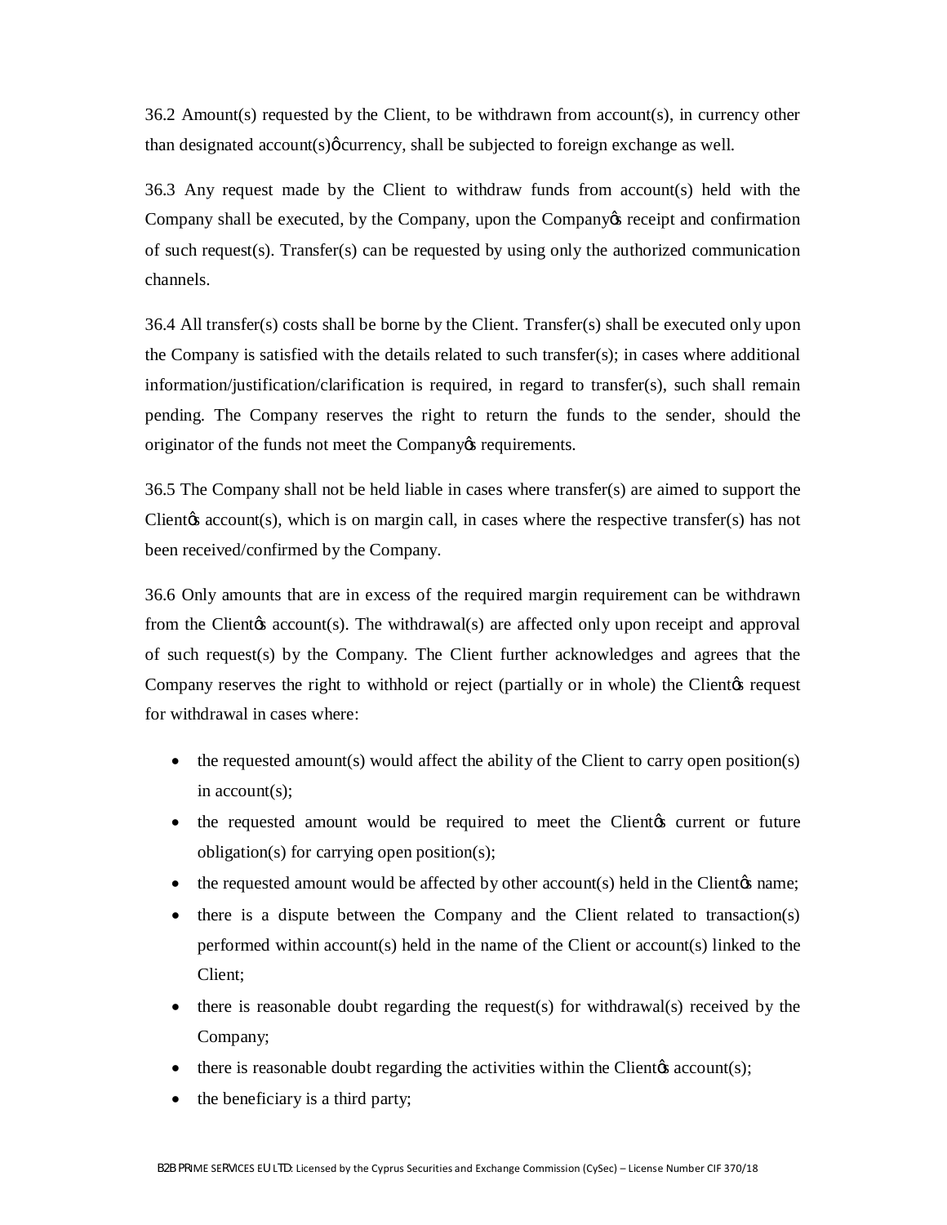36.2 Amount(s) requested by the Client, to be withdrawn from account(s), in currency other than designated  $account(s) \phi current$ , shall be subjected to foreign exchange as well.

36.3 Any request made by the Client to withdraw funds from account(s) held with the Company shall be executed, by the Company, upon the Company's receipt and confirmation of such request(s). Transfer(s) can be requested by using only the authorized communication channels.

 $36.4$  All transfer(s) costs shall be borne by the Client. Transfer(s) shall be executed only upon the Company is satisfied with the details related to such transfer(s); in cases where additional information/justification/clarification is required, in regard to transfer(s), such shall remain pending. The Company reserves the right to return the funds to the sender, should the originator of the funds not meet the Company is requirements.

36.5 The Company shall not be held liable in cases where transfer(s) are aimed to support the Clientos account(s), which is on margin call, in cases where the respective transfer(s) has not been received/confirmed by the Company.

36.6 Only amounts that are in excess of the required margin requirement can be withdrawn from the Client ts account (s). The withdrawal (s) are affected only upon receipt and approval of such request(s) by the Company. The Client further acknowledges and agrees that the Company reserves the right to withhold or reject (partially or in whole) the Client equest for withdrawal in cases where:

- $\bullet$  the requested amount(s) would affect the ability of the Client to carry open position(s) in account(s);
- the requested amount would be required to meet the Client for current or future obligation(s) for carrying open position(s);
- $\bullet$  the requested amount would be affected by other account(s) held in the Client  $\circ$  name;
- there is a dispute between the Company and the Client related to transaction(s) performed within account(s) held in the name of the Client or account(s) linked to the Client;
- there is reasonable doubt regarding the request(s) for withdrawal(s) received by the Company;
- $\bullet$  there is reasonable doubt regarding the activities within the Client  $\alpha$  account(s);
- the beneficiary is a third party;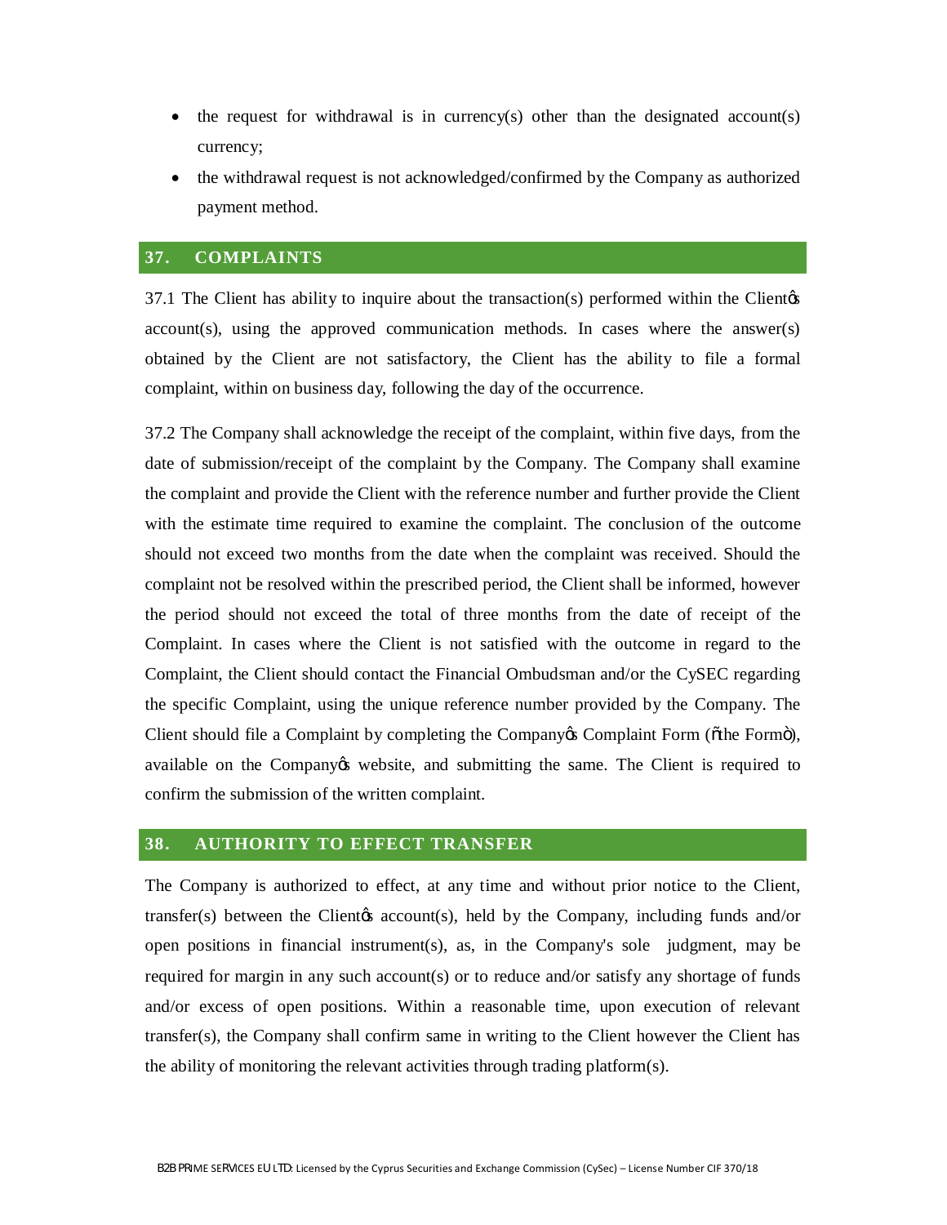- the request for withdrawal is in currency(s) other than the designated account(s) currency;
- · the withdrawal request is not acknowledged/confirmed by the Company as authorized payment method.

## **37. COMPLAINTS**

 $37.1$  The Client has ability to inquire about the transaction(s) performed within the Client $\alpha$ account(s), using the approved communication methods. In cases where the answer(s) obtained by the Client are not satisfactory, the Client has the ability to file a formal complaint, within on business day, following the day of the occurrence.

37.2 The Company shall acknowledge the receipt of the complaint, within five days, from the date of submission/receipt of the complaint by the Company. The Company shall examine the complaint and provide the Client with the reference number and further provide the Client with the estimate time required to examine the complaint. The conclusion of the outcome should not exceed two months from the date when the complaint was received. Should the complaint not be resolved within the prescribed period, the Client shall be informed, however the period should not exceed the total of three months from the date of receipt of the Complaint. In cases where the Client is not satisfied with the outcome in regard to the Complaint, the Client should contact the Financial Ombudsman and/or the CySEC regarding the specific Complaint, using the unique reference number provided by the Company. The Client should file a Complaint by completing the Company & Complaint Form ( $\delta$ the Form $\ddot{\mathrm{o}}$ ), available on the Company ts website, and submitting the same. The Client is required to confirm the submission of the written complaint.

#### **38. AUTHORITY TO EFFECT TRANSFER**

The Company is authorized to effect, at any time and without prior notice to the Client, transfer(s) between the Client<sub>/S</sub> account(s), held by the Company, including funds and/or open positions in financial instrument(s), as, in the Company's sole judgment, may be required for margin in any such account(s) or to reduce and/or satisfy any shortage of funds and/or excess of open positions. Within a reasonable time, upon execution of relevant transfer(s), the Company shall confirm same in writing to the Client however the Client has the ability of monitoring the relevant activities through trading platform(s).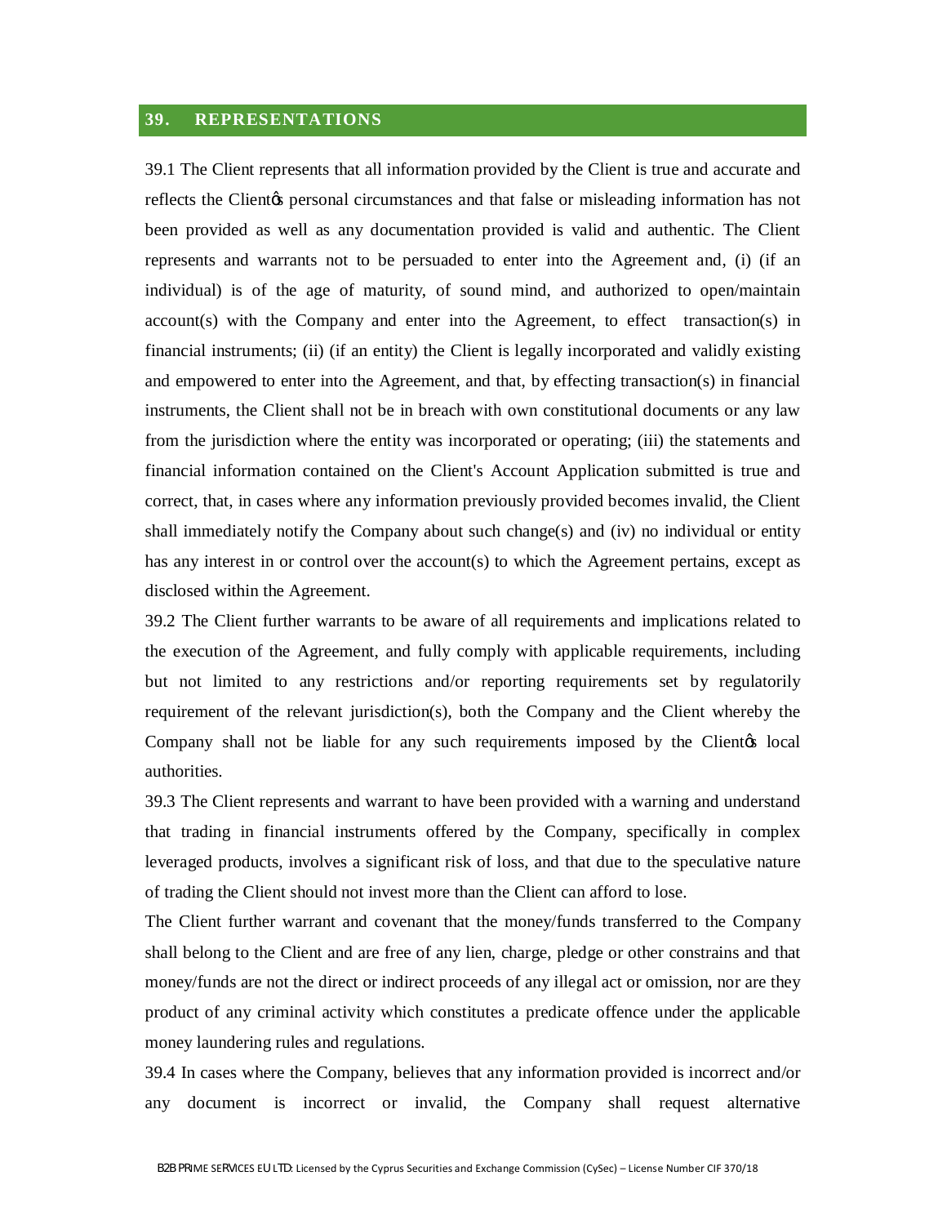## **39. REPRESENTATIONS**

39.1 The Client represents that all information provided by the Client is true and accurate and reflects the Client<sub>/8</sub> personal circumstances and that false or misleading information has not been provided as well as any documentation provided is valid and authentic. The Client represents and warrants not to be persuaded to enter into the Agreement and, (i) (if an individual) is of the age of maturity, of sound mind, and authorized to open/maintain account(s) with the Company and enter into the Agreement, to effect transaction(s) in financial instruments; (ii) (if an entity) the Client is legally incorporated and validly existing and empowered to enter into the Agreement, and that, by effecting transaction(s) in financial instruments, the Client shall not be in breach with own constitutional documents or any law from the jurisdiction where the entity was incorporated or operating; (iii) the statements and financial information contained on the Client's Account Application submitted is true and correct, that, in cases where any information previously provided becomes invalid, the Client shall immediately notify the Company about such change(s) and (iv) no individual or entity has any interest in or control over the account(s) to which the Agreement pertains, except as disclosed within the Agreement.

39.2 The Client further warrants to be aware of all requirements and implications related to the execution of the Agreement, and fully comply with applicable requirements, including but not limited to any restrictions and/or reporting requirements set by regulatorily requirement of the relevant jurisdiction(s), both the Company and the Client whereby the Company shall not be liable for any such requirements imposed by the Client to local authorities.

39.3 The Client represents and warrant to have been provided with a warning and understand that trading in financial instruments offered by the Company, specifically in complex leveraged products, involves a significant risk of loss, and that due to the speculative nature of trading the Client should not invest more than the Client can afford to lose.

The Client further warrant and covenant that the money/funds transferred to the Company shall belong to the Client and are free of any lien, charge, pledge or other constrains and that money/funds are not the direct or indirect proceeds of any illegal act or omission, nor are they product of any criminal activity which constitutes a predicate offence under the applicable money laundering rules and regulations.

39.4 In cases where the Company, believes that any information provided is incorrect and/or any document is incorrect or invalid, the Company shall request alternative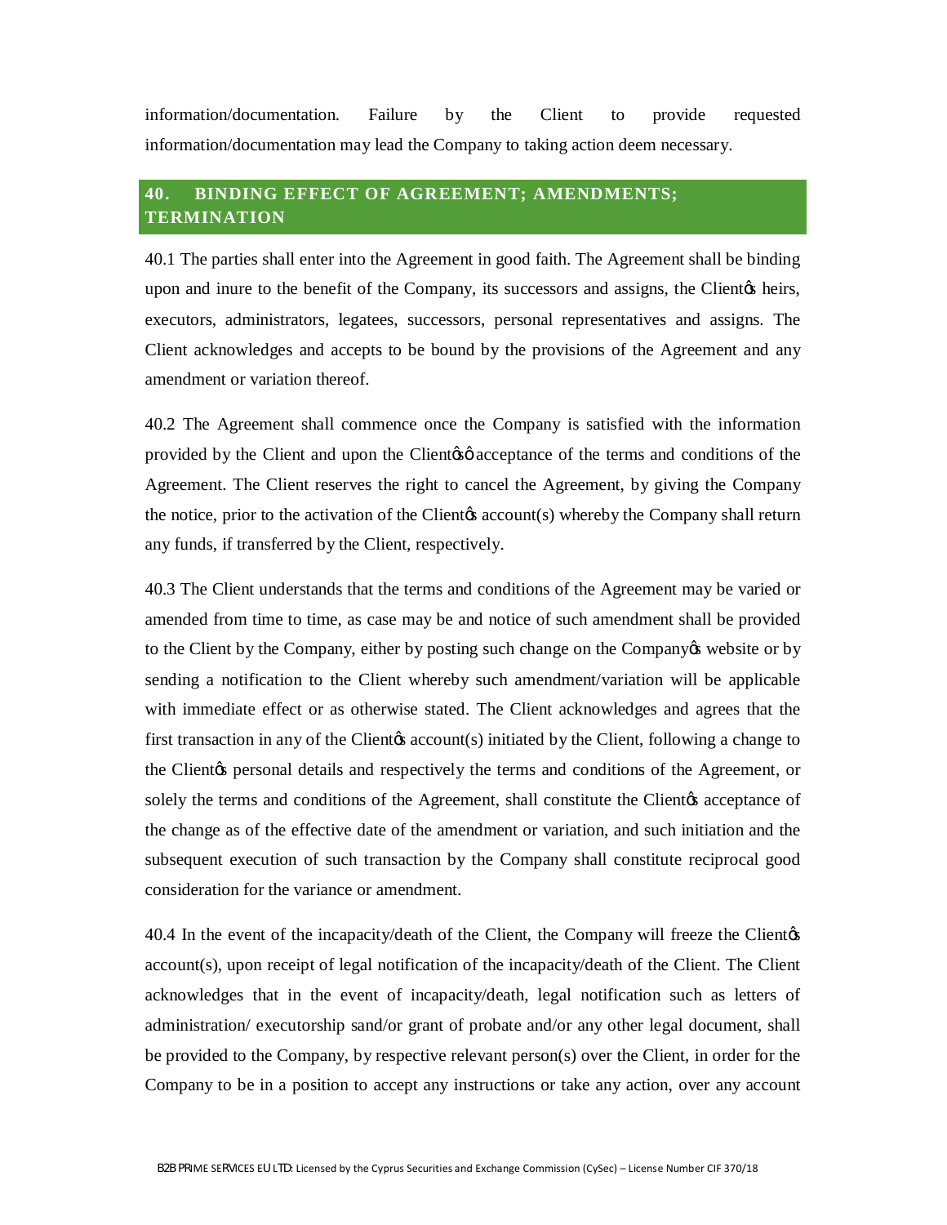information/documentation. Failure by the Client to provide requested information/documentation may lead the Company to taking action deem necessary.

# **40. BINDING EFFECT OF AGREEMENT; AMENDMENTS; TERMINATION**

40.1 The parties shall enter into the Agreement in good faith. The Agreement shall be binding upon and inure to the benefit of the Company, its successors and assigns, the Clientos heirs, executors, administrators, legatees, successors, personal representatives and assigns. The Client acknowledges and accepts to be bound by the provisions of the Agreement and any amendment or variation thereof.

40.2 The Agreement shall commence once the Company is satisfied with the information provided by the Client and upon the Client of acceptance of the terms and conditions of the Agreement. The Client reserves the right to cancel the Agreement, by giving the Company the notice, prior to the activation of the Clientos account(s) whereby the Company shall return any funds, if transferred by the Client, respectively.

40.3 The Client understands that the terms and conditions of the Agreement may be varied or amended from time to time, as case may be and notice of such amendment shall be provided to the Client by the Company, either by posting such change on the Company ten subsite or by sending a notification to the Client whereby such amendment/variation will be applicable with immediate effect or as otherwise stated. The Client acknowledges and agrees that the first transaction in any of the Clientos account(s) initiated by the Client, following a change to the Client<sub>/S</sub> personal details and respectively the terms and conditions of the Agreement, or solely the terms and conditions of the Agreement, shall constitute the Client es acceptance of the change as of the effective date of the amendment or variation, and such initiation and the subsequent execution of such transaction by the Company shall constitute reciprocal good consideration for the variance or amendment.

40.4 In the event of the incapacity/death of the Client, the Company will freeze the Client<sub>h</sub>'s account(s), upon receipt of legal notification of the incapacity/death of the Client. The Client acknowledges that in the event of incapacity/death, legal notification such as letters of administration/ executorship sand/or grant of probate and/or any other legal document, shall be provided to the Company, by respective relevant person(s) over the Client, in order for the Company to be in a position to accept any instructions or take any action, over any account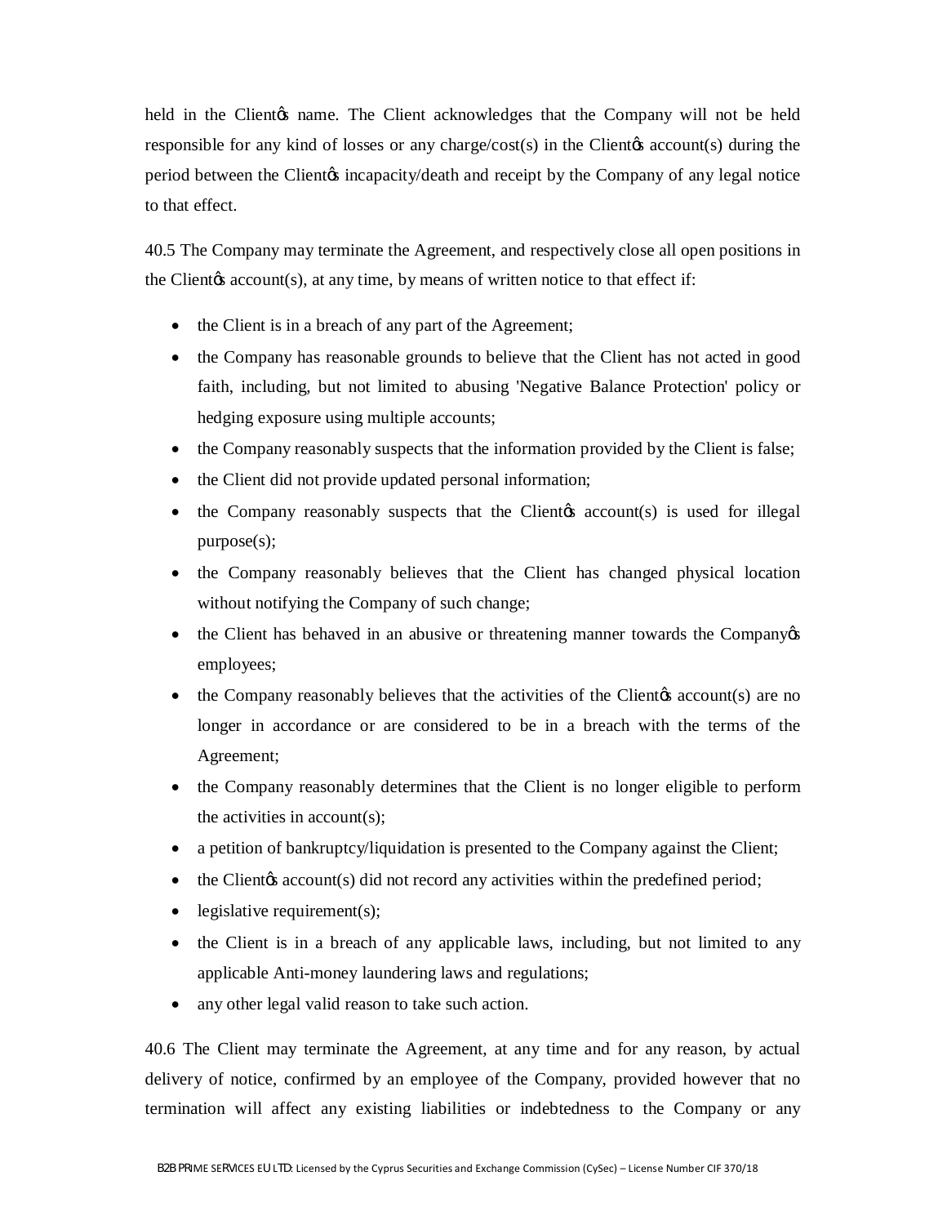held in the Client $\alpha$  name. The Client acknowledges that the Company will not be held responsible for any kind of losses or any charge/cost(s) in the Client  $\alpha$  account  $(s)$  during the period between the Client<sub>/b</sub> incapacity/death and receipt by the Company of any legal notice to that effect.

40.5 The Company may terminate the Agreement, and respectively close all open positions in the Client $\alpha$  account(s), at any time, by means of written notice to that effect if:

- the Client is in a breach of any part of the Agreement;
- the Company has reasonable grounds to believe that the Client has not acted in good faith, including, but not limited to abusing 'Negative Balance Protection' policy or hedging exposure using multiple accounts;
- the Company reasonably suspects that the information provided by the Client is false;
- the Client did not provide updated personal information;
- $\bullet$  the Company reasonably suspects that the Clientos account(s) is used for illegal purpose(s);
- the Company reasonably believes that the Client has changed physical location without notifying the Company of such change;
- the Client has behaved in an abusive or threatening manner towards the Company  $\alpha$ employees;
- the Company reasonably believes that the activities of the Client *(s)* are no longer in accordance or are considered to be in a breach with the terms of the Agreement;
- the Company reasonably determines that the Client is no longer eligible to perform the activities in account(s);
- a petition of bankruptcy/liquidation is presented to the Company against the Client;
- $\bullet$  the Client  $\alpha$ s account  $(s)$  did not record any activities within the predefined period;
- $\bullet$  legislative requirement(s);
- the Client is in a breach of any applicable laws, including, but not limited to any applicable Anti-money laundering laws and regulations;
- any other legal valid reason to take such action.

40.6 The Client may terminate the Agreement, at any time and for any reason, by actual delivery of notice, confirmed by an employee of the Company, provided however that no termination will affect any existing liabilities or indebtedness to the Company or any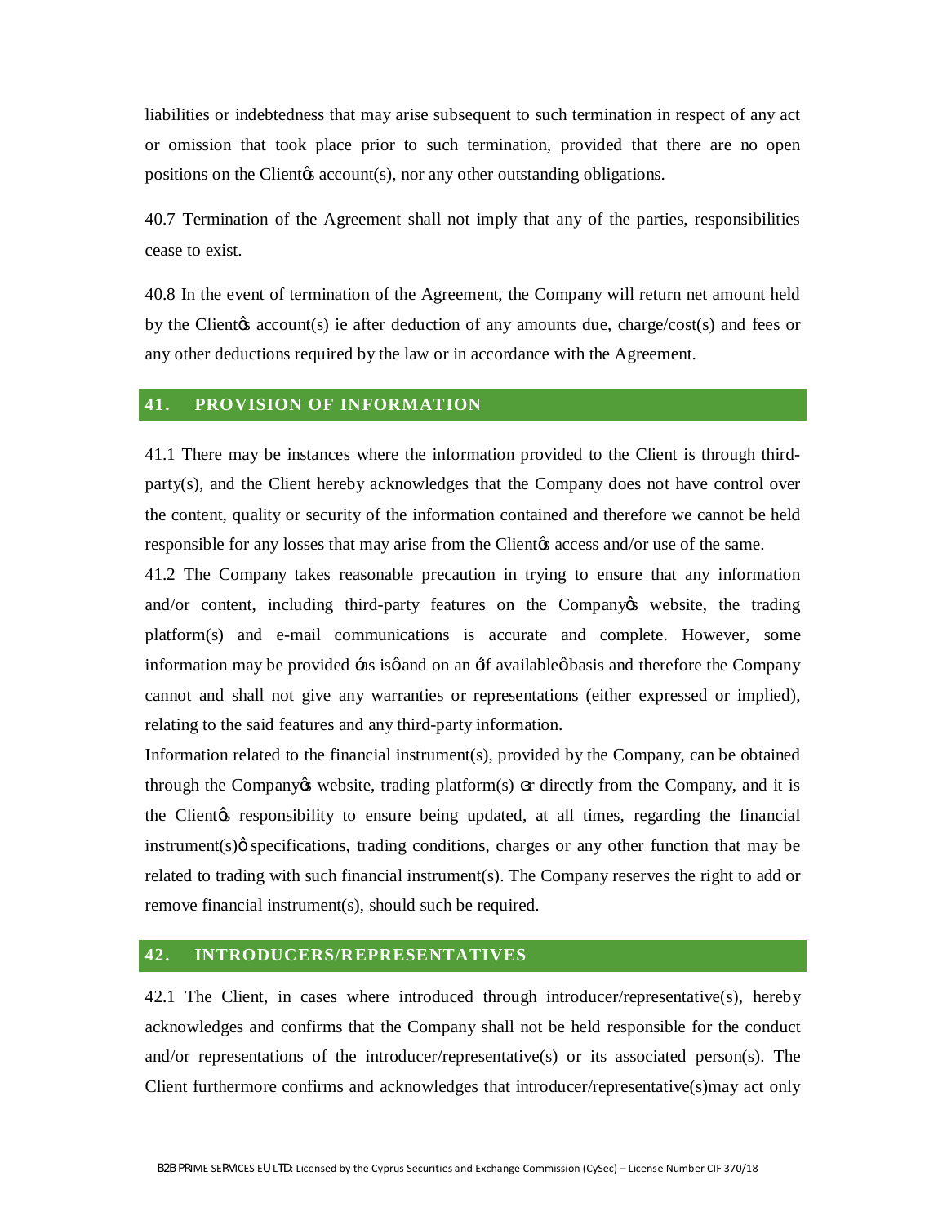liabilities or indebtedness that may arise subsequent to such termination in respect of any act or omission that took place prior to such termination, provided that there are no open positions on the Client  $\alpha$  account(s), nor any other outstanding obligations.

40.7 Termination of the Agreement shall not imply that any of the parties, responsibilities cease to exist.

40.8 In the event of termination of the Agreement, the Company will return net amount held by the Clientos account(s) ie after deduction of any amounts due, charge/cost(s) and fees or any other deductions required by the law or in accordance with the Agreement.

#### **41. PROVISION OF INFORMATION**

41.1 There may be instances where the information provided to the Client is through thirdparty(s), and the Client hereby acknowledges that the Company does not have control over the content, quality or security of the information contained and therefore we cannot be held responsible for any losses that may arise from the Client<sub>h</sub> access and/or use of the same.

41.2 The Company takes reasonable precaution in trying to ensure that any information and/or content, including third-party features on the Company twebsite, the trading platform(s) and e-mail communications is accurate and complete. However, some information may be provided  $\div$ as is $\phi$  and on an  $\div$ f available $\phi$  basis and therefore the Company cannot and shall not give any warranties or representations (either expressed or implied), relating to the said features and any third-party information.

Information related to the financial instrument(s), provided by the Company, can be obtained through the Company $\alpha$  website, trading platform(s) r directly from the Company, and it is the Client the responsibility to ensure being updated, at all times, regarding the financial instrument(s) $\phi$  specifications, trading conditions, charges or any other function that may be related to trading with such financial instrument(s). The Company reserves the right to add or remove financial instrument(s), should such be required.

## **42. INTRODUCERS/REPRESENTATIVES**

42.1 The Client, in cases where introduced through introducer/representative(s), hereby acknowledges and confirms that the Company shall not be held responsible for the conduct and/or representations of the introducer/representative(s) or its associated person(s). The Client furthermore confirms and acknowledges that introducer/representative(s)may act only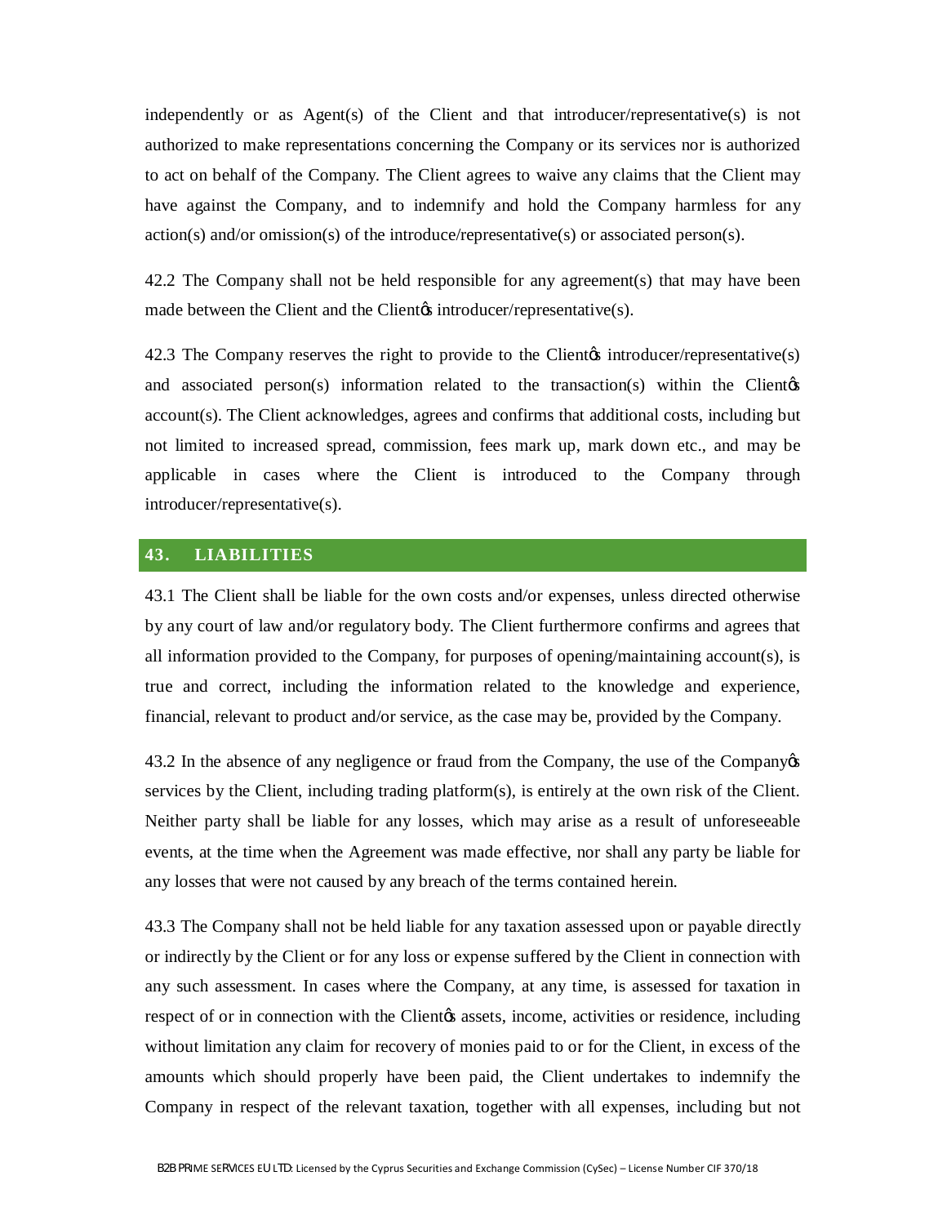independently or as Agent(s) of the Client and that introducer/representative(s) is not authorized to make representations concerning the Company or its services nor is authorized to act on behalf of the Company. The Client agrees to waive any claims that the Client may have against the Company, and to indemnify and hold the Company harmless for any action(s) and/or omission(s) of the introduce/representative(s) or associated person(s).

42.2 The Company shall not be held responsible for any agreement(s) that may have been made between the Client and the Client introducer/representative(s).

42.3 The Company reserves the right to provide to the Client introducer/representative $(s)$ and associated person(s) information related to the transaction(s) within the Client $\phi$ account(s). The Client acknowledges, agrees and confirms that additional costs, including but not limited to increased spread, commission, fees mark up, mark down etc., and may be applicable in cases where the Client is introduced to the Company through introducer/representative(s).

#### **43. LIABILITIES**

43.1 The Client shall be liable for the own costs and/or expenses, unless directed otherwise by any court of law and/or regulatory body. The Client furthermore confirms and agrees that all information provided to the Company, for purposes of opening/maintaining account(s), is true and correct, including the information related to the knowledge and experience, financial, relevant to product and/or service, as the case may be, provided by the Company.

43.2 In the absence of any negligence or fraud from the Company, the use of the Company's services by the Client, including trading platform(s), is entirely at the own risk of the Client. Neither party shall be liable for any losses, which may arise as a result of unforeseeable events, at the time when the Agreement was made effective, nor shall any party be liable for any losses that were not caused by any breach of the terms contained herein.

43.3 The Company shall not be held liable for any taxation assessed upon or payable directly or indirectly by the Client or for any loss or expense suffered by the Client in connection with any such assessment. In cases where the Company, at any time, is assessed for taxation in respect of or in connection with the Clientos assets, income, activities or residence, including without limitation any claim for recovery of monies paid to or for the Client, in excess of the amounts which should properly have been paid, the Client undertakes to indemnify the Company in respect of the relevant taxation, together with all expenses, including but not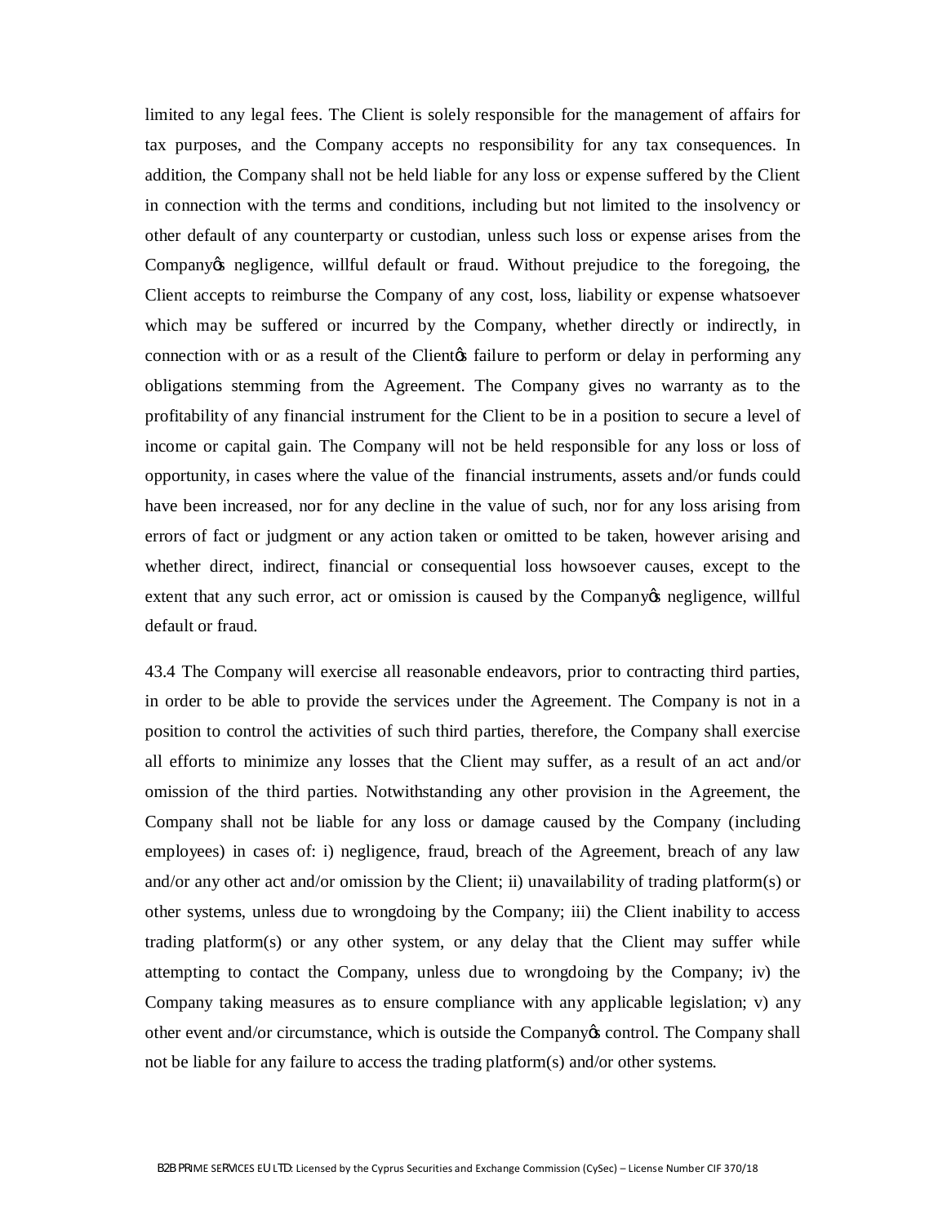limited to any legal fees. The Client is solely responsible for the management of affairs for tax purposes, and the Company accepts no responsibility for any tax consequences. In addition, the Company shall not be held liable for any loss or expense suffered by the Client in connection with the terms and conditions, including but not limited to the insolvency or other default of any counterparty or custodian, unless such loss or expense arises from the Company te negligence, willful default or fraud. Without prejudice to the foregoing, the Client accepts to reimburse the Company of any cost, loss, liability or expense whatsoever which may be suffered or incurred by the Company, whether directly or indirectly, in connection with or as a result of the Client to perform or delay in performing any obligations stemming from the Agreement. The Company gives no warranty as to the profitability of any financial instrument for the Client to be in a position to secure a level of income or capital gain. The Company will not be held responsible for any loss or loss of opportunity, in cases where the value of the financial instruments, assets and/or funds could have been increased, nor for any decline in the value of such, nor for any loss arising from errors of fact or judgment or any action taken or omitted to be taken, however arising and whether direct, indirect, financial or consequential loss howsoever causes, except to the extent that any such error, act or omission is caused by the Company ten engligence, willful default or fraud.

43.4 The Company will exercise all reasonable endeavors, prior to contracting third parties, in order to be able to provide the services under the Agreement. The Company is not in a position to control the activities of such third parties, therefore, the Company shall exercise all efforts to minimize any losses that the Client may suffer, as a result of an act and/or omission of the third parties. Notwithstanding any other provision in the Agreement, the Company shall not be liable for any loss or damage caused by the Company (including employees) in cases of: i) negligence, fraud, breach of the Agreement, breach of any law and/or any other act and/or omission by the Client; ii) unavailability of trading platform(s) or other systems, unless due to wrongdoing by the Company; iii) the Client inability to access trading platform(s) or any other system, or any delay that the Client may suffer while attempting to contact the Company, unless due to wrongdoing by the Company; iv) the Company taking measures as to ensure compliance with any applicable legislation; v) any other event and/or circumstance, which is outside the Company's control. The Company shall not be liable for any failure to access the trading platform(s) and/or other systems.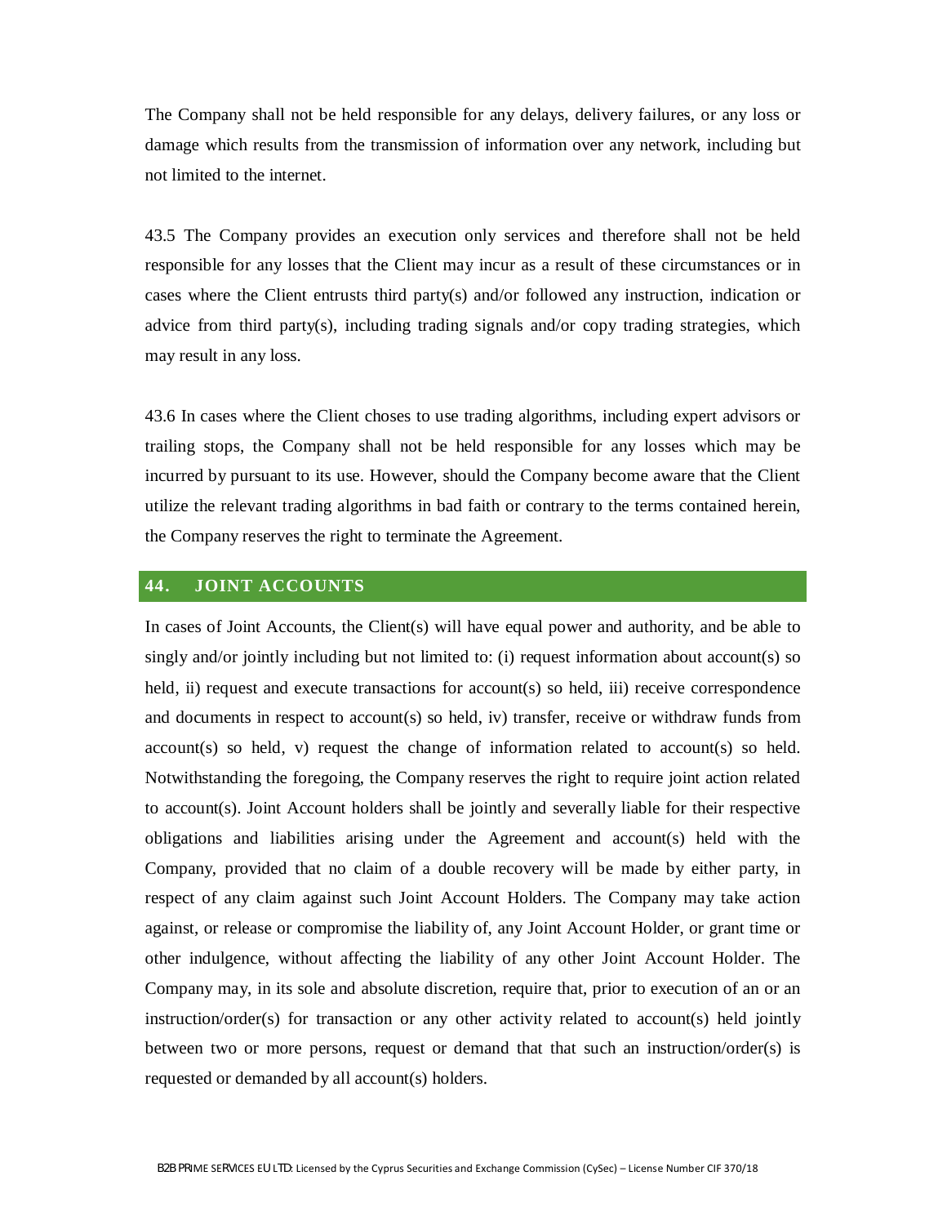The Company shall not be held responsible for any delays, delivery failures, or any loss or damage which results from the transmission of information over any network, including but not limited to the internet.

43.5 The Company provides an execution only services and therefore shall not be held responsible for any losses that the Client may incur as a result of these circumstances or in cases where the Client entrusts third party(s) and/or followed any instruction, indication or advice from third party(s), including trading signals and/or copy trading strategies, which may result in any loss.

43.6 In cases where the Client choses to use trading algorithms, including expert advisors or trailing stops, the Company shall not be held responsible for any losses which may be incurred by pursuant to its use. However, should the Company become aware that the Client utilize the relevant trading algorithms in bad faith or contrary to the terms contained herein, the Company reserves the right to terminate the Agreement.

#### **44. JOINT ACCOUNTS**

In cases of Joint Accounts, the Client(s) will have equal power and authority, and be able to singly and/or jointly including but not limited to: (i) request information about account(s) so held, ii) request and execute transactions for account(s) so held, iii) receive correspondence and documents in respect to account(s) so held, iv) transfer, receive or withdraw funds from account(s) so held, v) request the change of information related to account(s) so held. Notwithstanding the foregoing, the Company reserves the right to require joint action related to account(s). Joint Account holders shall be jointly and severally liable for their respective obligations and liabilities arising under the Agreement and account(s) held with the Company, provided that no claim of a double recovery will be made by either party, in respect of any claim against such Joint Account Holders. The Company may take action against, or release or compromise the liability of, any Joint Account Holder, or grant time or other indulgence, without affecting the liability of any other Joint Account Holder. The Company may, in its sole and absolute discretion, require that, prior to execution of an or an instruction/order(s) for transaction or any other activity related to account(s) held jointly between two or more persons, request or demand that that such an instruction/order(s) is requested or demanded by all account(s) holders.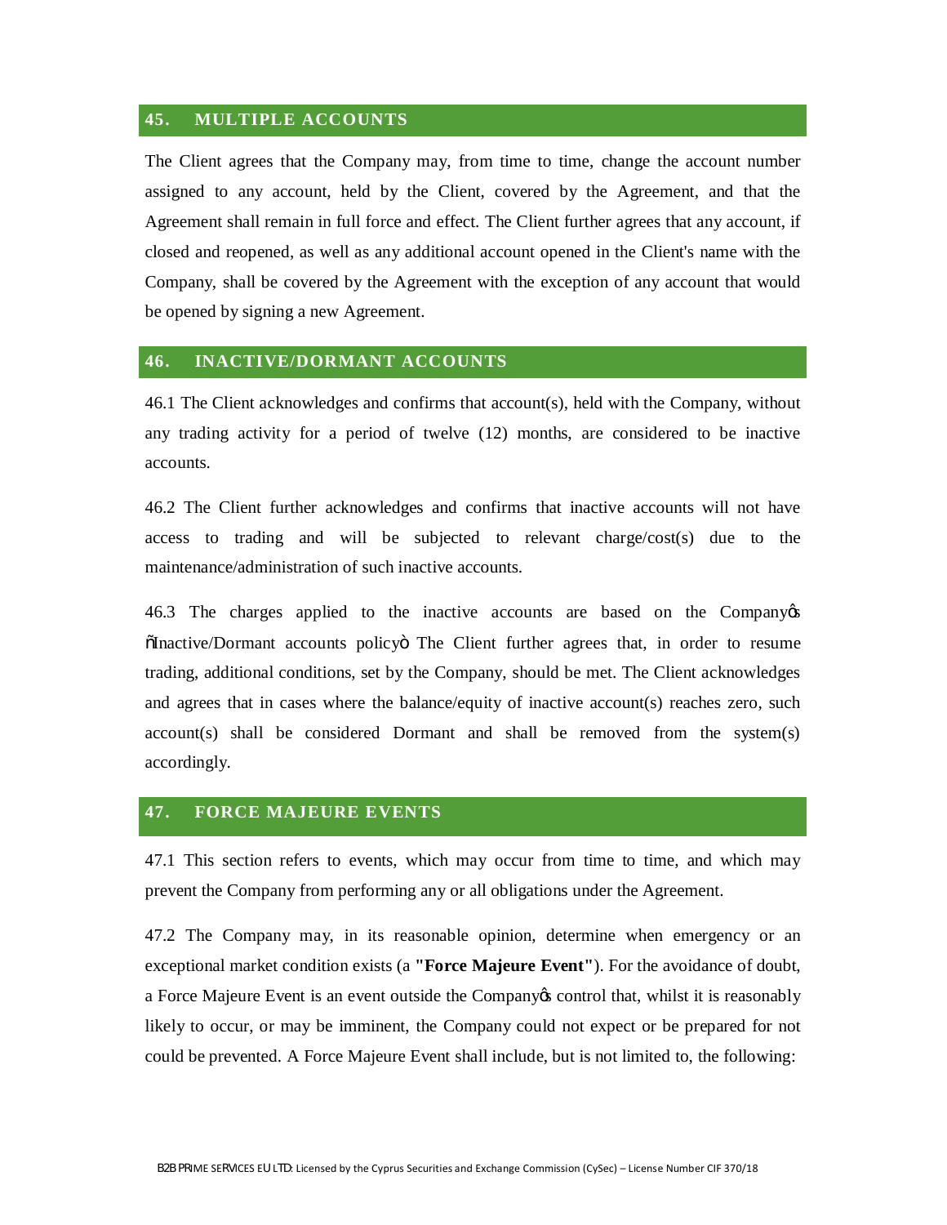## **45. MULTIPLE ACCOUNTS**

The Client agrees that the Company may, from time to time, change the account number assigned to any account, held by the Client, covered by the Agreement, and that the Agreement shall remain in full force and effect. The Client further agrees that any account, if closed and reopened, as well as any additional account opened in the Client's name with the Company, shall be covered by the Agreement with the exception of any account that would be opened by signing a new Agreement.

#### **46. INACTIVE/DORMANT ACCOUNTS**

46.1 The Client acknowledges and confirms that account(s), held with the Company, without any trading activity for a period of twelve (12) months, are considered to be inactive accounts.

46.2 The Client further acknowledges and confirms that inactive accounts will not have access to trading and will be subjected to relevant charge/cost(s) due to the maintenance/administration of such inactive accounts.

46.3 The charges applied to the inactive accounts are based on the Company's "Inactive/Dormant accounts policy" The Client further agrees that, in order to resume trading, additional conditions, set by the Company, should be met. The Client acknowledges and agrees that in cases where the balance/equity of inactive account(s) reaches zero, such account(s) shall be considered Dormant and shall be removed from the system(s) accordingly.

## **47. FORCE MAJEURE EVENTS**

47.1 This section refers to events, which may occur from time to time, and which may prevent the Company from performing any or all obligations under the Agreement.

47.2 The Company may, in its reasonable opinion, determine when emergency or an exceptional market condition exists (a **"Force Majeure Event"**). For the avoidance of doubt, a Force Majeure Event is an event outside the Company is control that, whilst it is reasonably likely to occur, or may be imminent, the Company could not expect or be prepared for not could be prevented. A Force Majeure Event shall include, but is not limited to, the following: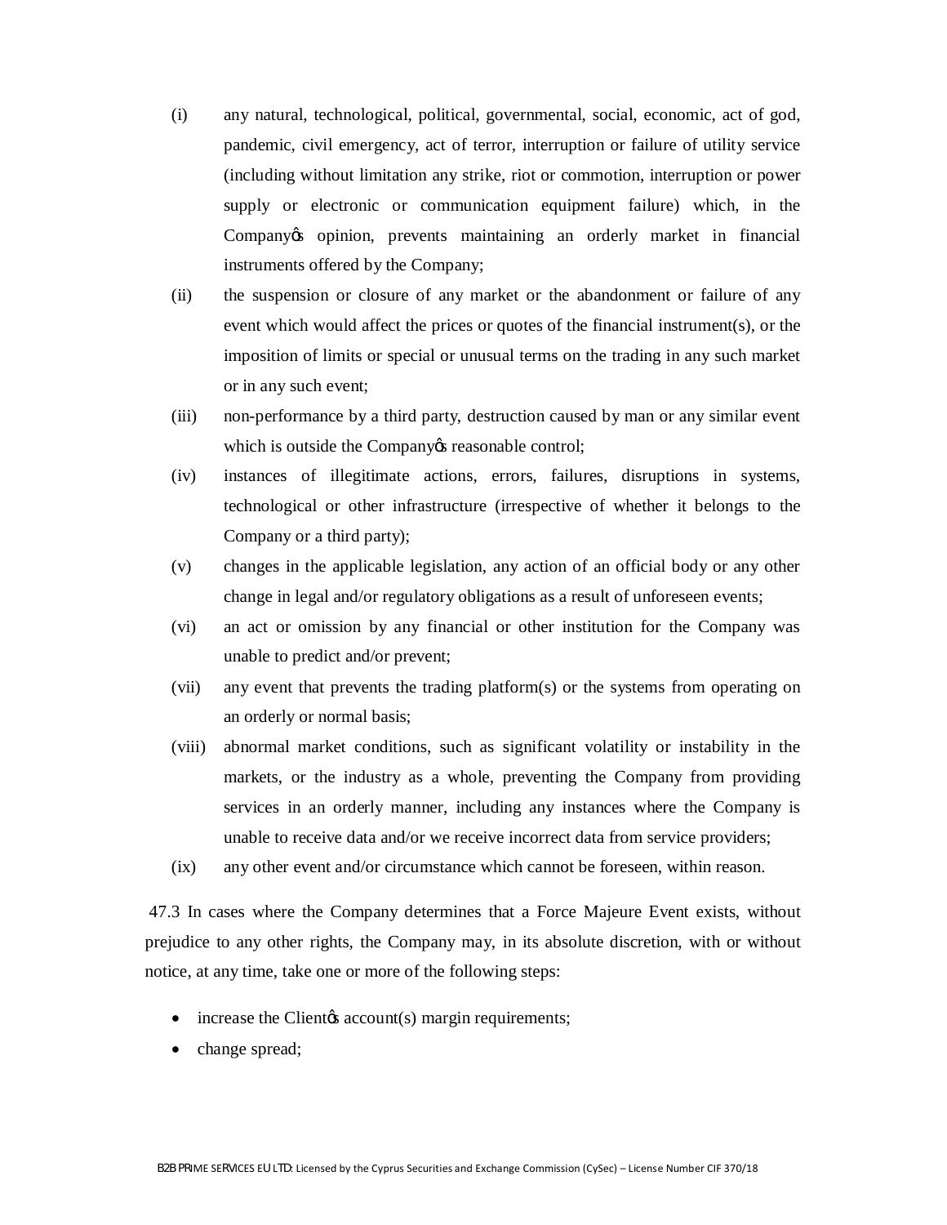- (i) any natural, technological, political, governmental, social, economic, act of god, pandemic, civil emergency, act of terror, interruption or failure of utility service (including without limitation any strike, riot or commotion, interruption or power supply or electronic or communication equipment failure) which, in the Company to opinion, prevents maintaining an orderly market in financial instruments offered by the Company;
- (ii) the suspension or closure of any market or the abandonment or failure of any event which would affect the prices or quotes of the financial instrument(s), or the imposition of limits or special or unusual terms on the trading in any such market or in any such event;
- (iii) non-performance by a third party, destruction caused by man or any similar event which is outside the Company *is* reasonable control;
- (iv) instances of illegitimate actions, errors, failures, disruptions in systems, technological or other infrastructure (irrespective of whether it belongs to the Company or a third party);
- (v) changes in the applicable legislation, any action of an official body or any other change in legal and/or regulatory obligations as a result of unforeseen events;
- (vi) an act or omission by any financial or other institution for the Company was unable to predict and/or prevent;
- (vii) any event that prevents the trading platform(s) or the systems from operating on an orderly or normal basis;
- (viii) abnormal market conditions, such as significant volatility or instability in the markets, or the industry as a whole, preventing the Company from providing services in an orderly manner, including any instances where the Company is unable to receive data and/or we receive incorrect data from service providers;
- (ix) any other event and/or circumstance which cannot be foreseen, within reason.

47.3 In cases where the Company determines that a Force Majeure Event exists, without prejudice to any other rights, the Company may, in its absolute discretion, with or without notice, at any time, take one or more of the following steps:

- increase the Client *c*s account (s) margin requirements;
- change spread;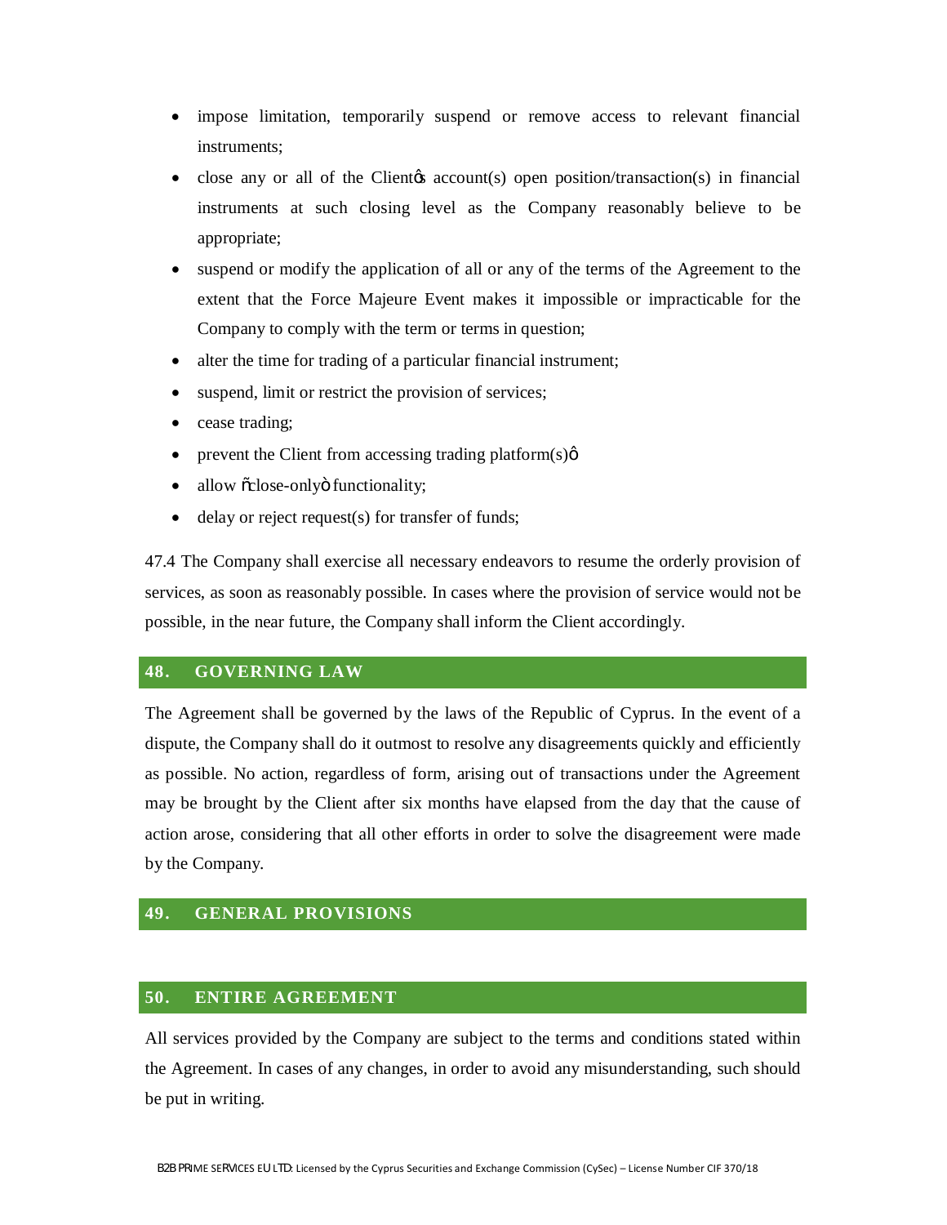- impose limitation, temporarily suspend or remove access to relevant financial instruments;
- close any or all of the Client<sub>(s</sub> account(s) open position/transaction(s) in financial instruments at such closing level as the Company reasonably believe to be appropriate;
- · suspend or modify the application of all or any of the terms of the Agreement to the extent that the Force Majeure Event makes it impossible or impracticable for the Company to comply with the term or terms in question;
- alter the time for trading of a particular financial instrument;
- suspend, limit or restrict the provision of services;
- cease trading;
- prevent the Client from accessing trading platform $(s)$  $\phi$
- allow õclose-onlyö functionality;
- delay or reject request(s) for transfer of funds;

47.4 The Company shall exercise all necessary endeavors to resume the orderly provision of services, as soon as reasonably possible. In cases where the provision of service would not be possible, in the near future, the Company shall inform the Client accordingly.

#### **48. GOVERNING LAW**

The Agreement shall be governed by the laws of the Republic of Cyprus. In the event of a dispute, the Company shall do it outmost to resolve any disagreements quickly and efficiently as possible. No action, regardless of form, arising out of transactions under the Agreement may be brought by the Client after six months have elapsed from the day that the cause of action arose, considering that all other efforts in order to solve the disagreement were made by the Company.

## **49. GENERAL PROVISIONS**

## **50. ENTIRE AGREEMENT**

All services provided by the Company are subject to the terms and conditions stated within the Agreement. In cases of any changes, in order to avoid any misunderstanding, such should be put in writing.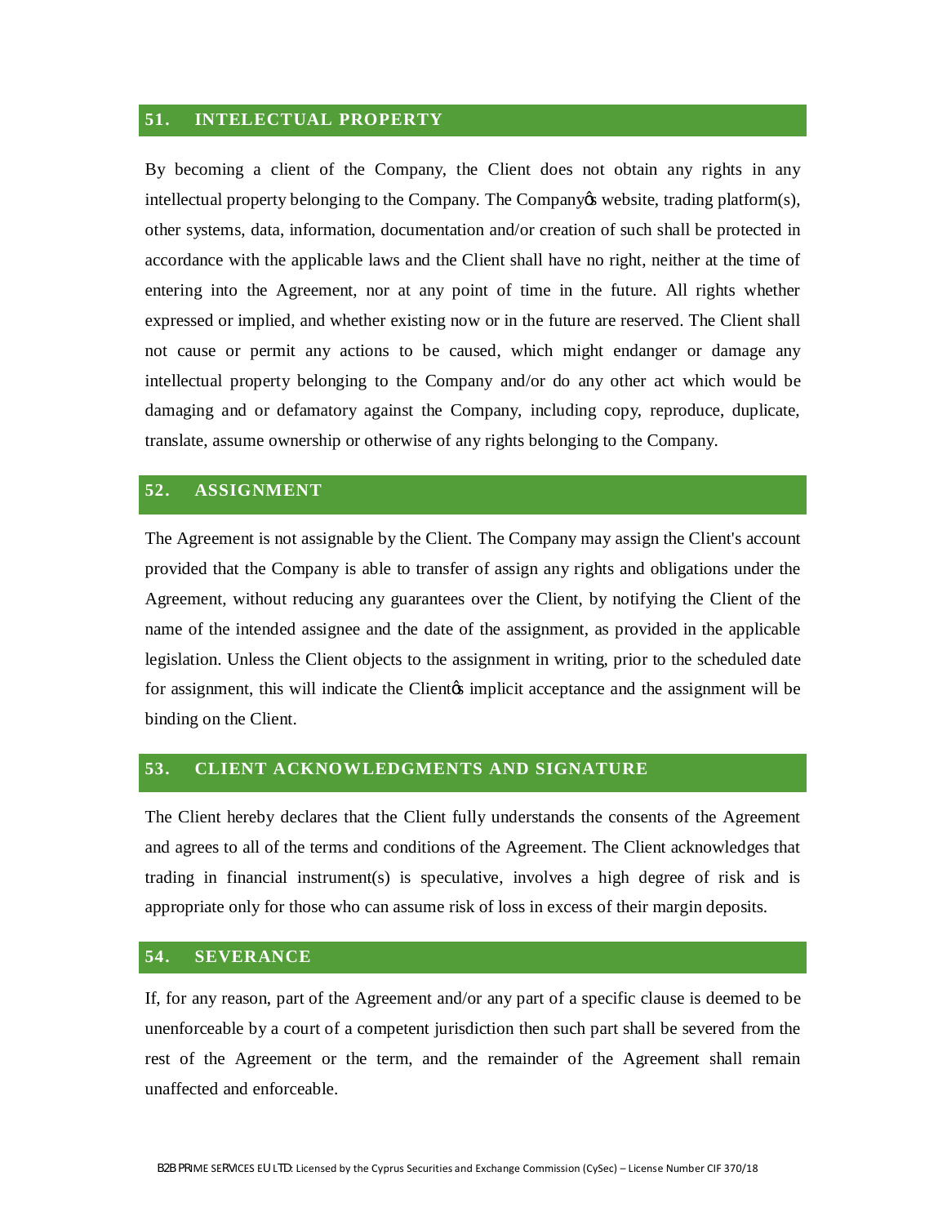#### **51. INTELECTUAL PROPERTY**

By becoming a client of the Company, the Client does not obtain any rights in any intellectual property belonging to the Company. The Company<sub>*i*</sub> website, trading platform(s), other systems, data, information, documentation and/or creation of such shall be protected in accordance with the applicable laws and the Client shall have no right, neither at the time of entering into the Agreement, nor at any point of time in the future. All rights whether expressed or implied, and whether existing now or in the future are reserved. The Client shall not cause or permit any actions to be caused, which might endanger or damage any intellectual property belonging to the Company and/or do any other act which would be damaging and or defamatory against the Company, including copy, reproduce, duplicate, translate, assume ownership or otherwise of any rights belonging to the Company.

#### **52. ASSIGNMENT**

The Agreement is not assignable by the Client. The Company may assign the Client's account provided that the Company is able to transfer of assign any rights and obligations under the Agreement, without reducing any guarantees over the Client, by notifying the Client of the name of the intended assignee and the date of the assignment, as provided in the applicable legislation. Unless the Client objects to the assignment in writing, prior to the scheduled date for assignment, this will indicate the Clientos implicit acceptance and the assignment will be binding on the Client.

#### **53. CLIENT ACKNOWLEDGMENTS AND SIGNATURE**

The Client hereby declares that the Client fully understands the consents of the Agreement and agrees to all of the terms and conditions of the Agreement. The Client acknowledges that trading in financial instrument(s) is speculative, involves a high degree of risk and is appropriate only for those who can assume risk of loss in excess of their margin deposits.

## **54. SEVERANCE**

If, for any reason, part of the Agreement and/or any part of a specific clause is deemed to be unenforceable by a court of a competent jurisdiction then such part shall be severed from the rest of the Agreement or the term, and the remainder of the Agreement shall remain unaffected and enforceable.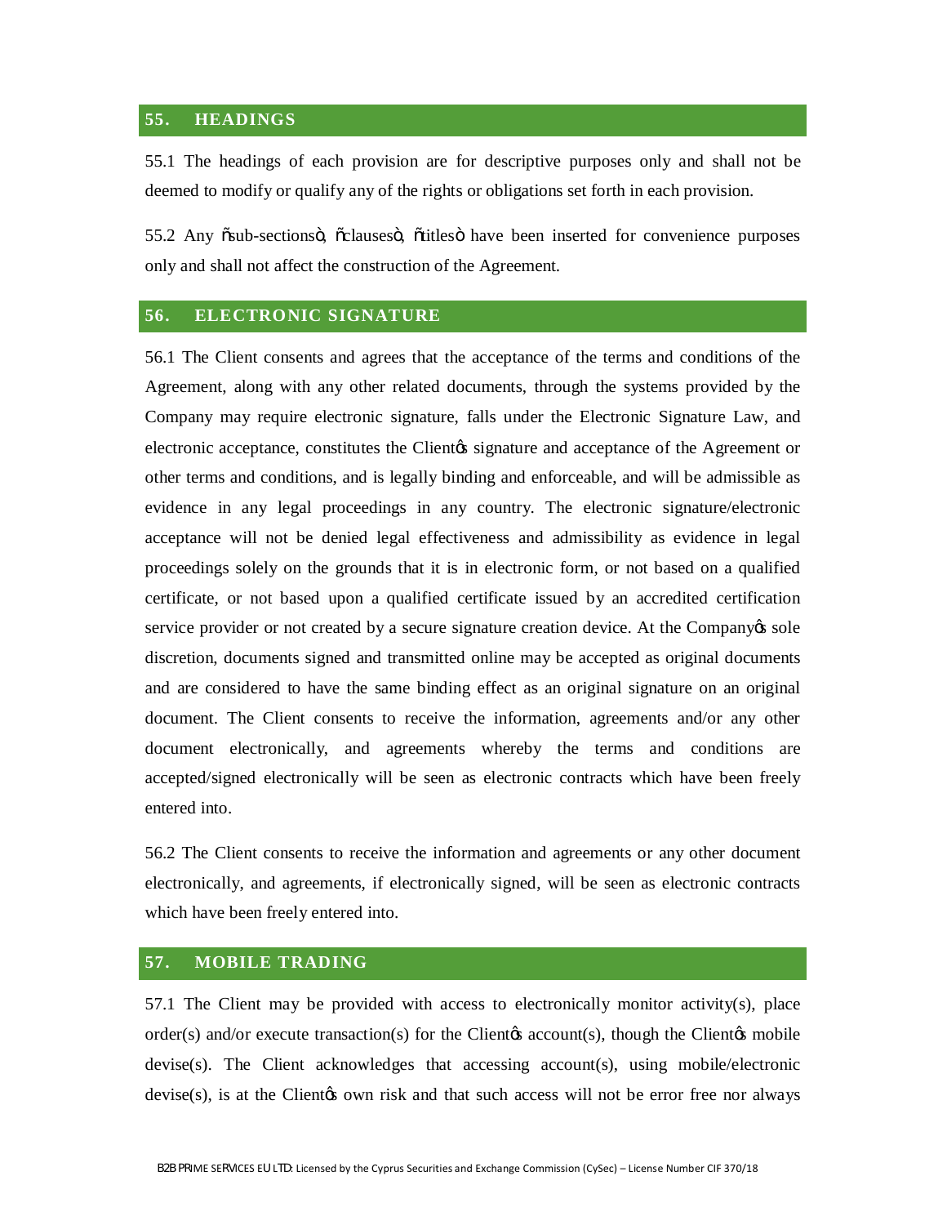# **55. HEADINGS**

55.1 The headings of each provision are for descriptive purposes only and shall not be deemed to modify or qualify any of the rights or obligations set forth in each provision.

55.2 Any  $\delta$ sub-sections $\ddot{\text{o}}$ ,  $\ddot{\text{o}}$ clauses $\ddot{\text{o}}$ ,  $\ddot{\text{o}}$ titles $\ddot{\text{o}}$  have been inserted for convenience purposes only and shall not affect the construction of the Agreement.

# **56. ELECTRONIC SIGNATURE**

56.1 The Client consents and agrees that the acceptance of the terms and conditions of the Agreement, along with any other related documents, through the systems provided by the Company may require electronic signature, falls under the Electronic Signature Law, and electronic acceptance, constitutes the Client<sub>'s</sub> signature and acceptance of the Agreement or other terms and conditions, and is legally binding and enforceable, and will be admissible as evidence in any legal proceedings in any country. The electronic signature/electronic acceptance will not be denied legal effectiveness and admissibility as evidence in legal proceedings solely on the grounds that it is in electronic form, or not based on a qualified certificate, or not based upon a qualified certificate issued by an accredited certification service provider or not created by a secure signature creation device. At the Company  $\alpha$  sole discretion, documents signed and transmitted online may be accepted as original documents and are considered to have the same binding effect as an original signature on an original document. The Client consents to receive the information, agreements and/or any other document electronically, and agreements whereby the terms and conditions are accepted/signed electronically will be seen as electronic contracts which have been freely entered into.

56.2 The Client consents to receive the information and agreements or any other document electronically, and agreements, if electronically signed, will be seen as electronic contracts which have been freely entered into.

# **57. MOBILE TRADING**

57.1 The Client may be provided with access to electronically monitor activity(s), place order(s) and/or execute transaction(s) for the Client  $\alpha$  account(s), though the Client  $\alpha$ s mobile devise(s). The Client acknowledges that accessing account(s), using mobile/electronic devise(s), is at the Clientos own risk and that such access will not be error free nor always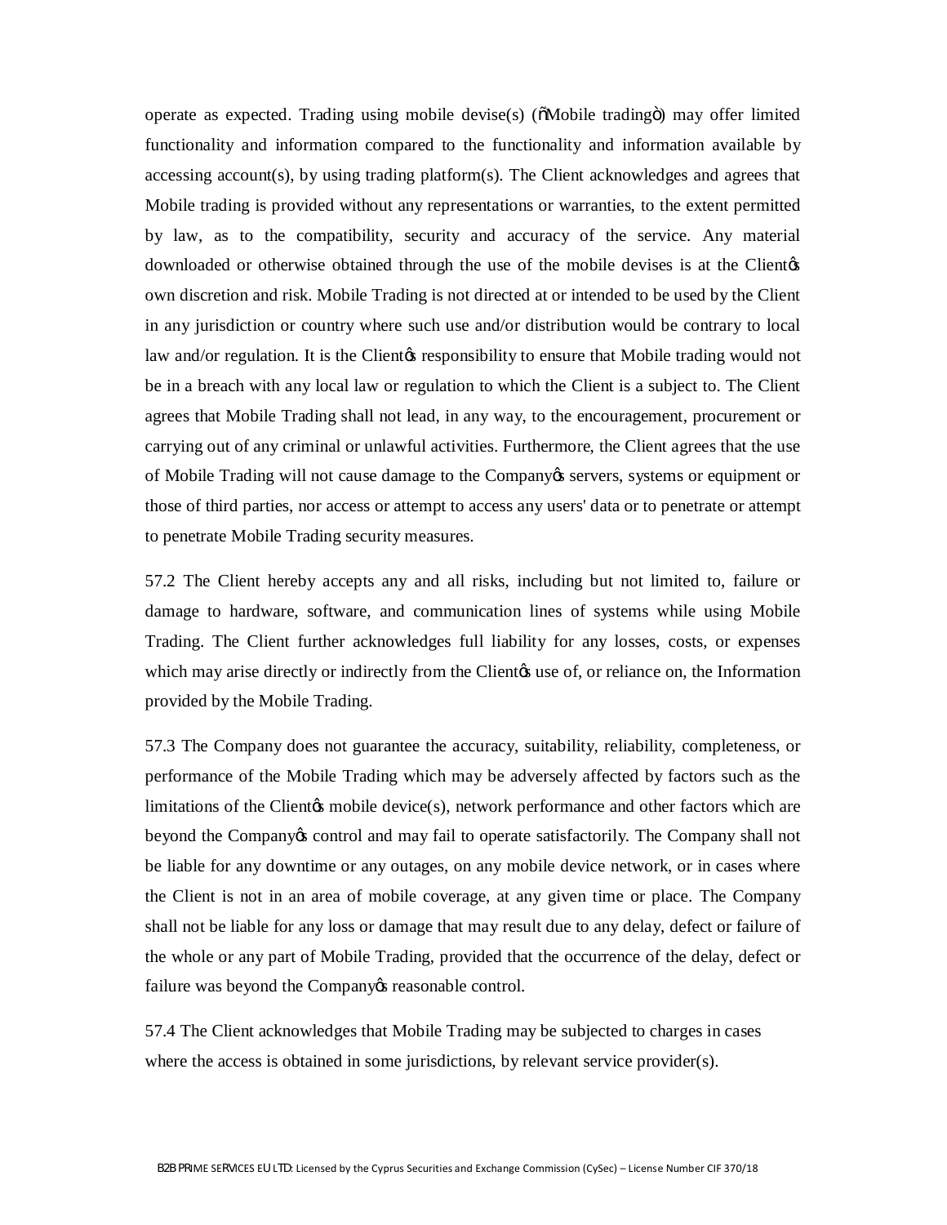operate as expected. Trading using mobile devise(s) ( $\delta$ Mobile trading $\delta$ ) may offer limited functionality and information compared to the functionality and information available by accessing account(s), by using trading platform(s). The Client acknowledges and agrees that Mobile trading is provided without any representations or warranties, to the extent permitted by law, as to the compatibility, security and accuracy of the service. Any material downloaded or otherwise obtained through the use of the mobile devises is at the Client  $\alpha$ own discretion and risk. Mobile Trading is not directed at or intended to be used by the Client in any jurisdiction or country where such use and/or distribution would be contrary to local law and/or regulation. It is the Client tesponsibility to ensure that Mobile trading would not be in a breach with any local law or regulation to which the Client is a subject to. The Client agrees that Mobile Trading shall not lead, in any way, to the encouragement, procurement or carrying out of any criminal or unlawful activities. Furthermore, the Client agrees that the use of Mobile Trading will not cause damage to the Company es servers, systems or equipment or those of third parties, nor access or attempt to access any users' data or to penetrate or attempt to penetrate Mobile Trading security measures.

57.2 The Client hereby accepts any and all risks, including but not limited to, failure or damage to hardware, software, and communication lines of systems while using Mobile Trading. The Client further acknowledges full liability for any losses, costs, or expenses which may arise directly or indirectly from the Client and use of, or reliance on, the Information provided by the Mobile Trading.

57.3 The Company does not guarantee the accuracy, suitability, reliability, completeness, or performance of the Mobile Trading which may be adversely affected by factors such as the limitations of the Client<sub>/8</sub> mobile device(s), network performance and other factors which are beyond the Company's control and may fail to operate satisfactorily. The Company shall not be liable for any downtime or any outages, on any mobile device network, or in cases where the Client is not in an area of mobile coverage, at any given time or place. The Company shall not be liable for any loss or damage that may result due to any delay, defect or failure of the whole or any part of Mobile Trading, provided that the occurrence of the delay, defect or failure was beyond the Company & reasonable control.

57.4 The Client acknowledges that Mobile Trading may be subjected to charges in cases where the access is obtained in some jurisdictions, by relevant service provider(s).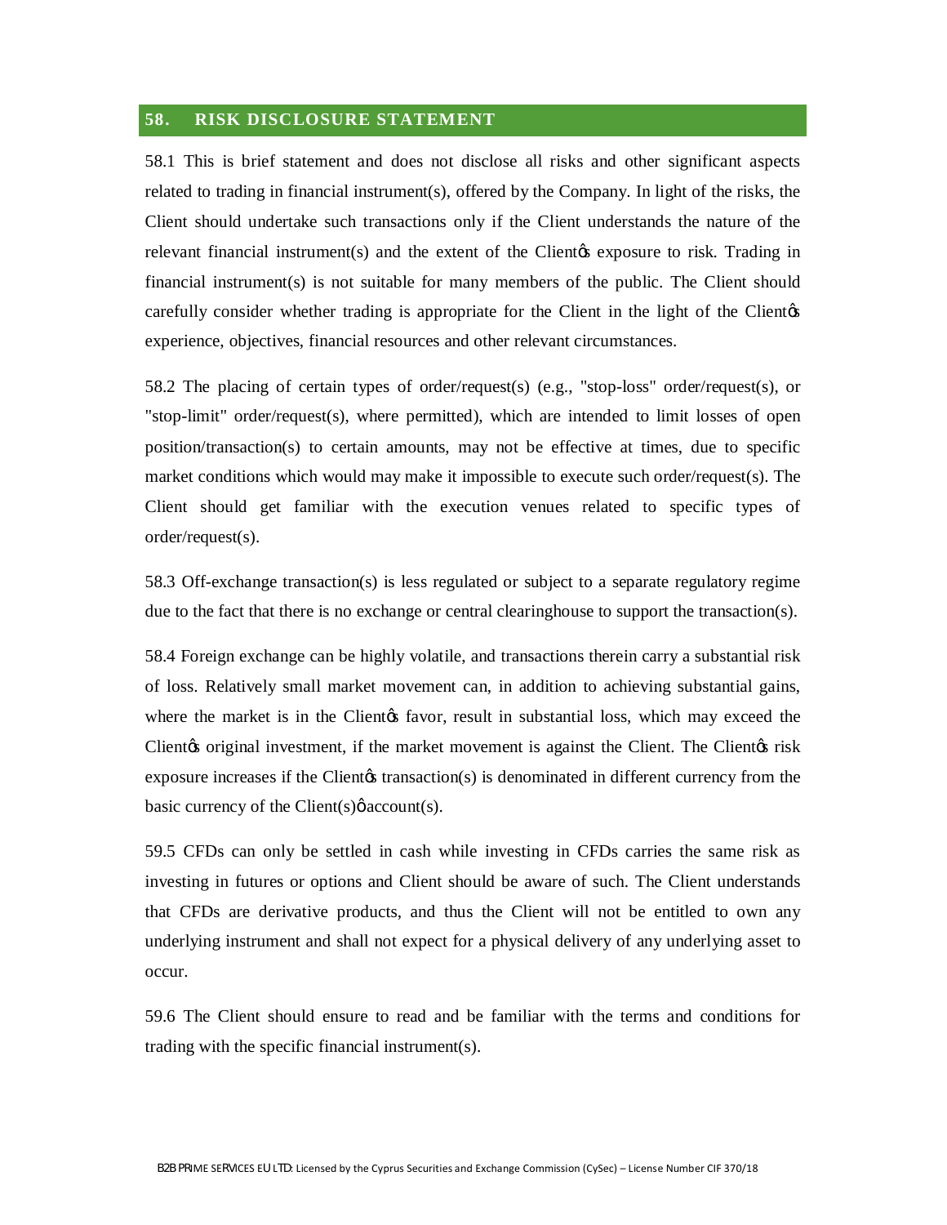#### **58. RISK DISCLOSURE STATEMENT**

58.1 This is brief statement and does not disclose all risks and other significant aspects related to trading in financial instrument(s), offered by the Company. In light of the risks, the Client should undertake such transactions only if the Client understands the nature of the relevant financial instrument(s) and the extent of the Clientos exposure to risk. Trading in financial instrument(s) is not suitable for many members of the public. The Client should carefully consider whether trading is appropriate for the Client in the light of the Client $\alpha$ experience, objectives, financial resources and other relevant circumstances.

58.2 The placing of certain types of order/request(s) (e.g., "stop-loss" order/request(s), or "stop-limit" order/request(s), where permitted), which are intended to limit losses of open position/transaction(s) to certain amounts, may not be effective at times, due to specific market conditions which would may make it impossible to execute such order/request(s). The Client should get familiar with the execution venues related to specific types of order/request(s).

58.3 Off-exchange transaction(s) is less regulated or subject to a separate regulatory regime due to the fact that there is no exchange or central clearinghouse to support the transaction(s).

58.4 Foreign exchange can be highly volatile, and transactions therein carry a substantial risk of loss. Relatively small market movement can, in addition to achieving substantial gains, where the market is in the Client<sub>/b</sub> favor, result in substantial loss, which may exceed the Client to original investment, if the market movement is against the Client. The Client ts risk exposure increases if the Client transaction(s) is denominated in different currency from the basic currency of the Client(s) $\phi$  account(s).

59.5 CFDs can only be settled in cash while investing in CFDs carries the same risk as investing in futures or options and Client should be aware of such. The Client understands that CFDs are derivative products, and thus the Client will not be entitled to own any underlying instrument and shall not expect for a physical delivery of any underlying asset to occur.

59.6 The Client should ensure to read and be familiar with the terms and conditions for trading with the specific financial instrument(s).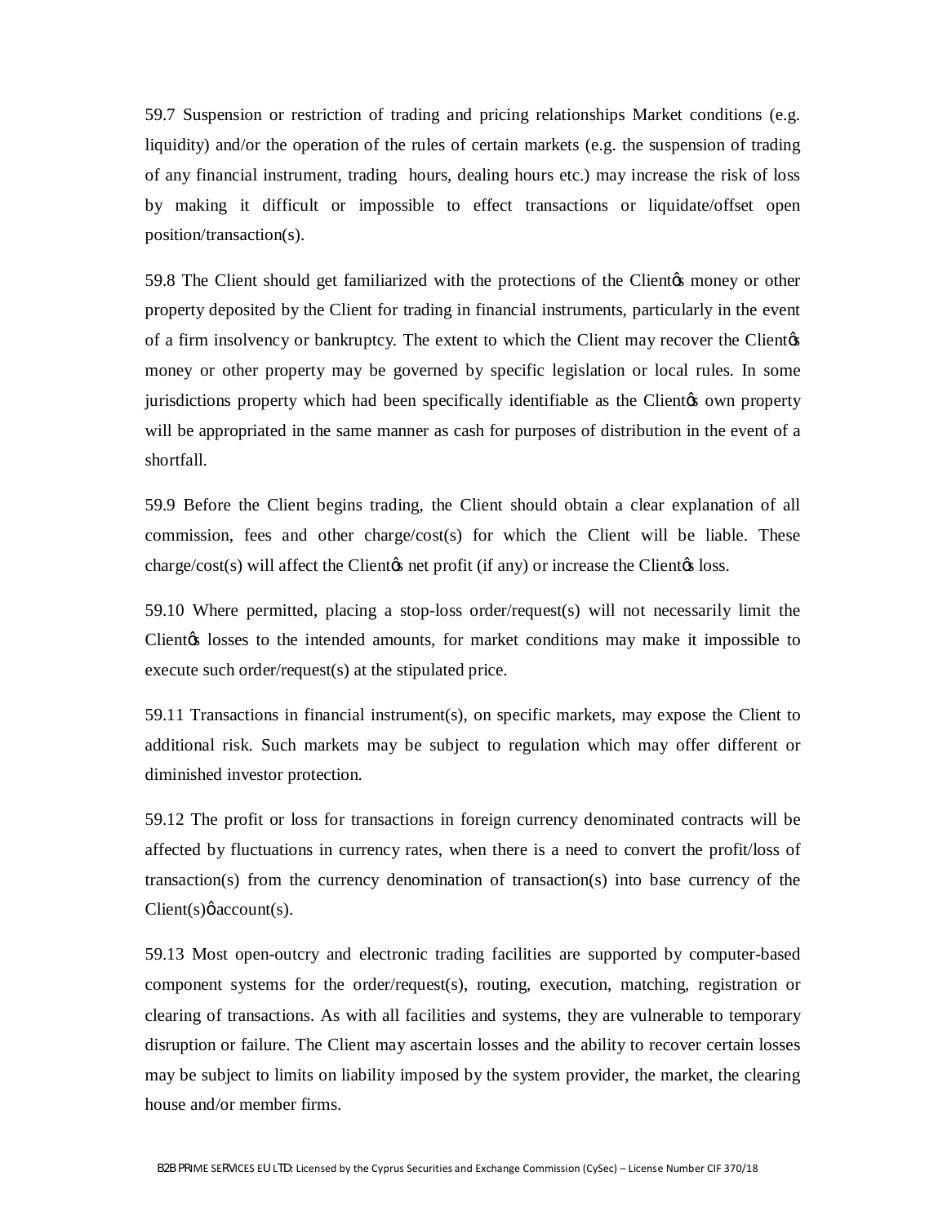59.7 Suspension or restriction of trading and pricing relationships Market conditions (e.g. liquidity) and/or the operation of the rules of certain markets (e.g. the suspension of trading of any financial instrument, trading hours, dealing hours etc.) may increase the risk of loss by making it difficult or impossible to effect transactions or liquidate/offset open position/transaction(s).

59.8 The Client should get familiarized with the protections of the Client of money or other property deposited by the Client for trading in financial instruments, particularly in the event of a firm insolvency or bankruptcy. The extent to which the Client may recover the Client $\alpha$ money or other property may be governed by specific legislation or local rules. In some jurisdictions property which had been specifically identifiable as the Client to own property will be appropriated in the same manner as cash for purposes of distribution in the event of a shortfall.

59.9 Before the Client begins trading, the Client should obtain a clear explanation of all commission, fees and other charge/cost(s) for which the Client will be liable. These charge/ $cost(s)$  will affect the Client $\alpha$  net profit (if any) or increase the Client $\alpha$  loss.

59.10 Where permitted, placing a stop-loss order/request(s) will not necessarily limit the Client<sub>(s)</sub> losses to the intended amounts, for market conditions may make it impossible to execute such order/request(s) at the stipulated price.

59.11 Transactions in financial instrument(s), on specific markets, may expose the Client to additional risk. Such markets may be subject to regulation which may offer different or diminished investor protection.

59.12 The profit or loss for transactions in foreign currency denominated contracts will be affected by fluctuations in currency rates, when there is a need to convert the profit/loss of transaction(s) from the currency denomination of transaction(s) into base currency of the  $Client(s)$   $\phi$  account(s).

59.13 Most open-outcry and electronic trading facilities are supported by computer-based component systems for the order/request(s), routing, execution, matching, registration or clearing of transactions. As with all facilities and systems, they are vulnerable to temporary disruption or failure. The Client may ascertain losses and the ability to recover certain losses may be subject to limits on liability imposed by the system provider, the market, the clearing house and/or member firms.